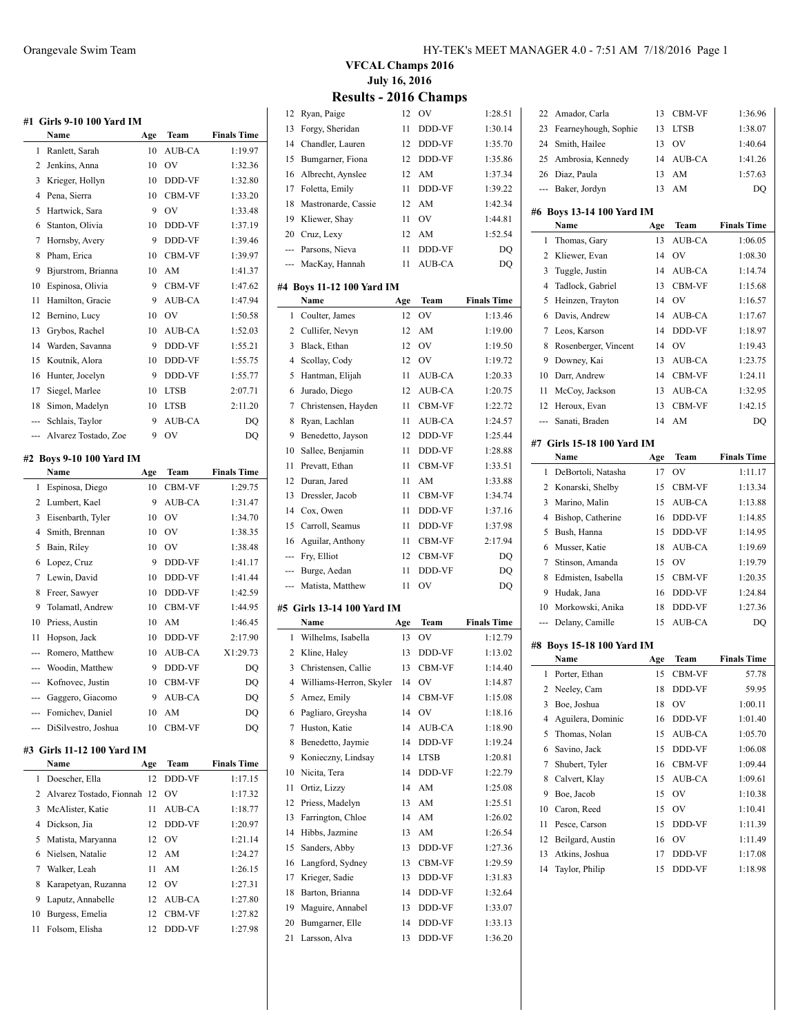|            | #1 Girls 9-10 100 Yard IM<br>Name | Age | Team          | <b>Finals Time</b> |
|------------|-----------------------------------|-----|---------------|--------------------|
| 1          | Ranlett, Sarah                    | 10  | AUB-CA        | 1:19.97            |
| 2          | Jenkins, Anna                     | 10  | OV            | 1:32.36            |
| 3          | Krieger, Hollyn                   | 10  | DDD-VF        | 1:32.80            |
| 4          | Pena, Sierra                      | 10  | CBM-VF        | 1:33.20            |
| 5          | Hartwick, Sara                    | 9   | OV            | 1:33.48            |
| 6          | Stanton, Olivia                   | 10  | DDD-VF        | 1:37.19            |
| 7          | Hornsby, Avery                    | 9   | DDD-VF        | 1:39.46            |
| 8          | Pham, Erica                       | 10  | CBM-VF        | 1:39.97            |
| 9          | Bjurstrom, Brianna                | 10  | AM            | 1:41.37            |
| 10         | Espinosa, Olivia                  | 9   | CBM-VF        | 1:47.62            |
| 11         | Hamilton, Gracie                  | 9   | AUB-CA        | 1:47.94            |
| 12         | Bernino, Lucy                     | 10  | OV            | 1:50.58            |
| 13         | Grybos, Rachel                    | 10  | AUB-CA        | 1:52.03            |
| 14         | Warden, Savanna                   | 9   | DDD-VF        | 1:55.21            |
| 15         | Koutnik, Alora                    | 10  | DDD-VF        | 1:55.75            |
| 16         | Hunter, Jocelyn                   | 9   | DDD-VF        | 1:55.77            |
| 17         | Siegel, Marlee                    | 10  | <b>LTSB</b>   | 2:07.71            |
| 18         | Simon, Madelyn                    | 10  | <b>LTSB</b>   | 2:11.20            |
|            | Schlais, Taylor                   | 9   | AUB-CA        |                    |
| ---<br>--- | Alvarez Tostado, Zoe              | 9   | OV            | DQ<br>DQ           |
|            |                                   |     |               |                    |
|            | #2 Boys 9-10 100 Yard IM          |     |               |                    |
|            | Name                              | Age | Team          | <b>Finals Time</b> |
| 1          | Espinosa, Diego                   | 10  | CBM-VF        | 1:29.75            |
| 2          | Lumbert, Kael                     | 9   | AUB-CA        | 1:31.47            |
| 3          | Eisenbarth, Tyler                 | 10  | OV            | 1:34.70            |
| 4          | Smith, Brennan                    | 10  |               |                    |
| 5          |                                   |     | OV            | 1:38.35            |
|            | Bain, Riley                       | 10  | OV            | 1:38.48            |
| 6          | Lopez, Cruz                       | 9   | DDD-VF        | 1:41.17            |
| 7          | Lewin, David                      | 10  | DDD-VF        | 1:41.44            |
| 8          | Freer, Sawyer                     | 10  | DDD-VF        | 1:42.59            |
| 9          | Tolamatl, Andrew                  | 10  | <b>CBM-VF</b> | 1:44.95            |
| 10         | Priess, Austin                    | 10  | AM            | 1:46.45            |
| 11         | Hopson, Jack                      | 10  | DDD-VF        | 2:17.90            |
| ---        | Romero, Matthew                   | 10  | AUB-CA        | X1:29.73           |
| ---        | Woodin, Matthew                   | 9   | DDD-VF        | DQ                 |
| ---        | Kofnovec, Justin                  | 10  | CBM-VF        | DQ                 |
|            | --- Gaggero, Giacomo              | 9.  | AUB-CA        | DQ                 |
| ---        | Fomichev, Daniel                  | 10  | AM            | DQ                 |
| ---        | DiSilvestro, Joshua               | 10  | CBM-VF        | DQ                 |
|            | #3 Girls 11-12 100 Yard IM        |     |               |                    |
|            | Name                              | Age | Team          | <b>Finals Time</b> |
| 1          | Doescher, Ella                    | 12  | DDD-VF        | 1:17.15            |

|    | 1 Doescher, Ella                 |        | 12 DDD-VF | 1:17.15 |
|----|----------------------------------|--------|-----------|---------|
|    | 2 Alvarez Tostado, Fionnah 12 OV |        |           | 1:17.32 |
|    | 3 McAlister, Katie               | 11     | AUB-CA    | 1:18.77 |
|    | 4 Dickson, Jia                   |        | 12 DDD-VF | 1:20.97 |
|    | 5 Matista, Maryanna              |        | 12 OV     | 1:21.14 |
|    | 6 Nielsen, Natalie               |        | 12 AM     | 1:24.27 |
|    | 7 Walker, Leah                   | 11     | AM        | 1:26.15 |
|    | 8 Karapetyan, Ruzanna            |        | 12 OV     | 1:27.31 |
|    | 9 Laputz, Annabelle              |        | 12 AUB-CA | 1:27.80 |
| 10 | Burgess, Emelia                  |        | 12 CBM-VF | 1:27.82 |
|    | 11 Folsom, Elisha                | $12 -$ | DDD-VF    | 1:27.98 |

#### Orangevale Swim Team HY-TEK's MEET MANAGER 4.0 - 7:51 AM 7/18/2016 Page 1

**VFCAL Champs 2016 July 16, 2016**

|                | <b>Results - 2016 Champs</b>            |          |                  |                    |
|----------------|-----------------------------------------|----------|------------------|--------------------|
| 12             | Ryan, Paige                             | 12       | OV               | 1:28.51            |
| 13             | Forgy, Sheridan                         | 11       | DDD-VF           | 1:30.14            |
| 14             | Chandler, Lauren                        | 12       | DDD-VF           | 1:35.70            |
| 15             | Bumgarner, Fiona                        | 12       | DDD-VF           | 1:35.86            |
| 16             | Albrecht, Aynslee                       | 12       | AM               | 1:37.34            |
| 17             | Foletta, Emily                          | 11       | DDD-VF           | 1:39.22            |
| 18             | Mastronarde, Cassie                     | 12       | AM               | 1:42.34            |
| 19             | Kliewer, Shav                           | 11       | OV               | 1:44.81            |
| 20             | Cruz, Lexy                              | 12       | AM               | 1:52.54            |
| ---            | Parsons, Nieva                          | 11       | DDD-VF           | DQ                 |
| ---            | MacKay, Hannah                          | 11       | AUB-CA           | DQ                 |
|                |                                         |          |                  |                    |
|                | #4 Boys 11-12 100 Yard IM<br>Name       | Age      | Team             | <b>Finals Time</b> |
| 1              | Coulter, James                          | 12       | OV               | 1:13.46            |
| 2              | Cullifer, Nevyn                         | 12       | AM               | 1:19.00            |
| 3              | Black, Ethan                            | 12       | OV               | 1:19.50            |
| $\overline{4}$ | Scollav, Cody                           | 12       | <b>OV</b>        | 1:19.72            |
| 5              | Hantman, Elijah                         | 11       | AUB-CA           | 1:20.33            |
| 6              | Jurado, Diego                           | 12       | AUB-CA           | 1:20.75            |
| 7              | Christensen, Hayden                     | 11       | CBM-VF           | 1:22.72            |
| 8              | Ryan, Lachlan                           | 11       | AUB-CA           | 1:24.57            |
| 9              | Benedetto, Jayson                       | 12       | DDD-VF           | 1:25.44            |
| 10             | Sallee, Benjamin                        | 11       | DDD-VF           | 1:28.88            |
| 11             | Prevatt, Ethan                          | 11       | <b>CBM-VF</b>    | 1:33.51            |
| 12             | Duran, Jared                            | 11       | AM               | 1:33.88            |
| 13             | Dressler, Jacob                         | 11       | CBM-VF           | 1:34.74            |
| 14             | Cox, Owen                               | 11       | DDD-VF           | 1:37.16            |
| 15             | Carroll, Seamus                         | 11       | DDD-VF           | 1:37.98            |
| 16             | Aguilar, Anthony                        | 11       | CBM-VF           | 2:17.94            |
| ---            | Fry, Elliot                             | 12       | CBM-VF           | DQ                 |
| ---            | Burge, Aedan                            | 11       | DDD-VF           | DQ                 |
| ---            | Matista, Matthew                        | 11       | OV               | DQ                 |
|                |                                         |          |                  |                    |
|                | #5 Girls 13-14 100 Yard IM<br>Name      |          |                  |                    |
|                |                                         | Age      | Team             | <b>Finals Time</b> |
| 1              | Wilhelms, Isabella                      | 13       | OV               | 1:12.79            |
| 2<br>3         | Kline, Haley<br>Christensen, Callie     | 13<br>13 | DDD-VF<br>CBM-VF | 1:13.02<br>1:14.40 |
|                |                                         | 14       | OV               |                    |
| 4<br>5         | Williams-Herron, Skyler<br>Arnez, Emily | 14       | CBM-VF           | 1:14.87<br>1:15.08 |
| 6              | Pagliaro, Greysha                       | 14       | OV               | 1:18.16            |
| 7              | Huston, Katie                           | 14       | AUB-CA           | 1:18.90            |
| 8              | Benedetto, Jaymie                       | 14       | DDD-VF           | 1:19.24            |
| 9              | Konieczny, Lindsay                      | 14       | LTSB             | 1:20.81            |
| 10             | Nicita, Tera                            | 14       | DDD-VF           | 1:22.79            |
| 11             | Ortiz, Lizzy                            | 14       | AM               | 1:25.08            |
| 12             | Priess, Madelyn                         | 13       | AM               | 1:25.51            |
| 13             | Farrington, Chloe                       | 14       | AM               | 1:26.02            |
| 14             | Hibbs, Jazmine                          | 13       | AM               | 1:26.54            |
| 15             | Sanders, Abby                           | 13       | DDD-VF           | 1:27.36            |
| 16             | Langford, Sydney                        | 13       | CBM-VF           | 1:29.59            |
| 17             | Krieger, Sadie                          | 13       | DDD-VF           | 1:31.83            |
| 18             | Barton, Brianna                         | 14       | DDD-VF           | 1:32.64            |
| 19             | Maguire, Annabel                        | 13       | DDD-VF           | 1:33.07            |
| 20             | Bumgarner, Elle                         | 14       | DDD-VF           | 1:33.13            |
| 21             | Larsson, Alva                           | 13       | DDD-VF           | 1:36.20            |

| 22             | Amador, Carla              | 13  | CBM-VF        | 1:36.96            |
|----------------|----------------------------|-----|---------------|--------------------|
| 23             | Fearneyhough, Sophie       | 13  | LTSB          | 1:38.07            |
| 24             | Smith, Hailee              | 13  | OV            | 1:40.64            |
| 25             | Ambrosia, Kennedy          | 14  | AUB-CA        | 1:41.26            |
| 26             | Diaz, Paula                | 13  | AM            | 1:57.63            |
| ---            | Baker, Jordyn              | 13  | AM            | DQ                 |
|                |                            |     |               |                    |
|                | #6 Boys 13-14 100 Yard IM  |     |               |                    |
|                | Name                       | Age | Team          | <b>Finals Time</b> |
| 1              | Thomas, Gary               | 13  | AUB-CA        | 1:06.05            |
| 2              | Kliewer, Evan              | 14  | OV            | 1:08.30            |
| 3              | Tuggle, Justin             | 14  | <b>AUB-CA</b> | 1:14.74            |
| 4              | Tadlock, Gabriel           | 13  | CBM-VF        | 1:15.68            |
| 5              | Heinzen, Trayton           | 14  | OV            | 1:16.57            |
| 6              | Davis, Andrew              | 14  | <b>AUB-CA</b> | 1:17.67            |
| 7              | Leos, Karson               | 14  | DDD-VF        | 1:18.97            |
| 8              | Rosenberger, Vincent       | 14  | OV            | 1:19.43            |
| 9              | Downey, Kai                | 13  | AUB-CA        | 1:23.75            |
| 10             | Darr, Andrew               | 14  | CBM-VF        | 1:24.11            |
| 11             | McCoy, Jackson             | 13  | AUB-CA        | 1:32.95            |
| 12             | Heroux, Evan               | 13  | CBM-VF        | 1:42.15            |
| $\overline{a}$ | Sanati, Braden             | 14  | AM            | DO                 |
|                | #7 Girls 15-18 100 Yard IM |     |               |                    |
|                | Name                       | Age | Team          | <b>Finals Time</b> |
| 1              | DeBortoli, Natasha         | 17  | OV            | 1:11.17            |
| 2              | Konarski, Shelby           | 15  | CBM-VF        | 1:13.34            |
| 3              | Marino, Malin              | 15  | AUB-CA        | 1:13.88            |
| 4              | Bishop, Catherine          | 16  | DDD-VF        | 1:14.85            |
| 5              | Bush, Hanna                | 15  | DDD-VF        | 1:14.95            |
| 6              | Musser, Katie              | 18  | AUB-CA        | 1:19.69            |
| 7              | Stinson, Amanda            | 15  | OV            | 1:19.79            |
| 8              | Edmisten, Isabella         | 15  | CBM-VF        | 1:20.35            |
| 9              | Hudak, Jana                | 16  | DDD-VF        | 1:24.84            |
| 10             | Morkowski, Anika           | 18  | DDD-VF        | 1:27.36            |
| ---            | Delany, Camille            | 15  | AUB-CA        | DO                 |
|                |                            |     |               |                    |
|                | #8 Boys 15-18 100 Yard IM  |     |               |                    |
|                | Name                       | Age | Team          | <b>Finals Time</b> |
| 1              | Porter, Ethan              | 15  | CBM-VF        | 57.78              |
| 2              | Neeley, Cam                | 18  | DDD-VF        | 59.95              |
| 3              | Boe, Joshua                | 18  | OV            | 1:00.11            |
| 4              | Aguilera, Dominic          | 16  | DDD-VF        | 1:01.40            |
| 5              | Thomas, Nolan              | 15  | AUB-CA        | 1:05.70            |
| 6              | Savino, Jack               | 15  | DDD-VF        | 1:06.08            |
| 7              | Shubert, Tyler             | 16  | CBM-VF        | 1:09.44            |
| 8              | Calvert, Klay              | 15  | AUB-CA        | 1:09.61            |
| 9              | Boe, Jacob                 | 15  | OV            | 1:10.38            |
| 10             | Caron, Reed                | 15  | OV            | 1:10.41            |
| 11             | Pesce, Carson              | 15  | DDD-VF        | 1:11.39            |
| 12             | Beilgard, Austin           | 16  | OV            | 1:11.49            |
| 13             | Atkins, Joshua             | 17  | DDD-VF        | 1:17.08            |
| 14             | Taylor, Philip             | 15  | DDD-VF        | 1:18.98            |
|                |                            |     |               |                    |
|                |                            |     |               |                    |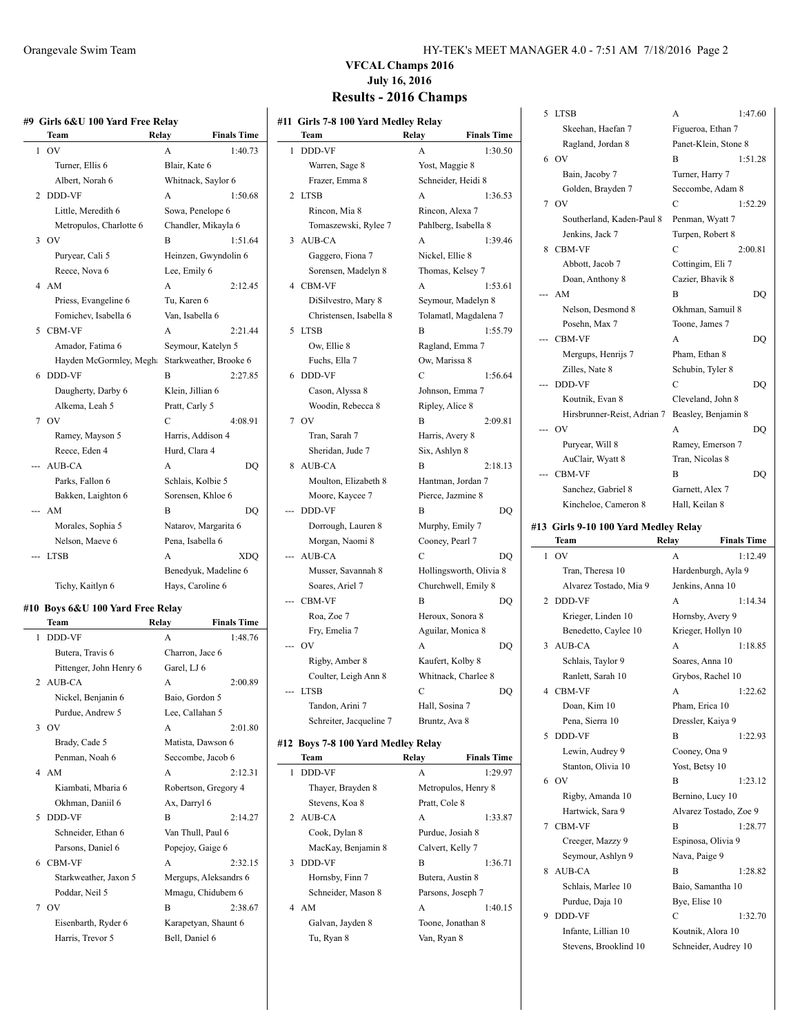|   | Team                    | Relay          | <b>Finals Time</b>     |
|---|-------------------------|----------------|------------------------|
| 1 | O <sub>V</sub>          | A              | 1:40.73                |
|   | Turner, Ellis 6         | Blair, Kate 6  |                        |
|   | Albert, Norah 6         |                | Whitnack, Saylor 6     |
| 2 | DDD-VF                  | A              | 1:50.68                |
|   | Little, Meredith 6      |                | Sowa, Penelope 6       |
|   | Metropulos, Charlotte 6 |                | Chandler, Mikayla 6    |
| 3 | O <sub>V</sub>          | B              | 1:51.64                |
|   | Puryear, Cali 5         |                | Heinzen, Gwyndolin 6   |
|   | Reece, Nova 6           | Lee, Emily 6   |                        |
|   | 4 AM                    | A              | 2:12.45                |
|   | Priess, Evangeline 6    | Tu, Karen 6    |                        |
|   | Fomichev, Isabella 6    |                | Van, Isabella 6        |
| 5 | <b>CBM-VF</b>           | A              | 2:21.44                |
|   | Amador, Fatima 6        |                | Seymour, Katelyn 5     |
|   | Hayden McGormley, Megh  |                | Starkweather, Brooke 6 |
| 6 | DDD-VF                  | B              | 2:27.85                |
|   | Daugherty, Darby 6      |                | Klein, Jillian 6       |
|   | Alkema, Leah 5          | Pratt, Carly 5 |                        |
|   | 7 OV                    | C              | 4:08.91                |
|   | Ramey, Mayson 5         |                | Harris, Addison 4      |
|   | Reece, Eden 4           | Hurd, Clara 4  |                        |
|   | AUB-CA                  | A              | DO                     |
|   | Parks, Fallon 6         |                | Schlais, Kolbie 5      |
|   | Bakken, Laighton 6      |                | Sorensen, Khloe 6      |
|   | AM                      | B              | DO                     |
|   | Morales, Sophia 5       |                | Natarov, Margarita 6   |
|   | Nelson, Maeve 6         |                | Pena, Isabella 6       |
|   | <b>LTSB</b>             | A              | XDO                    |
|   |                         |                | Benedyuk, Madeline 6   |
|   | Tichy, Kaitlyn 6        |                | Hays, Caroline 6       |

#### **#10 Boys 6&U 100 Yard Free Relay**

|   | Team                    | Relay                 | <b>Finals Time</b> |
|---|-------------------------|-----------------------|--------------------|
| 1 | <b>DDD-VF</b>           | A                     | 1:48.76            |
|   | Butera, Travis 6        | Charron, Jace 6       |                    |
|   | Pittenger, John Henry 6 | Garel, LJ 6           |                    |
|   | 2 AUB-CA                | A                     | 2:00.89            |
|   | Nickel, Benjanin 6      | Baio, Gordon 5        |                    |
|   | Purdue, Andrew 5        | Lee, Callahan 5       |                    |
|   | 3.0V                    | $\mathsf{A}$          | 2:01.80            |
|   | Brady, Cade 5           | Matista, Dawson 6     |                    |
|   | Penman, Noah 6          | Seccombe, Jacob 6     |                    |
| 4 | AM                      | A                     | 2:12.31            |
|   | Kiambati, Mbaria 6      | Robertson, Gregory 4  |                    |
|   | Okhman, Daniil 6        | Ax, Darryl 6          |                    |
| 5 | DDD-VF                  | R                     | 2:14.27            |
|   | Schneider, Ethan 6      | Van Thull, Paul 6     |                    |
|   | Parsons, Daniel 6       | Popejoy, Gaige 6      |                    |
| 6 | <b>CBM-VF</b>           | A                     | 2:32.15            |
|   | Starkweather, Jaxon 5   | Mergups, Aleksandrs 6 |                    |
|   | Poddar, Neil 5          | Mmagu, Chidubem 6     |                    |
|   | 7 OV                    | B                     | 2:38.67            |
|   | Eisenbarth, Ryder 6     | Karapetyan, Shaunt 6  |                    |
|   | Harris, Trevor 5        | Bell, Daniel 6        |                    |
|   |                         |                       |                    |

#### Orangevale Swim Team HY-TEK's MEET MANAGER 4.0 - 7:51 AM 7/18/2016 Page 2

# **VFCAL Champs 2016 July 16, 2016**

|                                     |                             | 5 LTSB                                       | 1:47.60<br>A                              |
|-------------------------------------|-----------------------------|----------------------------------------------|-------------------------------------------|
| #11 Girls 7-8 100 Yard Medley Relay | <b>Finals Time</b>          | Skeehan, Haefan 7                            | Figueroa, Ethan 7                         |
| Team                                | Relay                       | Ragland, Jordan 8                            | Panet-Klein, Stone 8                      |
| 1 DDD-VF                            | A<br>1:30.50                | 6 OV                                         | B<br>1:51.28                              |
| Warren, Sage 8                      | Yost, Maggie 8              | Bain, Jacoby 7                               | Turner, Harry 7                           |
| Frazer, Emma 8                      | Schneider, Heidi 8          | Golden, Brayden 7                            | Seccombe, Adam 8                          |
| 2 LTSB                              | A<br>1:36.53                | 7 OV                                         | C<br>1:52.29                              |
| Rincon, Mia 8                       | Rincon, Alexa 7             | Southerland, Kaden-Paul 8                    | Penman, Wyatt 7                           |
| Tomaszewski, Rylee 7                | Pahlberg, Isabella 8        | Jenkins, Jack 7                              | Turpen, Robert 8                          |
| 3 AUB-CA                            | 1:39.46<br>A                | 8 CBM-VF                                     | C<br>2:00.81                              |
| Gaggero, Fiona 7                    | Nickel, Ellie 8             | Abbott, Jacob 7                              | Cottingim, Eli 7                          |
| Sorensen, Madelyn 8                 | Thomas, Kelsey 7            |                                              |                                           |
| 4 CBM-VF                            | A<br>1:53.61                | Doan, Anthony 8                              | Cazier, Bhavik 8                          |
| DiSilvestro, Mary 8                 | Seymour, Madelyn 8          | --- AM                                       | B<br>DQ                                   |
| Christensen, Isabella 8             | Tolamatl, Magdalena 7       | Nelson, Desmond 8                            | Okhman, Samuil 8                          |
| 5 LTSB                              | B<br>1:55.79                | Posehn, Max 7                                | Toone, James 7                            |
| Ow, Ellie 8                         | Ragland, Emma 7             | --- CBM-VF                                   | A<br>DQ                                   |
| Fuchs, Ella 7                       | Ow, Marissa 8               | Mergups, Henrijs 7                           | Pham, Ethan 8                             |
| 6 DDD-VF                            | C<br>1:56.64                | Zilles, Nate 8                               | Schubin, Tyler 8                          |
| Cason, Alyssa 8                     | Johnson, Emma 7             | --- DDD-VF                                   | C<br>DQ                                   |
| Woodin, Rebecca 8                   | Ripley, Alice 8             | Koutnik, Evan 8                              | Cleveland, John 8                         |
| 7 OV                                | B<br>2:09.81                | Hirsbrunner-Reist, Adrian 7                  | Beasley, Benjamin 8                       |
|                                     |                             | --- OV                                       | A<br>DQ                                   |
| Tran, Sarah 7                       | Harris, Avery 8             | Puryear, Will 8                              | Ramey, Emerson 7                          |
| Sheridan, Jude 7                    | Six, Ashlyn 8               | AuClair, Wyatt 8                             | Tran, Nicolas 8                           |
| 8 AUB-CA                            | B<br>2:18.13                | --- CBM-VF                                   | B<br>DQ                                   |
| Moulton, Elizabeth 8                | Hantman, Jordan 7           | Sanchez, Gabriel 8                           | Garnett, Alex 7                           |
| Moore, Kaycee 7                     | Pierce, Jazmine 8           | Kincheloe, Cameron 8                         | Hall, Keilan 8                            |
| --- DDD-VF                          | B<br>DQ                     |                                              |                                           |
| Dorrough, Lauren 8                  | Murphy, Emily 7             | #13 Girls 9-10 100 Yard Medley Relay         |                                           |
| Morgan, Naomi 8                     | Cooney, Pearl 7             | Team                                         | <b>Finals Time</b><br>Relay               |
| --- AUB-CA                          | C<br>DQ                     | $1$ OV                                       | A<br>1:12.49                              |
| Musser, Savannah 8                  | Hollingsworth, Olivia 8     | Tran, Theresa 10                             | Hardenburgh, Ayla 9                       |
| Soares, Ariel 7                     | Churchwell, Emily 8         | Alvarez Tostado, Mia 9                       | Jenkins, Anna 10                          |
| --- CBM-VF                          | B<br>DQ                     | 2 DDD-VF                                     | A<br>1:14.34                              |
| Roa, Zoe 7                          | Heroux, Sonora 8            | Krieger, Linden 10                           | Hornsby, Avery 9                          |
| Fry, Emelia 7                       | Aguilar, Monica 8           | Benedetto, Caylee 10                         | Krieger, Hollyn 10                        |
| -- OV                               | A<br>DQ                     | 3 AUB-CA                                     | 1:18.85<br>A                              |
| Rigby, Amber 8                      | Kaufert, Kolby 8            | Schlais, Taylor 9                            | Soares, Anna 10                           |
| Coulter, Leigh Ann 8                | Whitnack, Charlee 8         | Ranlett, Sarah 10                            | Grybos, Rachel 10                         |
| -- LTSB                             | C<br>DQ                     | 4 CBM-VF                                     | 1:22.62                                   |
| Tandon, Arini 7                     | Hall, Sosina 7              | Doan, Kim 10                                 | Pham, Erica 10                            |
|                                     |                             |                                              |                                           |
| Schreiter, Jacqueline 7             | Bruntz, Ava 8               | Pena, Sierra 10                              | Dressler, Kaiya 9                         |
| #12 Boys 7-8 100 Yard Medley Relay  |                             | 5 DDD-VF                                     | B<br>1:22.93                              |
| Team                                | <b>Finals Time</b><br>Relay | Lewin, Audrey 9                              | Cooney, Ona 9                             |
|                                     |                             | Stanton, Olivia 10                           | Yost, Betsy 10                            |
|                                     | A                           |                                              |                                           |
| 1 DDD-VF                            | 1:29.97                     | 6 OV                                         | B                                         |
| Thayer, Brayden 8                   | Metropulos, Henry 8         | Rigby, Amanda 10                             | Bernino, Lucy 10                          |
| Stevens, Koa 8                      | Pratt, Cole 8               | Hartwick, Sara 9                             | 1:23.12<br>Alvarez Tostado, Zoe 9         |
| 2 AUB-CA                            | A<br>1:33.87                | 7 CBM-VF                                     | B                                         |
| Cook, Dylan 8                       | Purdue, Josiah 8            | Creeger, Mazzy 9                             | Espinosa, Olivia 9                        |
| MacKay, Benjamin 8                  | Calvert, Kelly 7            | Seymour, Ashlyn 9                            | Nava, Paige 9                             |
| 3 DDD-VF                            | B<br>1:36.71                |                                              | B                                         |
| Hornsby, Finn 7                     | Butera, Austin 8            | 8 AUB-CA                                     | 1:28.77<br>1:28.82                        |
| Schneider, Mason 8                  | Parsons, Joseph 7           | Schlais, Marlee 10                           | Baio, Samantha 10                         |
| 4 AM                                | 1:40.15<br>A                | Purdue, Daja 10                              | Bye, Elise 10                             |
| Galvan, Jayden 8                    | Toone, Jonathan 8           | 9 DDD-VF                                     | $\mathbf C$<br>1:32.70                    |
| Tu, Ryan 8                          | Van, Ryan 8                 | Infante, Lillian 10<br>Stevens, Brooklind 10 | Koutnik, Alora 10<br>Schneider, Audrey 10 |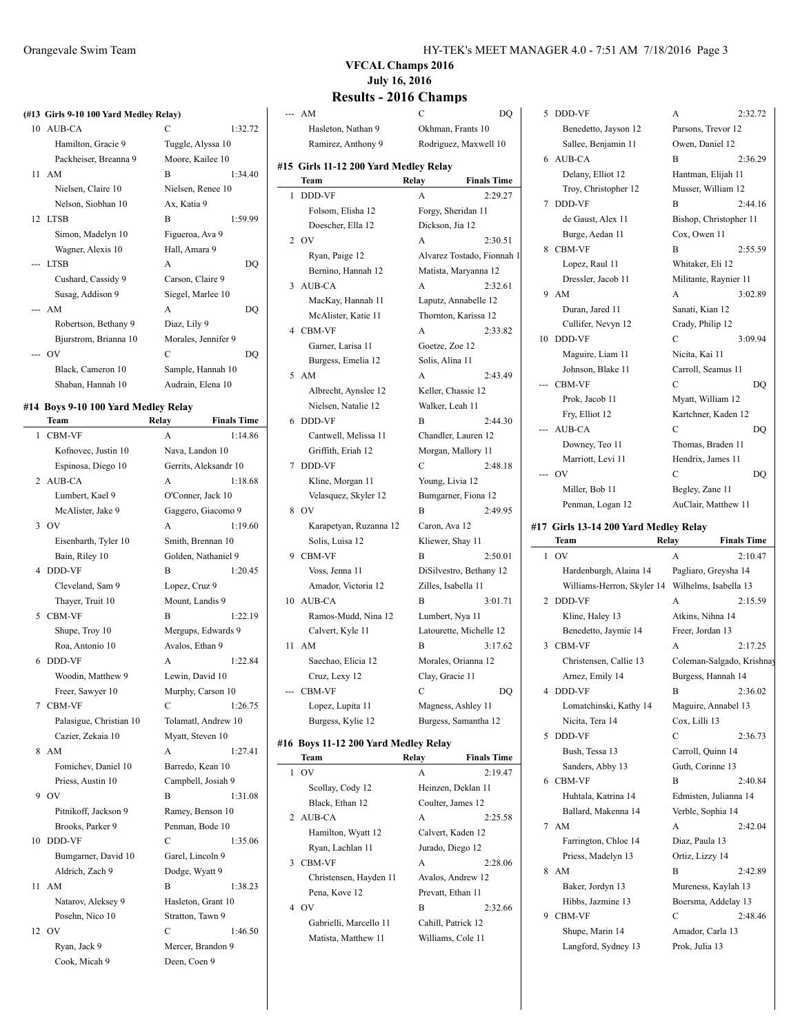## **(#13 Girls 9-10 100 Yard Medley Relay)**

| 10 AUB-CA             | C                   | 1:32.72 |
|-----------------------|---------------------|---------|
| Hamilton, Gracie 9    | Tuggle, Alyssa 10   |         |
| Packheiser, Breanna 9 | Moore, Kailee 10    |         |
| $11$ AM               | B                   | 1:34.40 |
| Nielsen, Claire 10    | Nielsen, Renee 10   |         |
| Nelson, Siobhan 10    | Ax, Katia 9         |         |
| 12 LTSB               | B                   | 1:59.99 |
| Simon, Madelyn 10     | Figueroa, Ava 9     |         |
| Wagner, Alexis 10     | Hall, Amara 9       |         |
| --- LTSB              | A                   | DQ      |
| Cushard, Cassidy 9    | Carson, Claire 9    |         |
| Susag, Addison 9      | Siegel, Marlee 10   |         |
| --- AM                | A                   | DQ      |
| Robertson, Bethany 9  | Diaz, Lily 9        |         |
| Bjurstrom, Brianna 10 | Morales, Jennifer 9 |         |
| --- OV                | C                   | DO      |
| Black, Cameron 10     | Sample, Hannah 10   |         |
| Shaban, Hannah 10     | Audrain, Elena 10   |         |

#### #14 Boys 9-10 100 Yard Me

|    | Team                    | Relay           | <b>Finals Time</b>    |
|----|-------------------------|-----------------|-----------------------|
| 1  | CBM-VF                  | A               | 1:14.86               |
|    | Kofnovec, Justin 10     |                 | Nava, Landon 10       |
|    | Espinosa, Diego 10      |                 | Gerrits, Aleksandr 10 |
| 2  | AUB-CA                  | A               | 1:18.68               |
|    | Lumbert, Kael 9         |                 | O'Conner, Jack 10     |
|    | McAlister, Jake 9       |                 | Gaggero, Giacomo 9    |
| 3  | OV                      | A               | 1:19.60               |
|    | Eisenbarth, Tyler 10    |                 | Smith, Brennan 10     |
|    | Bain, Riley 10          |                 | Golden, Nathaniel 9   |
| 4  | <b>DDD-VF</b>           | B               | 1:20.45               |
|    | Cleveland, Sam 9        | Lopez, Cruz 9   |                       |
|    | Thayer, Truit 10        |                 | Mount, Landis 9       |
| 5  | CBM-VF                  | B               | 1:22.19               |
|    | Shupe, Troy 10          |                 | Mergups, Edwards 9    |
|    | Roa, Antonio 10         | Avalos, Ethan 9 |                       |
| 6  | <b>DDD-VF</b>           | A               | 1:22.84               |
|    | Woodin, Matthew 9       |                 | Lewin, David 10       |
|    | Freer, Sawyer 10        |                 | Murphy, Carson 10     |
| 7  | <b>CBM-VF</b>           | C               | 1:26.75               |
|    | Palasigue, Christian 10 |                 | Tolamatl, Andrew 10   |
|    | Cazier, Zekaia 10       |                 | Myatt, Steven 10      |
| 8  | AM                      | A               | 1:27.41               |
|    | Fomichev, Daniel 10     |                 | Barredo, Kean 10      |
|    | Priess, Austin 10       |                 | Campbell, Josiah 9    |
| 9  | O <sub>V</sub>          | B               | 1:31.08               |
|    | Pitnikoff, Jackson 9    |                 | Ramey, Benson 10      |
|    | Brooks, Parker 9        |                 | Penman, Bode 10       |
| 10 | <b>DDD-VF</b>           | C               | 1:35.06               |
|    | Bumgarner, David 10     |                 | Garel, Lincoln 9      |
|    | Aldrich, Zach 9         | Dodge, Wyatt 9  |                       |
| 11 | AM                      | B               | 1:38.23               |
|    | Natarov, Aleksey 9      |                 | Hasleton, Grant 10    |
|    | Posehn, Nico 10         |                 | Stratton, Tawn 9      |
| 12 | OV                      | С               | 1:46.50               |
|    | Ryan, Jack 9            |                 | Mercer, Brandon 9     |
|    | Cook, Micah 9           | Deen, Coen 9    |                       |

#### Orangevale Swim Team HY-TEK's MEET MANAGER 4.0 - 7:51 AM 7/18/2016 Page 3

## **VFCAL Champs 2016 July 16, 2016**

| ley Relay)                        |                       | --- AM                                | $\mathsf{C}$    | <b>DQ</b>                  | 5 DDD-VF                                         | A                 | 2:32.72                   |
|-----------------------------------|-----------------------|---------------------------------------|-----------------|----------------------------|--------------------------------------------------|-------------------|---------------------------|
| $\mathcal{C}$                     | 1:32.72               | Hasleton, Nathan 9                    |                 | Okhman, Frants 10          | Benedetto, Jayson 12                             |                   | Parsons, Trevor 12        |
|                                   |                       |                                       |                 |                            |                                                  |                   |                           |
| Tuggle, Alyssa 10                 |                       | Ramirez, Anthony 9                    |                 | Rodriguez, Maxwell 10      | Sallee, Benjamin 11                              | Owen, Daniel 12   |                           |
| Moore, Kailee 10                  |                       | #15 Girls 11-12 200 Yard Medley Relay |                 |                            | 6 AUB-CA                                         | B                 | 2:36.29                   |
| B                                 | 1:34.40               | Team                                  | Relay           | <b>Finals Time</b>         | Delany, Elliot 12                                |                   | Hantman, Elijah 11        |
| Nielsen, Renee 10                 |                       | 1 DDD-VF                              | A               | 2:29.27                    | Troy, Christopher 12                             |                   | Musser, William 12        |
| Ax, Katia 9                       |                       |                                       |                 |                            | 7 DDD-VF                                         | B                 | 2:44.16                   |
| B                                 | 1:59.99               | Folsom, Elisha 12                     |                 | Forgy, Sheridan 11         | de Gaust, Alex 11                                |                   | Bishop, Christopher 11    |
| Figueroa, Ava 9                   |                       | Doescher, Ella 12                     | Dickson, Jia 12 |                            | Burge, Aedan 11                                  | Cox, Owen 11      |                           |
| Hall, Amara 9                     |                       | 2 OV                                  | A               | 2:30.51                    | 8 CBM-VF                                         | B                 | 2:55.59                   |
|                                   |                       | Ryan, Paige 12                        |                 | Alvarez Tostado, Fionnah 1 |                                                  |                   |                           |
| A                                 | DQ                    | Bernino, Hannah 12                    |                 | Matista, Maryanna 12       | Lopez, Raul 11                                   | Whitaker, Eli 12  |                           |
| Carson, Claire 9                  |                       | 3 AUB-CA                              | A               | 2:32.61                    | Dressler, Jacob 11                               |                   | Militante, Raynier 11     |
| Siegel, Marlee 10                 |                       | MacKay, Hannah 11                     |                 | Laputz, Annabelle 12       | 9 AM                                             | A                 | 3:02.89                   |
| A                                 | DQ                    | McAlister, Katie 11                   |                 | Thornton, Karissa 12       | Duran, Jared 11                                  | Sanati, Kian 12   |                           |
| Diaz, Lily 9                      |                       | 4 CBM-VF                              | A               |                            | Cullifer, Nevyn 12                               | Crady, Philip 12  |                           |
|                                   | Morales, Jennifer 9   |                                       |                 | 2:33.82                    | 10 DDD-VF                                        | С                 | 3:09.94                   |
| $\mathbf C$                       | DQ                    | Garner, Larisa 11                     | Goetze, Zoe 12  |                            | Maguire, Liam 11                                 | Nicita, Kai 11    |                           |
|                                   | Sample, Hannah 10     | Burgess, Emelia 12                    | Solis, Alina 11 |                            | Johnson, Blake 11                                |                   | Carroll, Seamus 11        |
|                                   |                       | $5$ AM                                | A               | 2:43.49                    | --- CBM-VF                                       | C                 | DQ                        |
| Audrain, Elena 10                 |                       | Albrecht, Aynslee 12                  |                 | Keller, Chassie 12         |                                                  |                   |                           |
| edley Relay                       |                       | Nielsen, Natalie 12                   | Walker, Leah 11 |                            | Prok, Jacob 11                                   |                   | Myatt, William 12         |
| Relay                             | <b>Finals Time</b>    | 6 DDD-VF                              | B               | 2:44.30                    | Fry, Elliot 12                                   |                   | Kartchner, Kaden 12       |
| A                                 | 1:14.86               | Cantwell, Melissa 11                  |                 | Chandler, Lauren 12        | --- AUB-CA                                       | C                 | DQ                        |
| Nava, Landon 10                   |                       | Griffith, Eriah 12                    |                 | Morgan, Mallory 11         | Downey, Teo 11                                   |                   | Thomas, Braden 11         |
|                                   | Gerrits, Aleksandr 10 | 7 DDD-VF                              | $\mathbf C$     | 2:48.18                    | Marriott, Levi 11                                |                   | Hendrix, James 11         |
|                                   |                       |                                       |                 |                            | $-0V$                                            | C                 | DQ                        |
| A                                 | 1:18.68               | Kline, Morgan 11                      | Young, Livia 12 |                            | Miller, Bob 11                                   | Begley, Zane 11   |                           |
| O'Conner, Jack 10                 |                       | Velasquez, Skyler 12                  |                 | Bumgarner, Fiona 12        | Penman, Logan 12                                 |                   | AuClair, Matthew 11       |
|                                   | Gaggero, Giacomo 9    | 8 OV                                  | B               | 2:49.95                    |                                                  |                   |                           |
| A                                 | 1:19.60               | Karapetyan, Ruzanna 12                | Caron, Ava 12   |                            | #17 Girls 13-14 200 Yard Medley Relay            |                   |                           |
|                                   | Smith, Brennan 10     | Solis, Luisa 12                       |                 | Kliewer, Shay 11           | Team                                             | Relay             | <b>Finals Time</b>        |
|                                   | Golden, Nathaniel 9   | 9 CBM-VF                              | B               | 2:50.01                    | $1$ OV                                           | A                 | 2:10.47                   |
|                                   |                       |                                       |                 |                            |                                                  |                   |                           |
| B                                 | 1:20.45               | Voss, Jenna 11                        |                 | DiSilvestro, Bethany 12    | Hardenburgh, Alaina 14                           |                   | Pagliaro, Greysha 14      |
| Lopez, Cruz 9                     |                       | Amador, Victoria 12                   |                 | Zilles, Isabella 11        | Williams-Herron, Skyler 14 Wilhelms, Isabella 13 |                   |                           |
| Mount, Landis 9                   |                       | 10 AUB-CA                             | B               | 3:01.71                    | 2 DDD-VF                                         | A                 | 2:15.59                   |
|                                   |                       |                                       |                 |                            |                                                  |                   |                           |
| B                                 | 1:22.19               | Ramos-Mudd, Nina 12                   |                 | Lumbert, Nya 11            | Kline, Haley 13                                  | Atkins, Nihna 14  |                           |
|                                   | Mergups, Edwards 9    | Calvert, Kyle 11                      |                 | Latourette, Michelle 12    | Benedetto, Jaymie 14                             | Freer, Jordan 13  |                           |
| Avalos, Ethan 9                   |                       | 11 AM                                 | B               | 3:17.62                    | 3 CBM-VF                                         | A                 | 2:17.25                   |
| A                                 | 1:22.84               | Saechao, Elicia 12                    |                 | Morales, Orianna 12        | Christensen, Callie 13                           |                   | Coleman-Salgado, Krishnay |
| Lewin, David 10                   |                       | Cruz, Lexy 12                         | Clay, Gracie 11 |                            | Arnez, Emily 14                                  |                   | Burgess, Hannah 14        |
|                                   | Murphy, Carson 10     | --- CBM-VF                            | $\mathbf C$     | $\mathbf{D}\mathbf{Q}$     | 4 DDD-VF                                         |                   | B $2:36.02$               |
| C                                 | 1:26.75               | Lopez, Lupita 11                      |                 | Magness, Ashley 11         | Lomatchinski, Kathy 14                           |                   | Maguire, Annabel 13       |
|                                   | Tolamatl, Andrew 10   | Burgess, Kylie 12                     |                 | Burgess, Samantha 12       | Nicita, Tera 14                                  | Cox, Lilli 13     |                           |
| Myatt, Steven 10                  |                       |                                       |                 |                            | 5 DDD-VF                                         | C                 | 2:36.73                   |
| A                                 | 1:27.41               | #16 Boys 11-12 200 Yard Medley Relay  |                 |                            | Bush, Tessa 13                                   | Carroll, Quinn 14 |                           |
|                                   |                       | Team                                  | Relay           | <b>Finals Time</b>         |                                                  |                   |                           |
| Barredo, Kean 10                  |                       | $1$ OV                                | A               | 2:19.47                    | Sanders, Abby 13                                 | Guth, Corinne 13  |                           |
|                                   | Campbell, Josiah 9    | Scollay, Cody 12                      |                 | Heinzen, Deklan 11         | 6 CBM-VF                                         | B                 | 2:40.84                   |
| B                                 | 1:31.08               | Black, Ethan 12                       |                 | Coulter, James 12          | Huhtala, Katrina 14                              |                   | Edmisten, Julianna 14     |
| Ramey, Benson 10                  |                       | 2 AUB-CA                              | A               | 2:25.58                    | Ballard, Makenna 14                              | Verble, Sophia 14 |                           |
| Penman, Bode 10                   |                       | Hamilton, Wyatt 12                    |                 | Calvert, Kaden 12          | 7 AM                                             | A                 | 2:42.04                   |
| С                                 | 1:35.06               | Ryan, Lachlan 11                      |                 | Jurado, Diego 12           | Farrington, Chloe 14                             | Diaz, Paula 13    |                           |
| Garel, Lincoln 9                  |                       |                                       |                 |                            | Priess, Madelyn 13                               | Ortiz, Lizzy 14   |                           |
| Dodge, Wyatt 9                    |                       | 3 CBM-VF                              | A               | 2:28.06                    | 8 AM                                             | B                 | 2:42.89                   |
| B                                 | 1:38.23               | Christensen, Hayden 11                |                 | Avalos, Andrew 12          | Baker, Jordyn 13                                 |                   | Mureness, Kaylah 13       |
|                                   | Hasleton, Grant 10    | Pena, Kove 12                         |                 | Prevatt, Ethan 11          | Hibbs, Jazmine 13                                |                   | Boersma, Addelay 13       |
| Stratton, Tawn 9                  |                       | 4 OV                                  | B               | 2:32.66                    | 9 CBM-VF                                         | C                 | 2:48.46                   |
| С                                 |                       | Gabrielli, Marcello 11                |                 | Cahill, Patrick 12         |                                                  |                   |                           |
|                                   | 1:46.50               | Matista, Matthew 11                   |                 | Williams, Cole 11          | Shupe, Marin 14                                  | Amador, Carla 13  |                           |
| Mercer, Brandon 9<br>Deen, Coen 9 |                       |                                       |                 |                            | Langford, Sydney 13                              | Prok, Julia 13    |                           |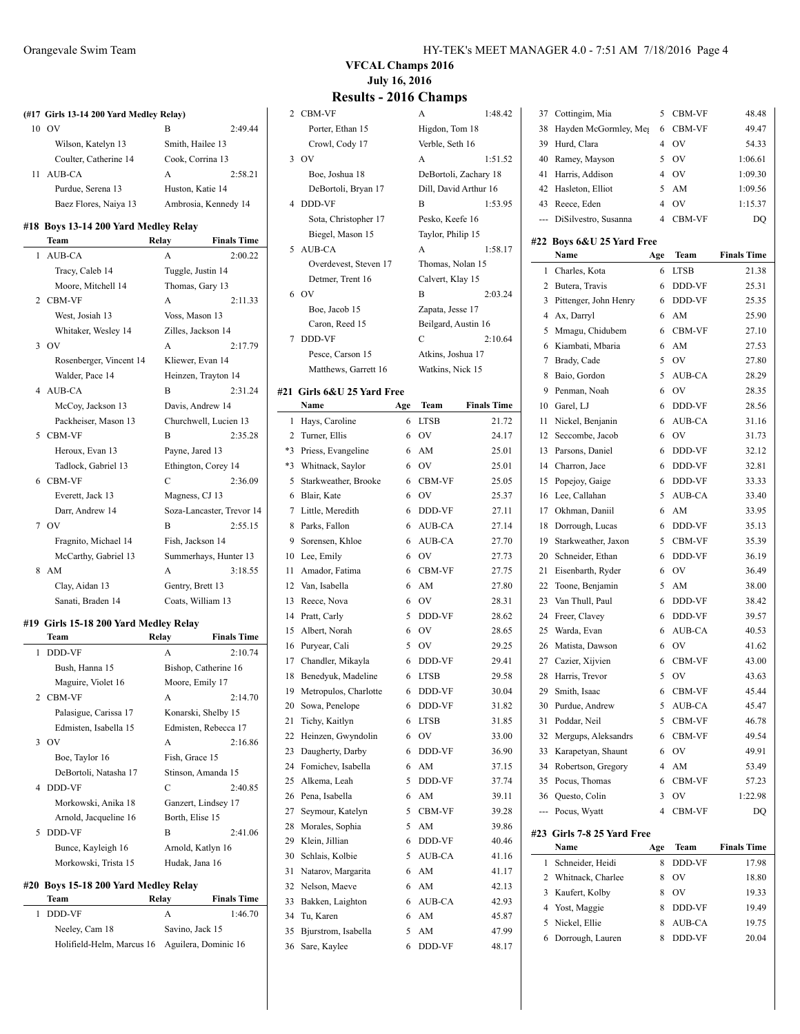|    | (#17 Girls 13-14 200 Yard Medley Relay) |                    |                           |
|----|-----------------------------------------|--------------------|---------------------------|
|    | 10 OV                                   | B                  | 2:49.44                   |
|    | Wilson, Katelyn 13                      | Smith, Hailee 13   |                           |
|    | Coulter, Catherine 14                   | Cook, Corrina 13   |                           |
| 11 | AUB-CA                                  | A                  | 2:58.21                   |
|    | Purdue, Serena 13                       | Huston, Katie 14   |                           |
|    | Baez Flores, Naiya 13                   |                    | Ambrosia, Kennedy 14      |
|    | #18 Boys 13-14 200 Yard Medley Relay    |                    |                           |
|    | Team                                    | Relay              | <b>Finals Time</b>        |
| 1  | <b>AUB-CA</b>                           | A                  | 2:00.22                   |
|    | Tracy, Caleb 14                         | Tuggle, Justin 14  |                           |
|    | Moore, Mitchell 14                      | Thomas, Gary 13    |                           |
|    | 2 CBM-VF                                | A                  | 2:11.33                   |
|    | West, Josiah 13                         | Voss, Mason 13     |                           |
|    | Whitaker, Wesley 14                     | Zilles, Jackson 14 |                           |
| 3  | OV                                      | A                  | 2:17.79                   |
|    | Rosenberger, Vincent 14                 | Kliewer, Evan 14   |                           |
|    | Walder, Pace 14                         |                    | Heinzen, Trayton 14       |
| 4  | AUB-CA                                  | B                  | 2:31.24                   |
|    | McCoy, Jackson 13                       |                    | Davis, Andrew 14          |
|    | Packheiser, Mason 13                    |                    | Churchwell, Lucien 13     |
| 5  | <b>CBM-VF</b>                           | B                  | 2:35.28                   |
|    | Heroux, Evan 13                         | Payne, Jared 13    |                           |
|    | Tadlock, Gabriel 13                     |                    | Ethington, Corey 14       |
| 6  | <b>CBM-VF</b>                           | C                  | 2:36.09                   |
|    | Everett, Jack 13                        | Magness, CJ 13     |                           |
|    | Darr, Andrew 14                         |                    | Soza-Lancaster, Trevor 14 |
|    | 7 OV                                    | B                  | 2:55.15                   |
|    | Fragnito, Michael 14                    | Fish, Jackson 14   |                           |
|    | McCarthy, Gabriel 13                    |                    | Summerhays, Hunter 13     |
| 8  | AM                                      | A                  | 3:18.55                   |
|    | Clay, Aidan 13                          | Gentry, Brett 13   |                           |
|    | Sanati, Braden 14                       | Coats, William 13  |                           |
|    | #19 Girls 15-18 200 Yard Medley Relay   |                    |                           |
|    | Team                                    | Relay              | <b>Finals Time</b>        |
| 1  | <b>DDD-VF</b>                           | A                  | 2:10.74                   |
|    | Bush, Hanna 15                          |                    | Bishop, Catherine 16      |
|    | Maguire, Violet 16                      | Moore, Emily 17    |                           |
|    | CDMMP                                   |                    | 2.14.70                   |

**#21 Girls 6&U 25 Yard Free**

| Maguire, Violet 16    | Moore, Emily 17      |         |
|-----------------------|----------------------|---------|
| 2 CBM-VF              | A                    | 2:14.70 |
| Palasigue, Carissa 17 | Konarski, Shelby 15  |         |
| Edmisten, Isabella 15 | Edmisten, Rebecca 17 |         |
| 3.0V                  | A                    | 2:16.86 |
| Boe, Taylor 16        | Fish, Grace 15       |         |
| DeBortoli, Natasha 17 | Stinson, Amanda 15   |         |
| 4 DDD-VF              | C                    | 2:40.85 |
| Morkowski, Anika 18   | Ganzert, Lindsey 17  |         |
| Arnold, Jacqueline 16 | Borth, Elise 15      |         |
| 5 DDD-VF              | B                    | 2:41.06 |
| Bunce, Kayleigh 16    | Arnold, Katlyn 16    |         |
| Morkowski, Trista 15  | Hudak, Jana 16       |         |

#### **#20 Boys 15-18 200 Yard Medley Relay**

| Team           | Relav                                          | <b>Finals Time</b> |
|----------------|------------------------------------------------|--------------------|
| 1 DDD-VF       | А                                              | 1:46.70            |
| Neeley, Cam 18 |                                                | Savino, Jack 15    |
|                | Holifield-Helm, Marcus 16 Aguilera, Dominic 16 |                    |

**VFCAL Champs 2016 July 16, 2016**

| $\overline{2}$ | CBM-VF                 |     | A                     | 1:48.42            |   |
|----------------|------------------------|-----|-----------------------|--------------------|---|
|                | Porter, Ethan 15       |     | Higdon, Tom 18        |                    |   |
|                | Crowl, Cody 17         |     | Verble, Seth 16       |                    |   |
| 3              | <b>OV</b>              |     | A                     | 1:51.52            |   |
|                | Boe, Joshua 18         |     | DeBortoli, Zachary 18 |                    |   |
|                |                        |     | Dill, David Arthur 16 |                    |   |
| 4              | DeBortoli, Bryan 17    |     | B                     |                    |   |
|                | DDD-VF                 |     |                       | 1:53.95            |   |
|                | Sota, Christopher 17   |     | Pesko, Keefe 16       |                    |   |
|                | Biegel, Mason 15       |     | Taylor, Philip 15     |                    | ŧ |
| 5              | AUB-CA                 |     | A                     | 1:58.17            |   |
|                | Overdevest, Steven 17  |     | Thomas, Nolan 15      |                    |   |
|                | Detmer, Trent 16       |     | Calvert, Klay 15      |                    |   |
| 6              | <b>OV</b>              |     | B                     | 2:03.24            |   |
|                | Boe, Jacob 15          |     | Zapata, Jesse 17      |                    |   |
|                | Caron, Reed 15         |     | Beilgard, Austin 16   |                    |   |
| 7              | DDD-VF                 |     | C                     | 2:10.64            |   |
|                | Pesce, Carson 15       |     | Atkins, Joshua 17     |                    |   |
|                | Matthews, Garrett 16   |     | Watkins, Nick 15      |                    |   |
|                |                        |     |                       |                    |   |
| 21.            | Girls 6&U 25 Yard Free |     |                       |                    |   |
|                | Name                   | Age | Team                  | <b>Finals Time</b> |   |
| 1              | Hays, Caroline         | 6   | <b>LTSB</b>           | 21.72              |   |
| 2              | Turner, Ellis          | 6   | OV                    | 24.17              |   |
| *3             | Priess, Evangeline     | 6   | AM                    | 25.01              |   |
| *3             | Whitnack, Saylor       | 6   | <b>OV</b>             | 25.01              |   |
| 5              | Starkweather, Brooke   | 6   | CBM-VF                | 25.05              |   |
| 6              | Blair, Kate            | 6   | OV                    | 25.37              |   |
| 7              | Little, Meredith       | 6   | DDD-VF                | 27.11              |   |
| 8              | Parks, Fallon          | 6   | AUB-CA                | 27.14              |   |
| 9              | Sorensen, Khloe        | 6   | AUB-CA                | 27.70              |   |
| 10             | Lee, Emily             | 6   | OV                    | 27.73              |   |
| 11             | Amador, Fatima         | 6   | CBM-VF                | 27.75              |   |
| 12             | Van, Isabella          | 6   | AM                    | 27.80              |   |
| 13             | Reece, Nova            | 6   | OV                    | 28.31              |   |
| 14             | Pratt, Carly           | 5   | DDD-VF                | 28.62              |   |
| 15             | Albert, Norah          | 6   | OV                    | 28.65              |   |
| 16             | Puryear, Cali          | 5   | OV                    | 29.25              |   |
| 17             | Chandler, Mikayla      | 6   | DDD-VF                | 29.41              |   |
| 18             |                        | 6   | LTSB                  | 29.58              |   |
|                | Benedyuk, Madeline     |     |                       |                    |   |
| 19             | Metropulos, Charlotte  | 6   | DDD-VF                | 30.04              |   |
| 20             | Sowa, Penelope         | 6   | DDD-VF                | 31.82              |   |
| 21             | Tichy, Kaitlyn         | 6   | <b>LTSB</b>           | 31.85              |   |
| 22             | Heinzen, Gwyndolin     | 6   | OV                    | 33.00              |   |
| 23             | Daugherty, Darby       | 6   | DDD-VF                | 36.90              |   |
| 24             | Fomichev, Isabella     | 6   | AM                    | 37.15              |   |
| 25             | Alkema, Leah           | 5   | DDD-VF                | 37.74              |   |
| 26             | Pena, Isabella         | 6   | AM                    | 39.11              |   |
| 27             | Seymour, Katelyn       | 5   | CBM-VF                | 39.28              |   |
| 28             | Morales, Sophia        | 5   | AM                    | 39.86              |   |
| 29             | Klein, Jillian         | 6   | DDD-VF                | 40.46              | ħ |
| 30             | Schlais, Kolbie        | 5   | AUB-CA                | 41.16              |   |
| 31             | Natarov, Margarita     | 6   | AM                    | 41.17              |   |
| 32             | Nelson, Maeve          | 6   | AM                    | 42.13              |   |
| 33             | Bakken, Laighton       | 6   | AUB-CA                | 42.93              |   |
| 34             | Tu, Karen              | 6   | AM                    | 45.87              |   |
| 35             | Bjurstrom, Isabella    | 5   | AM                    | 47.99              |   |
| 36             | Sare, Kaylee           | 6   | DDD-VF                | 48.17              |   |
|                |                        |     |                       |                    |   |

| 37  | Cottingim, Mia             | 5              | CBM-VF      | 48.48              |
|-----|----------------------------|----------------|-------------|--------------------|
| 38  | Hayden McGormley, Meg      | 6              | CBM-VF      | 49.47              |
| 39  | Hurd, Clara                | 4              | OV          | 54.33              |
| 40  | Ramey, Mayson              | 5              | OV          | 1:06.61            |
| 41  | Harris, Addison            | 4              | OV          | 1:09.30            |
| 42  | Hasleton, Elliot           | 5              | AM          | 1:09.56            |
| 43  | Reece, Eden                | 4              | OV          | 1:15.37            |
| --- | DiSilvestro, Susanna       | $\overline{4}$ | CBM-VF      | DQ                 |
|     |                            |                |             |                    |
| #22 | Boys 6&U 25 Yard Free      |                |             |                    |
|     | Name                       | Age            | Team        | <b>Finals Time</b> |
| 1   | Charles, Kota              | 6              | <b>LTSB</b> | 21.38              |
| 2   | Butera, Travis             | 6              | DDD-VF      | 25.31              |
| 3   | Pittenger, John Henry      | 6              | DDD-VF      | 25.35              |
| 4   | Ax, Darryl                 | 6              | AM          | 25.90              |
| 5   | Mmagu, Chidubem            | 6              | CBM-VF      | 27.10              |
| 6   | Kiambati, Mbaria           | 6              | AM          | 27.53              |
| 7   | Brady, Cade                | 5              | OV          | 27.80              |
| 8   | Baio, Gordon               | 5              | AUB-CA      | 28.29              |
| 9   | Penman, Noah               | 6              | OV          | 28.35              |
| 10  | Garel, LJ                  | 6              | DDD-VF      | 28.56              |
| 11  | Nickel, Benjanin           | 6              | AUB-CA      | 31.16              |
| 12  | Seccombe, Jacob            | 6              | OV          | 31.73              |
| 13  | Parsons, Daniel            | 6              | DDD-VF      | 32.12              |
| 14  | Charron, Jace              | 6              | DDD-VF      | 32.81              |
| 15  | Popejoy, Gaige             | 6              | DDD-VF      | 33.33              |
| 16  | Lee, Callahan              | 5              | AUB-CA      | 33.40              |
| 17  | Okhman, Daniil             | 6              | AM          | 33.95              |
| 18  | Dorrough, Lucas            | 6              | DDD-VF      | 35.13              |
| 19  | Starkweather, Jaxon        | 5              | CBM-VF      | 35.39              |
| 20  | Schneider, Ethan           | 6              | DDD-VF      | 36.19              |
| 21  | Eisenbarth, Ryder          | 6              | OV          | 36.49              |
| 22  | Toone, Benjamin            | 5              | AM          | 38.00              |
| 23  | Van Thull, Paul            | 6              | DDD-VF      | 38.42              |
| 24  | Freer, Clavev              | 6              | DDD-VF      | 39.57              |
| 25  | Warda, Evan                | 6              | AUB-CA      | 40.53              |
| 26  | Matista, Dawson            | 6              | OV          | 41.62              |
| 27  | Cazier, Xijvien            | 6              | CBM-VF      | 43.00              |
| 28  | Harris, Trevor             | 5              | OV          | 43.63              |
| 29  | Smith, Isaac               | 6              | CBM-VF      | 45.44              |
| 30  | Purdue, Andrew             | 5              | AUB-CA      | 45.47              |
| 31  | Poddar, Neil               | 5              | CBM-VF      | 46.78              |
| 32  | Mergups, Aleksandrs        | 6              | CBM-VF      | 49.54              |
| 33  | Karapetyan, Shaunt         | 6              | OV          | 49.91              |
| 34  | Robertson, Gregory         | 4              | AM          | 53.49              |
| 35  | Pocus, Thomas              | 6              | CBM-VF      | 57.23              |
| 36  | Questo, Colin              | 3              | OV          | 1:22.98            |
| --- | Pocus, Wyatt               | 4              | CBM-VF      | DQ                 |
|     | #23 Girls 7-8 25 Yard Free |                |             |                    |
|     | Name                       | Age            | Team        | <b>Finals Time</b> |
| 1   | Schneider, Heidi           | 8              | DDD-VF      | 17.98              |
| 2   | Whitnack, Charlee          | 8              | OV          | 18.80              |
| 3   | Kaufert, Kolby             | 8              | OV          | 19.33              |
| 4   | Yost, Maggie               | 8              | DDD-VF      | 19.49              |
| 5   | Nickel, Ellie              | 8              | AUB-CA      | 19.75              |
| 6   | Dorrough, Lauren           | 8              | DDD-VF      | 20.04              |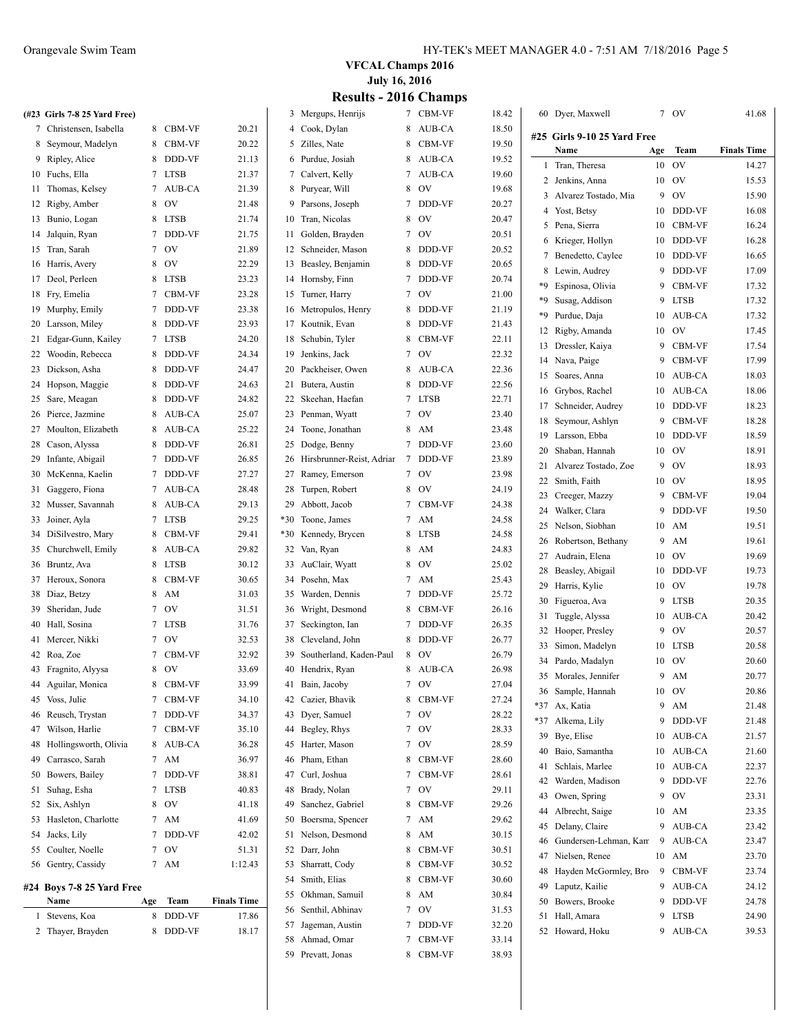| <b>VFCAL Champs 2016</b>     |  |
|------------------------------|--|
| <b>July 16, 2016</b>         |  |
| <b>Results - 2016 Champs</b> |  |

|    |                              |             |               |                    |     | 9016 - 2010               |   | ашрэ          |       |                             |     |               |                    |
|----|------------------------------|-------------|---------------|--------------------|-----|---------------------------|---|---------------|-------|-----------------------------|-----|---------------|--------------------|
|    | (#23 Girls 7-8 25 Yard Free) |             |               |                    |     | 3 Mergups, Henrijs        |   | 7 CBM-VF      | 18.42 | 60 Dyer, Maxwell            |     | 7 OV          | 41.68              |
|    | 7 Christensen, Isabella      |             | 8 CBM-VF      | 20.21              |     | 4 Cook, Dylan             |   | 8 AUB-CA      | 18.50 | #25 Girls 9-10 25 Yard Free |     |               |                    |
| 8  | Seymour, Madelyn             |             | 8 CBM-VF      | 20.22              |     | 5 Zilles, Nate            |   | 8 CBM-VF      | 19.50 | Name                        | Age | Team          | <b>Finals Time</b> |
|    | 9 Ripley, Alice              |             | 8 DDD-VF      | 21.13              |     | 6 Purdue, Josiah          |   | 8 AUB-CA      | 19.52 | 1 Tran, Theresa             | 10  | OV            | 14.27              |
|    | 10 Fuchs, Ella               |             | 7 LTSB        | 21.37              |     | 7 Calvert, Kelly          |   | 7 AUB-CA      | 19.60 | 2 Jenkins, Anna             | 10  | OV            | 15.53              |
|    | 11 Thomas, Kelsey            |             | 7 AUB-CA      | 21.39              |     | 8 Puryear, Will           |   | 8 OV          | 19.68 | 3 Alvarez Tostado, Mia      |     | 9 OV          | 15.90              |
|    | 12 Rigby, Amber              |             | 8 OV          | 21.48              |     | 9 Parsons, Joseph         |   | 7 DDD-VF      | 20.27 | 4 Yost, Betsy               | 10  | DDD-VF        | 16.08              |
|    | 13 Bunio, Logan              |             | 8 LTSB        | 21.74              |     | 10 Tran, Nicolas          |   | 8 OV          | 20.47 | 5 Pena, Sierra              | 10  | CBM-VF        | 16.24              |
| 14 | Jalquin, Ryan                |             | 7 DDD-VF      | 21.75              |     | 11 Golden, Brayden        |   | 7 OV          | 20.51 | 6 Krieger, Hollyn           | 10  | DDD-VF        | 16.28              |
| 15 | Tran, Sarah                  | 7           | <b>OV</b>     | 21.89              |     | 12 Schneider, Mason       |   | 8 DDD-VF      | 20.52 | 7 Benedetto, Caylee         | 10  | DDD-VF        | 16.65              |
|    | 16 Harris, Avery             | 8           | <b>OV</b>     | 22.29              |     | 13 Beasley, Benjamin      |   | 8 DDD-VF      | 20.65 | 8 Lewin, Audrey             | 9   | DDD-VF        | 17.09              |
|    | 17 Deol, Perleen             |             | 8 LTSB        | 23.23              |     | 14 Hornsby, Finn          |   | 7 DDD-VF      | 20.74 | *9 Espinosa, Olivia         | 9   | <b>CBM-VF</b> | 17.32              |
| 18 | Fry, Emelia                  |             | 7 CBM-VF      | 23.28              |     | 15 Turner, Harry          |   | 7 OV          | 21.00 | *9 Susag, Addison           | 9   | <b>LTSB</b>   | 17.32              |
| 19 | Murphy, Emily                | $7^{\circ}$ | DDD-VF        | 23.38              |     | 16 Metropulos, Henry      |   | 8 DDD-VF      | 21.19 |                             | 10  | AUB-CA        |                    |
| 20 | Larsson, Miley               | 8           | DDD-VF        | 23.93              | 17  | Koutnik, Evan             | 8 | DDD-VF        | 21.43 | *9 Purdue, Daja             |     |               | 17.32              |
| 21 | Edgar-Gunn, Kailey           |             | 7 LTSB        | 24.20              | 18  | Schubin, Tyler            | 8 | CBM-VF        | 22.11 | 12 Rigby, Amanda            | 10  | <b>OV</b>     | 17.45              |
|    | 22 Woodin, Rebecca           |             | 8 DDD-VF      | 24.34              |     | 19 Jenkins, Jack          |   | 7 OV          | 22.32 | 13 Dressler, Kaiya          | 9   | CBM-VF        | 17.54              |
|    | 23 Dickson, Asha             |             | 8 DDD-VF      | 24.47              |     | 20 Packheiser, Owen       |   | 8 AUB-CA      | 22.36 | 14 Nava, Paige              | 9   | CBM-VF        | 17.99              |
|    | 24 Hopson, Maggie            |             | 8 DDD-VF      | 24.63              |     | 21 Butera, Austin         |   | 8 DDD-VF      | 22.56 | 15 Soares, Anna             |     | 10 AUB-CA     | 18.03              |
|    | 25 Sare, Meagan              |             | 8 DDD-VF      | 24.82              | 22  | Skeehan, Haefan           |   | 7 LTSB        | 22.71 | 16 Grybos, Rachel           | 10  | AUB-CA        | 18.06              |
|    | 26 Pierce, Jazmine           | 8           | AUB-CA        | 25.07              | 23  | Penman, Wyatt             |   | 7 OV          | 23.40 | 17 Schneider, Audrey        | 10  | DDD-VF        | 18.23              |
|    | 27 Moulton, Elizabeth        | 8           | AUB-CA        | 25.22              | 24  | Toone, Jonathan           |   | 8 AM          | 23.48 | 18 Seymour, Ashlyn          | 9   | <b>CBM-VF</b> | 18.28              |
|    | 28 Cason, Alyssa             | 8           | DDD-VF        | 26.81              |     | 25 Dodge, Benny           |   | 7 DDD-VF      | 23.60 | 19 Larsson, Ebba            | 10  | DDD-VF        | 18.59              |
| 29 | Infante, Abigail             |             | 7 DDD-VF      | 26.85              | 26  | Hirsbrunner-Reist, Adrian | 7 | DDD-VF        | 23.89 | 20 Shaban, Hannah           | 10  | <b>OV</b>     | 18.91              |
| 30 | McKenna, Kaelin              |             | 7 DDD-VF      | 27.27              |     | 27 Ramey, Emerson         |   | 7 OV          | 23.98 | 21 Alvarez Tostado, Zoe     | 9   | OV            | 18.93              |
| 31 | Gaggero, Fiona               |             | 7 AUB-CA      | 28.48              | 28  | Turpen, Robert            |   | 8 OV          | 24.19 | 22 Smith, Faith             | 10  | <b>OV</b>     | 18.95              |
|    | 32 Musser, Savannah          |             | 8 AUB-CA      | 29.13              | 29  | Abbott, Jacob             | 7 | <b>CBM-VF</b> |       | 23 Creeger, Mazzy           | 9   | <b>CBM-VF</b> | 19.04              |
|    |                              |             |               |                    | *30 |                           |   |               | 24.38 | 24 Walker, Clara            | 9   | DDD-VF        | 19.50              |
|    | 33 Joiner, Ayla              |             | 7 LTSB        | 29.25              |     | Toone, James              |   | 7 AM          | 24.58 | 25 Nelson, Siobhan          | 10  | AM            | 19.51              |
|    | 34 DiSilvestro, Mary         |             | 8 CBM-VF      | 29.41              |     | *30 Kennedy, Brycen       |   | 8 LTSB        | 24.58 | 26 Robertson, Bethany       | 9   | AM            | 19.61              |
|    | 35 Churchwell, Emily         |             | 8 AUB-CA      | 29.82              |     | 32 Van, Ryan              |   | 8 AM          | 24.83 | 27 Audrain, Elena           | 10  | <b>OV</b>     | 19.69              |
|    | 36 Bruntz, Ava               |             | 8 LTSB        | 30.12              |     | 33 AuClair, Wyatt         |   | 8 OV          | 25.02 | 28 Beasley, Abigail         | 10  | DDD-VF        | 19.73              |
|    | 37 Heroux, Sonora            |             | 8 CBM-VF      | 30.65              |     | 34 Posehn, Max            |   | 7 AM          | 25.43 | 29 Harris, Kylie            | 10  | <b>OV</b>     | 19.78              |
|    | 38 Diaz, Betzy               |             | 8 AM          | 31.03              |     | 35 Warden, Dennis         |   | 7 DDD-VF      | 25.72 | 30 Figueroa, Ava            | 9   | LTSB          | 20.35              |
|    | 39 Sheridan, Jude            | $7^{\circ}$ | <b>OV</b>     | 31.51              | 36  | Wright, Desmond           | 8 | CBM-VF        | 26.16 | 31 Tuggle, Alyssa           | 10  | AUB-CA        | 20.42              |
| 40 | Hall, Sosina                 |             | 7 LTSB        | 31.76              |     | 37 Seckington, Ian        |   | 7 DDD-VF      | 26.35 | 32 Hooper, Presley          | 9   | OV            | 20.57              |
|    | 41 Mercer, Nikki             |             | 7 OV          | 32.53              | 38  | Cleveland, John           |   | 8 DDD-VF      | 26.77 | 33 Simon, Madelyn           | 10  | <b>LTSB</b>   | 20.58              |
|    | 42 Roa, Zoe                  | $7^{\circ}$ | <b>CBM-VF</b> | 32.92              | 39  | Southerland, Kaden-Paul   |   | 8 OV          | 26.79 | 34 Pardo, Madalyn           | 10  | <b>OV</b>     | 20.60              |
|    | 43 Fragnito, Alyysa          |             | 8 OV          | 33.69              |     | 40 Hendrix, Ryan          |   | 8 AUB-CA      | 26.98 | 35 Morales, Jennifer        |     | 9 AM          | 20.77              |
|    | 44 Aguilar, Monica           |             | 8 CBM-VF      | 33.99              |     | 41 Bain, Jacoby           |   | 7 OV          | 27.04 | 36 Sample, Hannah           |     | 10 OV         | 20.86              |
|    | 45 Voss, Julie               |             | 7 CBM-VF      | 34.10              |     | 42 Cazier, Bhavik         |   | 8 CBM-VF      | 27.24 | *37 Ax, Katia               |     | 9 AM          | 21.48              |
|    | 46 Reusch, Trystan           |             | 7 DDD-VF      | 34.37              |     | 43 Dyer, Samuel           |   | 7 OV          | 28.22 | *37 Alkema, Lily            |     | 9 DDD-VF      | 21.48              |
|    | 47 Wilson, Harlie            |             | 7 CBM-VF      | 35.10              |     | 44 Begley, Rhys           |   | 7 OV          | 28.33 | 39 Bye, Elise               |     | 10 AUB-CA     | 21.57              |
| 48 | Hollingsworth, Olivia        |             | 8 AUB-CA      | 36.28              |     | 45 Harter, Mason          |   | 7 OV          | 28.59 | 40 Baio, Samantha           |     | 10 AUB-CA     | 21.60              |
| 49 | Carrasco, Sarah              |             | 7 AM          | 36.97              |     | 46 Pham, Ethan            |   | 8 CBM-VF      | 28.60 | 41 Schlais, Marlee          | 10  | AUB-CA        | 22.37              |
| 50 | Bowers, Bailey               |             | 7 DDD-VF      | 38.81              |     | 47 Curl, Joshua           |   | 7 CBM-VF      | 28.61 | 42 Warden, Madison          | 9   | DDD-VF        | 22.76              |
| 51 | Suhag, Esha                  |             | 7 LTSB        | 40.83              |     | 48 Brady, Nolan           |   | 7 OV          | 29.11 |                             | 9   |               |                    |
|    | 52 Six, Ashlyn               |             | 8 OV          | 41.18              | 49  | Sanchez, Gabriel          |   | 8 CBM-VF      | 29.26 | 43 Owen, Spring             |     | <b>OV</b>     | 23.31              |
| 53 | Hasleton, Charlotte          |             | 7 AM          | 41.69              | 50  | Boersma, Spencer          |   | 7 AM          | 29.62 | 44 Albrecht, Saige          | 10  | AM            | 23.35              |
| 54 | Jacks, Lily                  |             | 7 DDD-VF      | 42.02              |     | 51 Nelson, Desmond        |   | 8 AM          | 30.15 | 45 Delany, Claire           |     | 9 AUB-CA      | 23.42              |
| 55 | Coulter, Noelle              |             | 7 OV          | 51.31              |     | 52 Darr, John             | 8 | CBM-VF        | 30.51 | 46 Gundersen-Lehman, Kam    | 9   | AUB-CA        | 23.47              |
|    | 56 Gentry, Cassidy           |             | 7 AM          | 1:12.43            |     | 53 Sharratt, Cody         | 8 | CBM-VF        | 30.52 | 47 Nielsen, Renee           |     | 10 AM         | 23.70              |
|    |                              |             |               |                    |     | 54 Smith, Elias           | 8 | CBM-VF        | 30.60 | 48 Hayden McGormley, Bro    |     | 9 CBM-VF      | 23.74              |
|    | #24 Boys 7-8 25 Yard Free    |             |               |                    |     | 55 Okhman, Samuil         |   | 8 AM          | 30.84 | 49 Laputz, Kailie           |     | 9 AUB-CA      | 24.12              |
|    | Name                         | Age         | Team          | <b>Finals Time</b> |     | 56 Senthil, Abhinav       |   | 7 OV          | 31.53 | 50 Bowers, Brooke           |     | 9 DDD-VF      | 24.78              |
|    | 1 Stevens, Koa               |             | 8 DDD-VF      | 17.86              |     | 57 Jageman, Austin        |   | 7 DDD-VF      | 32.20 | 51 Hall, Amara              |     | 9 LTSB        | 24.90              |
|    | 2 Thayer, Brayden            |             | 8 DDD-VF      | 18.17              |     | 58 Ahmad, Omar            |   | 7 CBM-VF      | 33.14 | 52 Howard, Hoku             |     | 9 AUB-CA      | 39.53              |
|    |                              |             |               |                    |     | 59 Prevatt, Jonas         |   | 8 CBM-VF      | 38.93 |                             |     |               |                    |
|    |                              |             |               |                    |     |                           |   |               |       |                             |     |               |                    |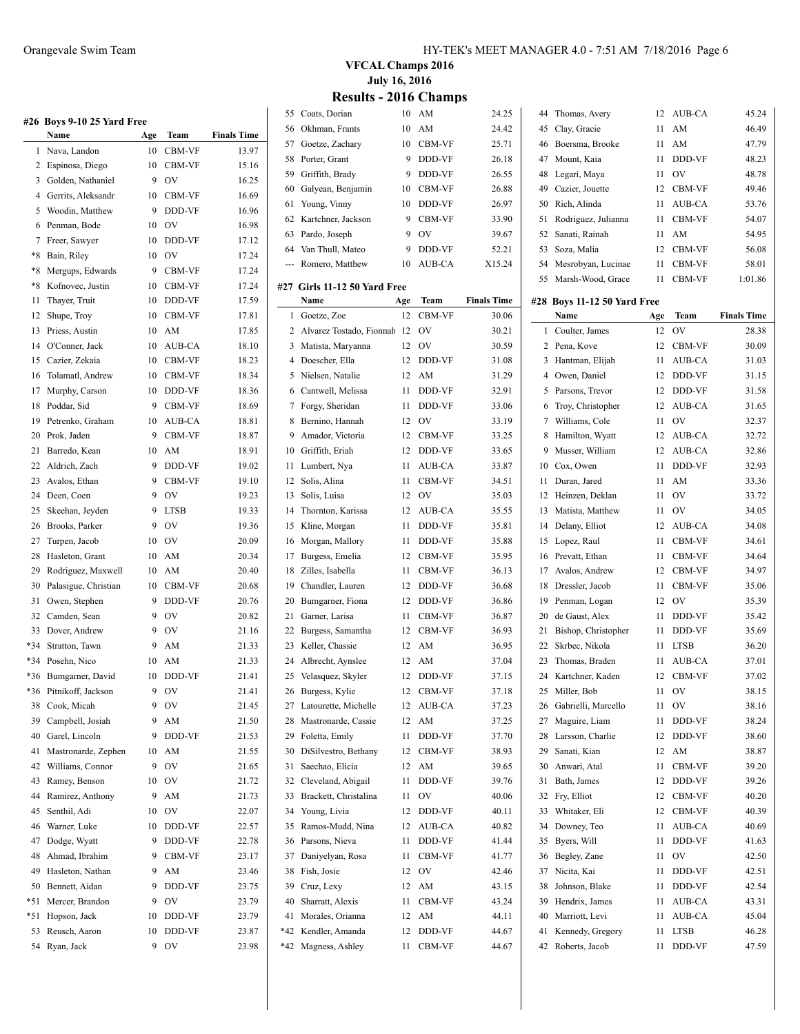|       | #26 Boys 9-10 25 Yard Free |     |                               |                    |
|-------|----------------------------|-----|-------------------------------|--------------------|
|       | Name                       | Age | Team                          | <b>Finals Time</b> |
| 1     | Nava, Landon               | 10  | CBM-VF                        | 13.97              |
| 2     | Espinosa, Diego            | 10  | <b>CBM-VF</b>                 | 15.16              |
| 3     | Golden, Nathaniel          | 9   | <b>OV</b>                     | 16.25              |
| 4     | Gerrits, Aleksandr         | 10  | CBM-VF                        | 16.69              |
| 5     | Woodin, Matthew            | 9   | DDD-VF                        | 16.96              |
| 6     | Penman, Bode               | 10  | OV                            | 16.98              |
| 7     | Freer, Sawyer              | 10  | DDD-VF                        | 17.12              |
| $*8$  | Bain, Riley                | 10  | <b>OV</b>                     | 17.24              |
| $*8$  | Mergups, Edwards           | 9   | CBM-VF                        | 17.24              |
| $*8$  | Kofnovec, Justin           | 10  | CBM-VF                        | 17.24              |
| 11    | Thayer, Truit              | 10  | DDD-VF                        | 17.59              |
| 12    | Shupe, Troy                | 10  | <b>CBM-VF</b>                 | 17.81              |
| 13    | Priess, Austin             | 10  | AM                            | 17.85              |
| 14    | O'Conner, Jack             | 10  | AUB-CA                        | 18.10              |
| 15    | Cazier, Zekaia             | 10  | CBM-VF                        | 18.23              |
| 16    | Tolamatl, Andrew           | 10  | CBM-VF                        | 18.34              |
| 17    | Murphy, Carson             | 10  | DDD-VF                        | 18.36              |
| 18    | Poddar, Sid                | 9   | CBM-VF                        | 18.69              |
| 19    | Petrenko, Graham           | 10  | AUB-CA                        | 18.81              |
| 20    | Prok, Jaden                | 9   | CBM-VF                        | 18.87              |
| 21    | Barredo, Kean              | 10  | AM                            | 18.91              |
| 22    | Aldrich, Zach              | 9   | DDD-VF                        | 19.02              |
| 23    | Avalos, Ethan              | 9   | <b>CBM-VF</b>                 | 19.10              |
| 24    | Deen, Coen                 | 9   | <b>OV</b>                     | 19.23              |
| 25    | Skeehan, Jeyden            | 9   | <b>LTSB</b>                   | 19.33              |
| 26    | Brooks, Parker             | 9   | OV                            | 19.36              |
| 27    | Turpen, Jacob              | 10  | <b>OV</b>                     | 20.09              |
| 28    | Hasleton, Grant            | 10  | AM                            | 20.34              |
| 29    | Rodriguez, Maxwell         | 10  | AM                            | 20.40              |
| 30    | Palasigue, Christian       | 10  | CBM-VF                        | 20.68              |
| 31    | Owen, Stephen              | 9   | DDD-VF                        | 20.76              |
| 32    | Camden, Sean               | 9   | OV                            | 20.82              |
| 33    | Dover, Andrew              | 9   | OV                            | 21.16              |
| $*34$ | Stratton, Tawn             | 9   | AM                            | 21.33              |
|       | *34 Posehn, Nico           | 10  | AM                            | 21.33              |
| *36   | Bumgarner, David           | 10  | DDD-VF                        | 21.41              |
| *36   | Pitnikoff, Jackson         | 9   | OV                            | 21.41              |
| 38    | Cook, Micah                | 9   | $\overline{\text{O}}\text{V}$ | 21.45              |
| 39    | Campbell, Josiah           | 9   | AM                            | 21.50              |
| 40    | Garel, Lincoln             | 9   | DDD-VF                        | 21.53              |
| 41    | Mastronarde, Zephen        | 10  | AM                            | 21.55              |
| 42    | Williams, Connor           | 9   | OV                            | 21.65              |
| 43    | Ramey, Benson              | 10  | OV                            | 21.72              |
| 44    | Ramirez, Anthony           | 9   | AM                            | 21.73              |
| 45    | Senthil, Adi               | 10  | OV                            | 22.07              |
| 46    | Warner, Luke               | 10  | DDD-VF                        | 22.57              |
| 47    | Dodge, Wyatt               | 9   | DDD-VF                        | 22.78              |
| 48    | Ahmad, Ibrahim             | 9   | CBM-VF                        | 23.17              |
| 49    | Hasleton, Nathan           | 9   | AM                            | 23.46              |
| 50    | Bennett, Aidan             | 9   | DDD-VF                        | 23.75              |
| $*51$ | Mercer, Brandon            | 9   | OV                            | 23.79              |
| *51   | Hopson, Jack               | 10  | DDD-VF                        | 23.79              |

 Reusch, Aaron 10 DDD-VF 23.87 Ryan, Jack 9 OV 23.98

**VFCAL Champs 2016 July 16, 2016 Results - 2016 Champs**

|                | reputed                              | $-0.0$ | $\mathbf{u}$  |                    |         |                 |
|----------------|--------------------------------------|--------|---------------|--------------------|---------|-----------------|
| 55             | Coats, Dorian                        | 10     | AM            | 24.25              | 44      | Tho             |
| 56             | Okhman, Frants                       | 10     | AM            | 24.42              | 45      | Clay            |
| 57             | Goetze, Zachary                      | 10     | <b>CBM-VF</b> | 25.71              | 46      | Boe             |
| 58             | Porter, Grant                        | 9      | DDD-VF        | 26.18              | 47      | Mo              |
| 59             | Griffith, Brady                      | 9      | DDD-VF        | 26.55              | 48      | Leg             |
| 60             | Galyean, Benjamin                    | 10     | <b>CBM-VF</b> | 26.88              | 49      | Caz             |
| 61             | Young, Vinny                         | 10     | DDD-VF        | 26.97              | 50      | Ricl            |
| 62             | Kartchner, Jackson                   | 9      | CBM-VF        | 33.90              | 51      | Rod             |
| 63             | Pardo, Joseph                        | 9      | OV            | 39.67              | 52      | San             |
| 64             | Van Thull, Mateo                     | 9      | DDD-VF        | 52.21              | 53      | Soz             |
| ---            | Romero, Matthew                      | 10     | <b>AUB-CA</b> | X15.24             | 54      | Mes             |
|                |                                      |        |               |                    | 55      | Mar             |
|                | #27 Girls 11-12 50 Yard Free<br>Name | Age    | Team          | <b>Finals Time</b> |         |                 |
| 1              | Goetze, Zoe                          | 12     | <b>CBM-VF</b> | 30.06              | #28 Boy | Nar             |
| 2              | Alvarez Tostado, Fionnah             | 12     | OV            | 30.21              | 1       | Cou             |
| 3              | Matista, Maryanna                    | 12     | OV            | 30.59              | 2       | Pen             |
| $\overline{4}$ | Doescher, Ella                       | 12     | DDD-VF        | 31.08              | 3       | Han             |
| 5              | Nielsen, Natalie                     | 12     | AM            | 31.29              | 4       | Ow              |
| 6              | Cantwell, Melissa                    | 11     | DDD-VF        | 32.91              | 5       | Pars            |
| 7              | Forgy, Sheridan                      | 11     | DDD-VF        | 33.06              | 6       | Tro <sup></sup> |
| 8              | Bernino, Hannah                      | 12     | OV            | 33.19              | 7       | Wil             |
| 9              | Amador, Victoria                     | 12     | CBM-VF        | 33.25              | 8       | Han             |
|                | 10 Griffith, Eriah                   | 12     | DDD-VF        | 33.65              | 9       | Mus             |
| 11             | Lumbert, Nya                         | 11     | AUB-CA        | 33.87              | 10      | Cox             |
| 12             | Solis, Alina                         | 11     | <b>CBM-VF</b> | 34.51              | 11      | Dur             |
| 13             | Solis, Luisa                         | 12     | OV            | 35.03              | 12      | Hei             |
| 14             | Thornton, Karissa                    | 12     | AUB-CA        | 35.55              | 13      | Mat             |
| 15             | Kline, Morgan                        | 11     | DDD-VF        | 35.81              | 14      | Dela            |
| 16             | Morgan, Mallory                      | 11     | DDD-VF        | 35.88              | 15      | Lop             |
| 17             | Burgess, Emelia                      | 12     | CBM-VF        | 35.95              | 16      | Prey            |
| 18             | Zilles, Isabella                     | 11     | CBM-VF        | 36.13              | 17      | Ava             |
| 19             | Chandler, Lauren                     | 12     | DDD-VF        | 36.68              | 18      | Dre:            |
| 20             | Bumgarner, Fiona                     | 12     | DDD-VF        | 36.86              | 19      | Pen             |
| 21             | Garner, Larisa                       | 11     | CBM-VF        | 36.87              | 20      | de C            |
| 22             | Burgess, Samantha                    | 12     | CBM-VF        | 36.93              | 21      | <b>Bisl</b>     |
| 23             | Keller, Chassie                      | 12     | AM            | 36.95              | 22      | Skrl            |
| 24             | Albrecht, Aynslee                    | 12     | AM            | 37.04              | 23      | Tho             |
| 25             | Velasquez, Skyler                    | 12     | DDD-VF        | 37.15              | 24      | Kar             |
| 26             | Burgess, Kylie                       | 12     | CBM-VF        | 37.18              | 25      | Mill            |
| 27             | Latourette, Michelle                 | 12     | AUB-CA        | 37.23              | 26      | Gab             |
| 28             | Mastronarde, Cassie                  | 12     | AM            | 37.25              | 27      | Mag             |
| 29             | Foletta, Emily                       | 11     | DDD-VF        | 37.70              | 28      | Lars            |
| 30             | DiSilvestro, Bethany                 | 12     | CBM-VF        | 38.93              | 29      | San             |
| 31             | Saechao, Elicia                      | 12     | AM            | 39.65              | 30      | Any             |
| 32             | Cleveland, Abigail                   | 11     | DDD-VF        | 39.76              | 31      | Batl            |
| 33             | Brackett, Christalina                | 11     | OV            | 40.06              | 32      | Fry,            |
| 34             | Young, Livia                         | 12     | DDD-VF        | 40.11              | 33      | Whi             |
| 35             | Ramos-Mudd, Nina                     | 12     | AUB-CA        | 40.82              | 34      | Dov             |
| 36             | Parsons, Nieva                       | 11     | DDD-VF        | 41.44              | 35      | Bye             |
| 37             | Daniyelyan, Rosa                     | 11     | CBM-VF        | 41.77              | 36      | Beg             |
| 38             | Fish, Josie                          | 12     | OV            | 42.46              | 37      | Nici            |
| 39             | Cruz, Lexy                           | 12     | AM            | 43.15              | 38      | Johi            |
| 40             | Sharratt, Alexis                     | 11     | CBM-VF        | 43.24              | 39      | Hen             |
| 41             | Morales, Orianna                     | 12     | AM            | 44.11              | 40      | Mar             |
| *42            | Kendler, Amanda                      | 12     | DDD-VF        | 44.67              | 41      | Ken             |
| $*42$          | Magness, Ashley                      | 11     | CBM-VF        | 44.67              | 42      | Rob             |

| 44 | Thomas, Avery               | 12  | AUB-CA      | 45.24              |
|----|-----------------------------|-----|-------------|--------------------|
| 45 | Clay, Gracie                | 11  | AM          | 46.49              |
| 46 | Boersma, Brooke             | 11  | AM          | 47.79              |
| 47 | Mount, Kaia                 | 11  | DDD-VF      | 48.23              |
| 48 | Legari, Maya                | 11  | OV          | 48.78              |
| 49 | Cazier, Jouette             | 12  | CBM-VF      | 49.46              |
| 50 | Rich, Alinda                | 11  | AUB-CA      | 53.76              |
| 51 | Rodriguez, Julianna         | 11  | CBM-VF      | 54.07              |
| 52 | Sanati, Rainah              | 11  | AM          | 54.95              |
| 53 | Soza, Malia                 | 12  | CBM-VF      | 56.08              |
| 54 | Mesrobyan, Lucinae          | 11  | CBM-VF      | 58.01              |
| 55 | Marsh-Wood, Grace           | 11  | CBM-VF      | 1:01.86            |
|    |                             |     |             |                    |
|    | #28 Boys 11-12 50 Yard Free |     |             |                    |
|    | Name                        | Age | Team        | <b>Finals Time</b> |
| 1  | Coulter, James              | 12  | OV          | 28.38              |
| 2  | Pena, Kove                  | 12  | CBM-VF      | 30.09              |
| 3  | Hantman, Elijah             | 11  | AUB-CA      | 31.03              |
| 4  | Owen, Daniel                | 12  | DDD-VF      | 31.15              |
| 5  | Parsons, Trevor             | 12  | DDD-VF      | 31.58              |
| 6  | Troy, Christopher           | 12  | AUB-CA      | 31.65              |
| 7  | Williams, Cole              | 11  | OV          | 32.37              |
| 8  | Hamilton, Wyatt             | 12  | AUB-CA      | 32.72              |
| 9  | Musser, William             | 12  | AUB-CA      | 32.86              |
| 10 | Cox, Owen                   | 11  | DDD-VF      | 32.93              |
| 11 | Duran, Jared                | 11  | AM          | 33.36              |
| 12 | Heinzen, Deklan             | 11  | OV          | 33.72              |
| 13 | Matista, Matthew            | 11  | OV          | 34.05              |
| 14 | Delany, Elliot              | 12  | AUB-CA      | 34.08              |
| 15 | Lopez, Raul                 | 11  | CBM-VF      | 34.61              |
| 16 | Prevatt, Ethan              | 11  | CBM-VF      | 34.64              |
| 17 | Avalos, Andrew              | 12  | CBM-VF      | 34.97              |
| 18 | Dressler, Jacob             | 11  | CBM-VF      | 35.06              |
| 19 | Penman, Logan               | 12  | OV          | 35.39              |
| 20 | de Gaust, Alex              | 11  | DDD-VF      | 35.42              |
| 21 | Bishop, Christopher         | 11  | DDD-VF      | 35.69              |
| 22 | Skrbec, Nikola              | 11  | <b>LTSB</b> | 36.20              |
| 23 | Thomas, Braden              | 11  | AUB-CA      | 37.01              |
| 24 | Kartchner, Kaden            | 12  | CBM-VF      | 37.02              |
| 25 | Miller, Bob                 | 11  | OV          | 38.15              |
| 26 | Gabrielli, Marcello         | 11  | OV          | 38.16              |
| 27 | Maguire, Liam               | 11  | DDD-VF      | 38.24              |
| 28 | Larsson, Charlie            | 12  | DDD-VF      | 38.60              |
|    | Sanati, Kian                |     | AM          |                    |
| 29 |                             | 12  |             | 38.87              |
| 30 | Anwari, Atal                | 11  | CBM-VF      | 39.20              |
| 31 | Bath, James                 | 12  | DDD-VF      | 39.26              |
| 32 | Frv. Elliot                 | 12  | CBM-VF      | 40.20              |
| 33 | Whitaker, Eli               | 12  | CBM-VF      | 40.39              |
| 34 | Downey, Teo                 | 11  | AUB-CA      | 40.69              |
| 35 | Byers, Will                 | 11  | DDD-VF      | 41.63              |
| 36 | Begley, Zane                | 11  | OV          | 42.50              |
| 37 | Nicita, Kai                 | 11  | DDD-VF      | 42.51              |
| 38 | Johnson, Blake              | 11  | DDD-VF      | 42.54              |
| 39 | Hendrix, James              | 11  | AUB-CA      | 43.31              |
| 40 | Marriott, Levi              | 11  | AUB-CA      | 45.04              |
| 41 | Kennedy, Gregory            | 11  | LTSB        | 46.28              |
| 42 | Roberts, Jacob              | 11  | DDD-VF      | 47.59              |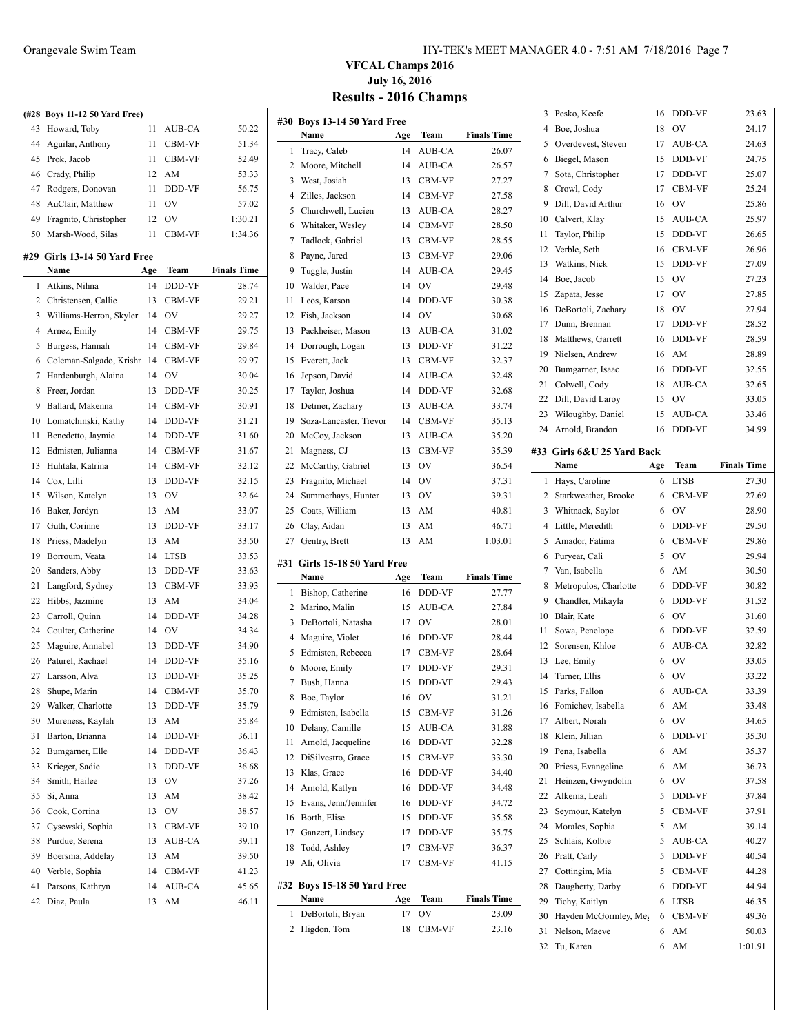| (#28 | <b>Boys 11-12 50 Yard Free)</b> |     |             |                    |
|------|---------------------------------|-----|-------------|--------------------|
| 43   | Howard, Toby                    | 11  | AUB-CA      | 50.22              |
| 44   | Aguilar, Anthony                | 11  | CBM-VF      | 51.34              |
| 45   | Prok, Jacob                     | 11  | CBM-VF      | 52.49              |
| 46   | Crady, Philip                   | 12  | AM          | 53.33              |
| 47   | Rodgers, Donovan                | 11  | DDD-VF      | 56.75              |
|      |                                 |     |             |                    |
| 48   | AuClair, Matthew                | 11  | OV          | 57.02              |
| 49   | Fragnito, Christopher           | 12  | <b>OV</b>   | 1:30.21            |
| 50   | Marsh-Wood, Silas               | 11  | CBM-VF      | 1:34.36            |
| #29  | Girls 13-14 50 Yard Free        |     |             |                    |
|      | Name                            | Age | Team        | <b>Finals Time</b> |
| 1    | Atkins, Nihna                   | 14  | DDD-VF      | 28.74              |
| 2    | Christensen, Callie             | 13  | CBM-VF      | 29.21              |
| 3    | Williams-Herron, Skyler         | 14  | OV          | 29.27              |
| 4    | Arnez, Emily                    | 14  | CBM-VF      | 29.75              |
| 5    | Burgess, Hannah                 | 14  | CBM-VF      | 29.84              |
| 6    | Coleman-Salgado, Krishr         | 14  | CBM-VF      | 29.97              |
| 7    | Hardenburgh, Alaina             | 14  | <b>OV</b>   | 30.04              |
| 8    | Freer, Jordan                   | 13  | DDD-VF      | 30.25              |
| 9    | Ballard, Makenna                | 14  | CBM-VF      | 30.91              |
| 10   | Lomatchinski, Kathy             | 14  | DDD-VF      | 31.21              |
| 11   | Benedetto, Jaymie               | 14  | DDD-VF      | 31.60              |
| 12   | Edmisten, Julianna              | 14  | CBM-VF      | 31.67              |
| 13   | Huhtala, Katrina                | 14  | CBM-VF      | 32.12              |
| 14   | Cox, Lilli                      | 13  | DDD-VF      | 32.15              |
| 15   | Wilson, Katelyn                 | 13  | <b>OV</b>   | 32.64              |
| 16   | Baker, Jordyn                   | 13  | AM          | 33.07              |
| 17   | Guth, Corinne                   | 13  | DDD-VF      | 33.17              |
| 18   | Priess, Madelyn                 | 13  | AM          | 33.50              |
| 19   | Borroum, Veata                  | 14  | <b>LTSB</b> | 33.53              |
| 20   | Sanders, Abby                   | 13  | DDD-VF      | 33.63              |
| 21   | Langford, Sydney                | 13  | CBM-VF      | 33.93              |
| 22   |                                 |     | AM          |                    |
|      | Hibbs, Jazmine                  | 13  |             | 34.04              |
| 23   | Carroll, Quinn                  | 14  | DDD-VF      | 34.28              |
| 24   | Coulter, Catherine              | 14  | OV          | 34.34              |
| 25   | Maguire, Annabel                | 13  | DDD-VF      | 34.90              |
| 26   | Paturel, Rachael                | 14  | DDD-VF      | 35.16              |
| 27   | Larsson, Alva                   | 13  | DDD-VF      | 35.25              |
| 28   | Shupe, Marin                    | 14  | CBM-VF      | 35.70              |
| 29   | Walker, Charlotte               | 13  | DDD-VF      | 35.79              |
| 30   | Mureness, Kaylah                | 13  | AM          | 35.84              |
| 31   | Barton, Brianna                 | 14  | DDD-VF      | 36.11              |
| 32   | Bumgarner, Elle                 | 14  | DDD-VF      | 36.43              |
| 33   | Krieger, Sadie                  | 13  | DDD-VF      | 36.68              |
| 34   | Smith, Hailee                   | 13  | OV          | 37.26              |
| 35   | Si, Anna                        | 13  | AM          | 38.42              |
| 36   | Cook, Corrina                   | 13  | OV          | 38.57              |
| 37   | Cysewski, Sophia                | 13  | CBM-VF      | 39.10              |
| 38   | Purdue, Serena                  | 13  | AUB-CA      | 39.11              |
| 39   | Boersma, Addelay                | 13  | AM          | 39.50              |
| 40   | Verble, Sophia                  | 14  | CBM-VF      | 41.23              |
| 41   | Parsons, Kathryn                | 14  | AUB-CA      | 45.65              |
| 42   | Diaz, Paula                     | 13  | AM          | 46.11              |

#### Orangevale Swim Team HY-TEK's MEET MANAGER 4.0 - 7:51 AM 7/18/2016 Page 7

 $\overline{1}$ 

 $23.63$ 

## **VFCAL Champs 2016 July 16, 2016 Results - 2016 Champs**

|    | #30 Boys 13-14 50 Yard Free  |     |               |                    | 3              | Pesko, Keefe               | 16  | DDD-VF        | 23.63              |
|----|------------------------------|-----|---------------|--------------------|----------------|----------------------------|-----|---------------|--------------------|
|    | Name                         | Age | Team          | <b>Finals Time</b> | 4              | Boe, Joshua                | 18  | OV            | 24.17              |
|    | 1 Tracy, Caleb               | 14  | AUB-CA        | 26.07              | 5              | Overdevest, Steven         | 17  | AUB-CA        | 24.63              |
|    |                              |     |               |                    | 6              | Biegel, Mason              | 15  | DDD-VF        | 24.75              |
|    | 2 Moore, Mitchell            | 14  | AUB-CA        | 26.57              | 7              | Sota, Christopher          | 17  | DDD-VF        | 25.07              |
| 3  | West, Josiah                 | 13  | CBM-VF        | 27.27              | 8              | Crowl, Cody                | 17  | <b>CBM-VF</b> | 25.24              |
| 4  | Zilles, Jackson              | 14  | CBM-VF        | 27.58              | 9              | Dill, David Arthur         | 16  | OV            | 25.86              |
| 5  | Churchwell, Lucien           | 13  | AUB-CA        | 28.27              | 10             | Calvert, Klay              | 15  | AUB-CA        | 25.97              |
| 6  | Whitaker, Wesley             | 14  | CBM-VF        | 28.50              | 11             | Taylor, Philip             | 15  | DDD-VF        | 26.65              |
| 7  | Tadlock, Gabriel             | 13  | <b>CBM-VF</b> | 28.55              | 12             | Verble, Seth               | 16  | CBM-VF        | 26.96              |
| 8  | Payne, Jared                 | 13  | <b>CBM-VF</b> | 29.06              | 13             | Watkins, Nick              | 15  | DDD-VF        | 27.09              |
| 9  | Tuggle, Justin               | 14  | AUB-CA        | 29.45              | 14             | Boe, Jacob                 | 15  | OV            | 27.23              |
| 10 | Walder, Pace                 | 14  | <b>OV</b>     | 29.48              | 15             | Zapata, Jesse              | 17  | OV            | 27.85              |
| 11 | Leos, Karson                 | 14  | DDD-VF        | 30.38              |                |                            | 18  | OV            | 27.94              |
|    | 12 Fish, Jackson             | 14  | <b>OV</b>     | 30.68              | 16             | DeBortoli, Zachary         |     |               |                    |
| 13 | Packheiser, Mason            | 13  | AUB-CA        | 31.02              | 17             | Dunn, Brennan              | 17  | DDD-VF        | 28.52              |
| 14 | Dorrough, Logan              | 13  | DDD-VF        | 31.22              | 18             | Matthews, Garrett          | 16  | DDD-VF        | 28.59              |
| 15 | Everett, Jack                | 13  | CBM-VF        | 32.37              | 19             | Nielsen, Andrew            | 16  | AM            | 28.89              |
| 16 | Jepson, David                | 14  | AUB-CA        | 32.48              | 20             | Bumgarner, Isaac           | 16  | DDD-VF        | 32.55              |
| 17 | Taylor, Joshua               | 14  | DDD-VF        | 32.68              | 21             | Colwell, Cody              | 18  | AUB-CA        | 32.65              |
| 18 | Detmer, Zachary              | 13  | AUB-CA        | 33.74              | 22             | Dill, David Laroy          | 15  | OV            | 33.05              |
| 19 | Soza-Lancaster, Trevor       | 14  | CBM-VF        | 35.13              | 23             | Wiloughby, Daniel          | 15  | <b>AUB-CA</b> | 33.46              |
| 20 | McCoy, Jackson               | 13  | AUB-CA        | 35.20              | 24             | Arnold, Brandon            | 16  | DDD-VF        | 34.99              |
| 21 | Magness, CJ                  | 13  | CBM-VF        | 35.39              |                | #33 Girls 6&U 25 Yard Back |     |               |                    |
| 22 | McCarthy, Gabriel            | 13  | <b>OV</b>     | 36.54              |                | Name                       | Age | Team          | <b>Finals Time</b> |
| 23 | Fragnito, Michael            | 14  | <b>OV</b>     | 37.31              |                | 1 Hays, Caroline           | 6   | <b>LTSB</b>   | 27.30              |
| 24 | Summerhays, Hunter           | 13  | <b>OV</b>     | 39.31              | $\overline{2}$ | Starkweather, Brooke       | 6   | <b>CBM-VF</b> | 27.69              |
| 25 | Coats, William               | 13  | AM            | 40.81              | 3              | Whitnack, Saylor           | 6   | OV            | 28.90              |
| 26 | Clay, Aidan                  | 13  | AM            | 46.71              | 4              | Little, Meredith           | 6   | DDD-VF        | 29.50              |
| 27 | Gentry, Brett                | 13  | AM            | 1:03.01            | 5              | Amador, Fatima             | 6   | CBM-VF        | 29.86              |
|    |                              |     |               |                    |                |                            | 5   | OV            | 29.94              |
|    | #31 Girls 15-18 50 Yard Free |     |               |                    | 6              | Puryear, Cali              |     |               |                    |
|    | Name                         | Age | Team          | <b>Finals Time</b> | 7              | Van, Isabella              | 6   | AM            | 30.50              |
|    | 1 Bishop, Catherine          | 16  | DDD-VF        | 27.77              | 8              | Metropulos, Charlotte      | 6   | DDD-VF        | 30.82              |
|    | 2 Marino, Malin              | 15  | AUB-CA        | 27.84              | 9              | Chandler, Mikayla          | 6   | DDD-VF        | 31.52              |
|    | 3 DeBortoli, Natasha         | 17  | <b>OV</b>     | 28.01              | 10             | Blair, Kate                | 6   | <b>OV</b>     | 31.60              |
|    | 4 Maguire, Violet            | 16  | DDD-VF        | 28.44              | 11             | Sowa, Penelope             | 6   | DDD-VF        | 32.59              |
|    | 5 Edmisten, Rebecca          | 17  | CBM-VF        | 28.64              | 12             | Sorensen, Khloe            | 6   | AUB-CA        | 32.82              |
| 6  | Moore, Emily                 | 17  | DDD-VF        | 29.31              | 13             | Lee, Emily                 | 6   | <b>OV</b>     | 33.05              |
|    | 7 Bush, Hanna                | 15  | <b>DDD-VF</b> | 29.43              | 14             | Turner, Ellis              | 6   | <b>OV</b>     | 33.22              |
|    | 8 Boe, Taylor                | 16  | OV            | 31.21              |                | 15 Parks, Fallon           | 6   | AUB-CA        | 33.39              |
|    | 9 Edmisten, Isabella         | 15  | CBM-VF        | 31.26              |                | 16 Fomichev, Isabella      | 6   | AM            | 33.48              |
| 10 | Delany, Camille              | 15  | AUB-CA        | 31.88              | 17             | Albert, Norah              | 6   | OV            | 34.65              |
| 11 | Arnold, Jacqueline           | 16  | DDD-VF        | 32.28              | 18             | Klein, Jillian             | 6   | DDD-VF        | 35.30              |
|    | 12 DiSilvestro, Grace        | 15  | CBM-VF        | 33.30              | 19             | Pena, Isabella             | 6   | AM            | 35.37              |
| 13 | Klas, Grace                  | 16  | DDD-VF        | 34.40              | 20             | Priess, Evangeline         | 6   | AM            | 36.73              |
| 14 | Arnold, Katlyn               | 16  | DDD-VF        | 34.48              | 21             | Heinzen, Gwyndolin         | 6   | OV            | 37.58              |
|    | 15 Evans, Jenn/Jennifer      | 16  | DDD-VF        | 34.72              | 22             | Alkema, Leah               | 5   | DDD-VF        | 37.84              |
|    | 16 Borth, Elise              | 15  | DDD-VF        | 35.58              | 23             | Seymour, Katelyn           | 5   | CBM-VF        | 37.91              |
| 17 |                              | 17  |               |                    | 24             | Morales, Sophia            | 5   | AM            | 39.14              |
|    | Ganzert, Lindsey             |     | DDD-VF        | 35.75              | 25             | Schlais, Kolbie            | 5   | AUB-CA        | 40.27              |
| 18 | Todd, Ashley                 | 17  | CBM-VF        | 36.37              | 26             | Pratt, Carly               | 5   | DDD-VF        | 40.54              |
|    | 19 Ali, Olivia               | 17  | CBM-VF        | 41.15              | 27             | Cottingim, Mia             | 5   | CBM-VF        | 44.28              |
|    | #32 Boys 15-18 50 Yard Free  |     |               |                    | 28             | Daugherty, Darby           | 6   | DDD-VF        | 44.94              |
|    | Name                         | Age | Team          | <b>Finals Time</b> | 29             | Tichy, Kaitlyn             | 6   | <b>LTSB</b>   | 46.35              |
|    | 1 DeBortoli, Bryan           | 17  | OV            | 23.09              | 30             | Hayden McGormley, Meg      | 6   | CBM-VF        | 49.36              |
|    | 2 Higdon, Tom                | 18  | CBM-VF        | 23.16              | 31             | Nelson, Maeve              | 6   | AM            | 50.03              |
|    |                              |     |               |                    |                | 32 Tu, Karen               |     | 6 AM          | 1:01.91            |
|    |                              |     |               |                    |                |                            |     |               |                    |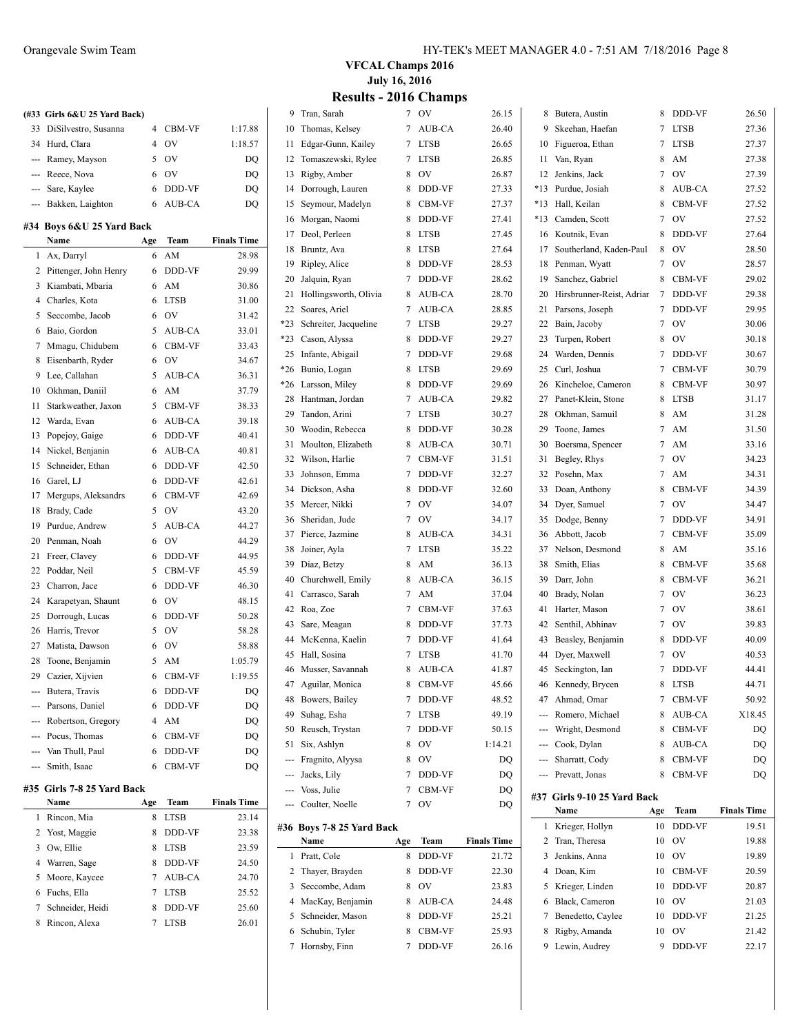|     | (#33 Girls 6&U 25 Yard Back) |                |               |                    |
|-----|------------------------------|----------------|---------------|--------------------|
| 33  | DiSilvestro, Susanna         | $\overline{4}$ | CBM-VF        | 1:17.88            |
|     | 34 Hurd, Clara               | 4              | OV            | 1:18.57            |
|     | --- Ramey, Mayson            | 5              | <b>OV</b>     | DQ                 |
|     | --- Reece, Nova              | 6              | <b>OV</b>     | DQ                 |
|     | --- Sare, Kaylee             | 6              | DDD-VF        | DQ                 |
|     | --- Bakken, Laighton         | 6              | AUB-CA        | DQ                 |
|     | #34 Boys 6&U 25 Yard Back    |                |               |                    |
|     | Name                         | Age            | Team          | <b>Finals Time</b> |
| 1   | Ax, Darryl                   | 6              | AM            | 28.98              |
| 2   | Pittenger, John Henry        | 6              | DDD-VF        | 29.99              |
| 3   | Kiambati, Mbaria             | 6              | AM            | 30.86              |
| 4   | Charles, Kota                | 6              | <b>LTSB</b>   | 31.00              |
| 5   | Seccombe, Jacob              | 6              | <b>OV</b>     | 31.42              |
| 6   | Baio, Gordon                 | 5              | AUB-CA        | 33.01              |
| 7   | Mmagu, Chidubem              | 6              | CBM-VF        | 33.43              |
| 8   | Eisenbarth, Ryder            | 6              | <b>OV</b>     | 34.67              |
| 9   | Lee, Callahan                | 5              | AUB-CA        | 36.31              |
| 10  | Okhman, Daniil               | 6              | AM            | 37.79              |
| 11  | Starkweather, Jaxon          | 5              | <b>CBM-VF</b> | 38.33              |
| 12  | Warda, Evan                  | 6              | AUB-CA        | 39.18              |
| 13  | Popejoy, Gaige               | 6              | DDD-VF        | 40.41              |
| 14  | Nickel, Benjanin             | 6              | AUB-CA        | 40.81              |
| 15  | Schneider, Ethan             | 6              | DDD-VF        | 42.50              |
| 16  | Garel, LJ                    | 6              | DDD-VF        | 42.61              |
| 17  | Mergups, Aleksandrs          | 6              | CBM-VF        | 42.69              |
| 18  | Brady, Cade                  | 5              | <b>OV</b>     | 43.20              |
| 19  | Purdue, Andrew               | 5              | AUB-CA        | 44.27              |
| 20  | Penman, Noah                 | 6              | <b>OV</b>     | 44.29              |
| 21  | Freer, Clavey                | 6              | DDD-VF        | 44.95              |
| 22  | Poddar, Neil                 | 5              | CBM-VF        | 45.59              |
| 23  | Charron, Jace                | 6              | DDD-VF        | 46.30              |
| 24  | Karapetyan, Shaunt           | 6              | <b>OV</b>     | 48.15              |
| 25  | Dorrough, Lucas              | 6              | DDD-VF        | 50.28              |
| 26  | Harris, Trevor               | 5              | OV            | 58.28              |
| 27  | Matista, Dawson              | 6              | <b>OV</b>     | 58.88              |
| 28  | Toone, Benjamin              | 5              | AM            | 1:05.79            |
| 29  | Cazier, Xijvien              | 6              | CBM-VF        | 1:19.55            |
|     | --- Butera, Travis           | 6              | DDD-VF        | DQ                 |
|     | --- Parsons, Daniel          | 6              | DDD-VF        | DQ                 |
|     | Robertson, Gregory           | 4              | AM            | DQ                 |
|     | Pocus, Thomas                | 6              | CBM-VF        | DQ                 |
|     | Van Thull, Paul              | 6              | DDD-VF        | DQ                 |
| --- | Smith, Isaac                 | 6              | CBM-VF        | DQ                 |
|     | #35 Girls 7-8 25 Yard Back   |                |               |                    |
|     | Name                         | Age            | Team          | <b>Finals Time</b> |
| 1   | Rincon, Mia                  | 8              | LTSB          | 23.14              |
|     |                              |                |               |                    |

| 1 | Rincon, Mia        | 8 | <b>LTSB</b>   | 23.14 |
|---|--------------------|---|---------------|-------|
|   | 2 Yost, Maggie     | 8 | <b>DDD-VF</b> | 23.38 |
| 3 | Ow, Ellie          | 8 | <b>LTSB</b>   | 23.59 |
|   | 4 Warren, Sage     | 8 | DDD-VF        | 24.50 |
|   | 5 Moore, Kaycee    |   | AUB-CA        | 24.70 |
| 6 | Fuchs, Ella        |   | <b>LTSB</b>   | 25.52 |
|   | 7 Schneider, Heidi | 8 | DDD-VF        | 25.60 |
|   | Rincon, Alexa      |   | <b>LTSB</b>   | 26.01 |
|   |                    |   |               |       |

**VFCAL Champs 2016 July 16, 2016**

#### **Results - 2016 Champs**

| 9     | Tran, Sarah                       | 7   | OV               | 26.15                       | 8                   | Butera, Austin                    | 8        | DDD-VF           | 26.50              |
|-------|-----------------------------------|-----|------------------|-----------------------------|---------------------|-----------------------------------|----------|------------------|--------------------|
| 10    | Thomas, Kelsey                    | 7   | AUB-CA           | 26.40                       | 9                   | Skeehan, Haefan                   | 7        | <b>LTSB</b>      | 27.36              |
| 11    | Edgar-Gunn, Kailey                | 7   | <b>LTSB</b>      | 26.65                       | 10                  | Figueroa, Ethan                   | 7        | <b>LTSB</b>      | 27.37              |
| 12    | Tomaszewski, Rylee                | 7   | <b>LTSB</b>      | 26.85                       | 11                  | Van, Ryan                         | 8        | AM               | 27.38              |
| 13    | Rigby, Amber                      | 8   | OV               | 26.87                       | 12                  | Jenkins, Jack                     | 7        | 0V               | 27.39              |
| 14    | Dorrough, Lauren                  | 8   | DDD-VF           | 27.33                       | *13                 | Purdue, Josiah                    | 8        | AUB-CA           | 27.52              |
| 15    | Seymour, Madelyn                  | 8   | CBM-VF           | 27.37                       | *13                 | Hall, Keilan                      | 8        | <b>CBM-VF</b>    | 27.52              |
| 16    | Morgan, Naomi                     | 8   | DDD-VF           | 27.41                       | *13                 | Camden, Scott                     | 7        | 0V               | 27.52              |
| 17    | Deol, Perleen                     | 8   | <b>LTSB</b>      | 27.45                       | 16                  | Koutnik, Evan                     | 8        | DDD-VF           | 27.64              |
| 18    | Bruntz, Ava                       | 8   | <b>LTSB</b>      | 27.64                       | 17                  | Southerland, Kaden-Paul           | 8        | OV               | 28.50              |
| 19    | Ripley, Alice                     | 8   | DDD-VF           | 28.53                       | 18                  | Penman, Wyatt                     | 7        | OV               | 28.57              |
| 20    | Jalquin, Ryan                     | 7   | DDD-VF           | 28.62                       | 19                  | Sanchez, Gabriel                  | 8        | <b>CBM-VF</b>    | 29.02              |
| 21    | Hollingsworth, Olivia             | 8   | AUB-CA           | 28.70                       | 20                  | Hirsbrunner-Reist, Adriar         | 7        | DDD-VF           | 29.38              |
| 22    | Soares, Ariel                     | 7   | AUB-CA           | 28.85                       | 21                  | Parsons, Joseph                   | 7        | DDD-VF           | 29.95              |
| *23   | Schreiter, Jacqueline             | 7   | <b>LTSB</b>      | 29.27                       | 22                  | Bain, Jacoby                      | 7        | OV               | 30.06              |
| $*23$ | Cason, Alyssa                     | 8   | DDD-VF           | 29.27                       | 23                  | Turpen, Robert                    | 8        | OV               | 30.18              |
| 25    | Infante, Abigail                  | 7   | DDD-VF           | 29.68                       | 24                  | Warden, Dennis                    | 7        | DDD-VF           | 30.67              |
| *26   | Bunio, Logan                      | 8   | <b>LTSB</b>      | 29.69                       | 25                  | Curl, Joshua                      | 7        | CBM-VF           | 30.79              |
| *26   | Larsson, Miley                    | 8   | DDD-VF           | 29.69                       | 26                  | Kincheloe, Cameron                | 8        | CBM-VF           | 30.97              |
| 28    | Hantman, Jordan                   | 7   | AUB-CA           | 29.82                       | 27                  | Panet-Klein, Stone                | 8        | <b>LTSB</b>      | 31.17              |
| 29    | Tandon, Arini                     | 7   | <b>LTSB</b>      | 30.27                       | 28                  | Okhman, Samuil                    | 8        | AM               | 31.28              |
| 30    | Woodin, Rebecca                   | 8   | DDD-VF           | 30.28                       | 29                  | Toone, James                      | 7        | AM               | 31.50              |
| 31    | Moulton, Elizabeth                | 8   | AUB-CA           | 30.71                       | 30                  | Boersma, Spencer                  | 7        | AM               | 33.16              |
| 32    | Wilson, Harlie                    | 7   | <b>CBM-VF</b>    | 31.51                       | 31                  | Begley, Rhys                      | 7        | OV               | 34.23              |
| 33    | Johnson, Emma                     | 7   | DDD-VF           | 32.27                       | 32                  | Posehn, Max                       | 7        | AM               | 34.31              |
| 34    | Dickson, Asha                     | 8   | DDD-VF           | 32.60                       | 33                  | Doan, Anthony                     | 8        | CBM-VF           | 34.39              |
| 35    | Mercer, Nikki                     | 7   | OV               | 34.07                       | 34                  | Dyer, Samuel                      | 7        | OV               | 34.47              |
| 36    | Sheridan, Jude                    | 7   | OV               | 34.17                       | 35                  | Dodge, Benny                      | 7        | DDD-VF           | 34.91              |
| 37    | Pierce, Jazmine                   | 8   | AUB-CA           | 34.31                       | 36                  | Abbott, Jacob                     | 7        | CBM-VF           | 35.09              |
| 38    | Joiner, Ayla                      | 7   | <b>LTSB</b>      | 35.22                       | 37                  | Nelson, Desmond                   | 8        | AM               | 35.16              |
| 39    | Diaz, Betzy                       | 8   | AM               | 36.13                       | 38                  | Smith, Elias                      | 8        | <b>CBM-VF</b>    | 35.68              |
| 40    | Churchwell, Emily                 | 8   | AUB-CA           | 36.15                       | 39                  | Darr, John                        | 8        | CBM-VF           | 36.21              |
| 41    | Carrasco, Sarah                   | 7   | AM               | 37.04                       | 40                  | Brady, Nolan                      | 7        | OV               | 36.23              |
| 42    | Roa, Zoe                          | 7   | CBM-VF           | 37.63                       | 41                  | Harter, Mason                     | 7        | OV               | 38.61              |
| 43    | Sare, Meagan                      | 8   | DDD-VF           | 37.73                       | 42                  | Senthil, Abhinav                  | 7        | OV               | 39.83              |
| 44    | McKenna, Kaelin                   | 7   | DDD-VF           | 41.64                       | 43                  | Beasley, Benjamin                 | 8        | DDD-VF           | 40.09              |
| 45    | Hall, Sosina                      | 7   | <b>LTSB</b>      | 41.70                       | 44                  | Dyer, Maxwell                     | 7        | OV               | 40.53              |
| 46    | Musser, Savannah                  | 8   | AUB-CA           | 41.87                       | 45                  | Seckington, Ian                   | 7        | DDD-VF           | 44.41              |
|       | 47 Aguilar, Monica                | 8   | CBM-VF           | 45.66                       | 46                  | Kennedy, Brycen                   | 8        | <b>LTSB</b>      | 44.71              |
|       | 48 Bowers, Bailey                 | 7   | DDD-VF           | 48.52                       | 47                  | Ahmad, Omar                       | 7        | CBM-VF           | 50.92              |
| 49    |                                   |     |                  |                             |                     |                                   |          |                  | X18.45             |
| 50    | Suhag, Esha                       | 7   | LTSB             | 49.19                       | $---$               | Romero, Michael                   | 8        | AUB-CA           |                    |
|       | Reusch, Trystan                   | 7   | DDD-VF           | 50.15                       | ---                 | Wright, Desmond                   | 8        | CBM-VF           | DQ                 |
| 51    | Six, Ashlyn                       | 8   | OV               | 1:14.21                     |                     | Cook, Dylan                       | 8        | AUB-CA           | DQ                 |
|       | Fragnito, Alyysa                  | 8   | OV               | DQ                          |                     | Sharratt, Cody                    | 8        | CBM-VF           | DQ                 |
|       | Jacks, Lily                       | 7   | DDD-VF           | DQ                          |                     | Prevatt, Jonas                    | 8        | CBM-VF           | DQ                 |
|       | Voss, Julie                       | 7   | CBM-VF           | DQ                          |                     |                                   |          |                  |                    |
|       | Coulter, Noelle                   | 7   | OV               | DQ                          |                     | #37 Girls 9-10 25 Yard Back       |          |                  |                    |
|       |                                   |     |                  |                             |                     | Name                              | Age      | Team             | <b>Finals Time</b> |
|       | #36 Boys 7-8 25 Yard Back<br>Name | Age |                  |                             |                     | 1 Krieger, Hollyn                 | 10       | DDD-VF           | 19.51              |
|       | 1 Pratt, Cole                     | 8   | Team<br>DDD-VF   | <b>Finals Time</b><br>21.72 | $\overline{c}$<br>3 | Tran, Theresa<br>Jenkins, Anna    | 10<br>10 | OV<br>OV         | 19.88<br>19.89     |
| 2     |                                   | 8   | DDD-VF           |                             |                     | 4 Doan, Kim                       | 10       |                  |                    |
| 3     | Thayer, Brayden<br>Seccombe, Adam | 8   | OV               | 22.30<br>23.83              | 5                   |                                   | 10       | CBM-VF<br>DDD-VF | 20.59              |
| 4     | MacKay, Benjamin                  | 8   | AUB-CA           | 24.48                       | 6                   | Krieger, Linden<br>Black, Cameron | 10       | OV               | 20.87<br>21.03     |
| 5     |                                   | 8   |                  |                             | 7                   |                                   | 10       |                  |                    |
| 6     | Schneider, Mason                  | 8   | DDD-VF           | 25.21                       | 8                   | Benedetto, Caylee                 | 10       | DDD-VF<br>OV     | 21.25              |
|       | Schubin, Tyler<br>7 Hornsby, Finn | 7   | CBM-VF<br>DDD-VF | 25.93<br>26.16              |                     | Rigby, Amanda<br>9 Lewin, Audrey  | 9        | DDD-VF           | 21.42<br>22.17     |
|       |                                   |     |                  |                             |                     |                                   |          |                  |                    |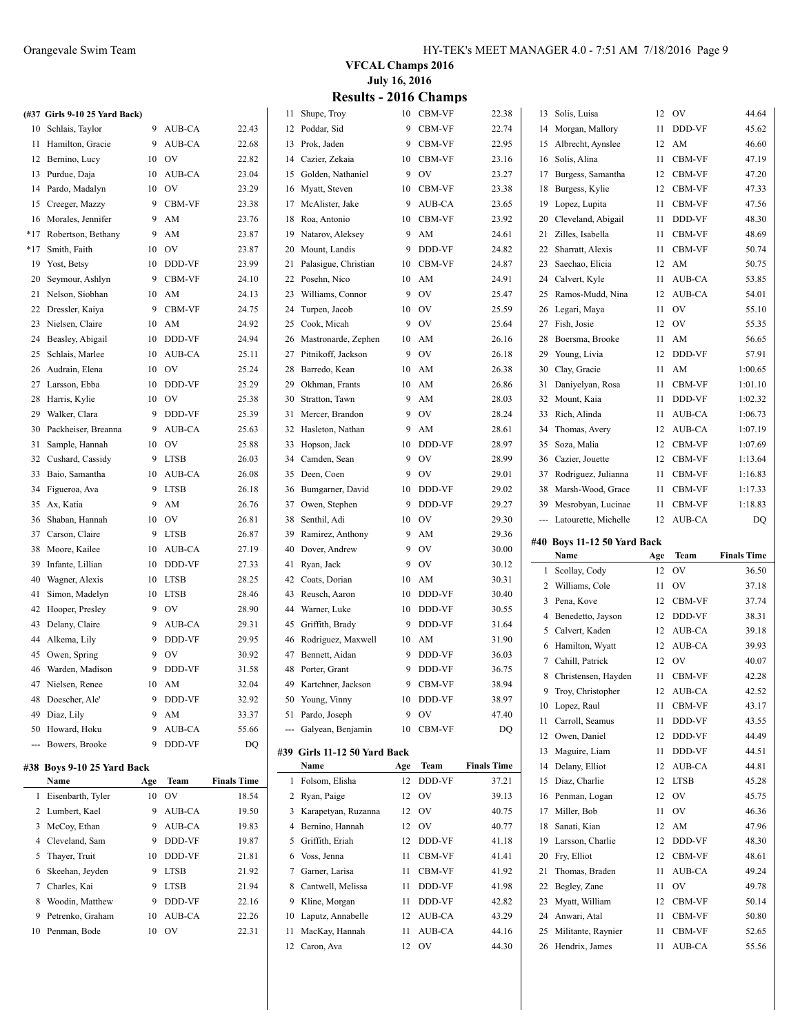|       | (#37 Girls 9-10 25 Yard Back) |    |               |       |
|-------|-------------------------------|----|---------------|-------|
| 10    | Schlais, Taylor               | 9  | AUB-CA        | 22.43 |
| 11    | Hamilton, Gracie              | 9  | AUB-CA        | 22.68 |
| 12    | Bernino, Lucy                 | 10 | OV            | 22.82 |
| 13    | Purdue, Daja                  | 10 | AUB-CA        | 23.04 |
| 14    | Pardo, Madalyn                | 10 | OV            | 23.29 |
| 15    | Creeger, Mazzy                | 9  | CBM-VF        | 23.38 |
| 16    | Morales, Jennifer             | 9  | AM            | 23.76 |
| $*17$ | Robertson, Bethany            | 9  | AM            | 23.87 |
| $*17$ | Smith, Faith                  | 10 | OV            | 23.87 |
| 19    | Yost, Betsy                   | 10 | DDD-VF        | 23.99 |
| 20    | Seymour, Ashlyn               | 9  | CBM-VF        | 24.10 |
| 21    | Nelson, Siobhan               | 10 | AM            | 24.13 |
| 22    | Dressler, Kaiya               | 9  | <b>CBM-VF</b> | 24.75 |
| 23    | Nielsen, Claire               | 10 | AM            | 24.92 |
| 24    | Beasley, Abigail              | 10 | DDD-VF        | 24.94 |
| 25    | Schlais, Marlee               | 10 | AUB-CA        | 25.11 |
| 26    | Audrain, Elena                | 10 | OV            | 25.24 |
| 27    | Larsson, Ebba                 | 10 | DDD-VF        | 25.29 |
| 28    | Harris, Kylie                 | 10 | OV            | 25.38 |
| 29    | Walker, Clara                 | 9  | DDD-VF        | 25.39 |
| 30    | Packheiser, Breanna           | 9  | AUB-CA        | 25.63 |
| 31    | Sample, Hannah                | 10 | OV            | 25.88 |
| 32    | Cushard, Cassidy              | 9  | <b>LTSB</b>   | 26.03 |
| 33    | Baio, Samantha                | 10 | AUB-CA        | 26.08 |
| 34    | Figueroa, Ava                 | 9  | <b>LTSB</b>   | 26.18 |
| 35    | Ax, Katia                     | 9  | AM            | 26.76 |
| 36    | Shaban, Hannah                | 10 | OV            | 26.81 |
| 37    | Carson, Claire                | 9  | <b>LTSB</b>   | 26.87 |
| 38    | Moore, Kailee                 | 10 | AUB-CA        | 27.19 |
| 39    | Infante, Lillian              | 10 | DDD-VF        | 27.33 |
| 40    | Wagner, Alexis                | 10 | <b>LTSB</b>   | 28.25 |
| 41    | Simon, Madelyn                | 10 | <b>LTSB</b>   | 28.46 |
| 42    | Hooper, Presley               | 9  | OV            | 28.90 |
| 43    | Delany, Claire                | 9  | AUB-CA        | 29.31 |
| 44    | Alkema, Lily                  | 9  | DDD-VF        | 29.95 |
| 45    | Owen, Spring                  | 9  | OV            | 30.92 |
| 46    | Warden, Madison               | 9  | DDD-VF        | 31.58 |
| 47    | Nielsen, Renee                | 10 | AM            | 32.04 |
| 48    | Doescher, Ale'                | 9  | DDD-VF        | 32.92 |
| 49    | Diaz, Lily                    | 9  | AM            | 33.37 |
| 50    | Howard, Hoku                  | 9  | AUB-CA        | 55.66 |
| ---   | Bowers, Brooke                | 9  | DDD-VF        | DQ    |
|       |                               |    |               |       |

#### **#38 Boys 9-10 25 Yard Back**

 $\overline{a}$ 

|   | Name                | Age | <b>Team</b>   | <b>Finals Time</b> |
|---|---------------------|-----|---------------|--------------------|
|   | 1 Eisenbarth, Tyler | 10  | OV            | 18.54              |
|   | 2 Lumbert, Kael     | 9   | AUB-CA        | 19.50              |
|   | 3 McCoy, Ethan      | 9   | AUB-CA        | 19.83              |
|   | 4 Cleveland, Sam    | 9   | <b>DDD-VF</b> | 19.87              |
|   | 5 Thayer, Truit     | 10  | <b>DDD-VF</b> | 21.81              |
|   | 6 Skeehan, Jeyden   | 9   | <b>LTSB</b>   | 21.92              |
|   | 7 Charles, Kai      | 9   | <b>LTSB</b>   | 21.94              |
| 8 | Woodin, Matthew     | 9   | <b>DDD-VF</b> | 22.16              |
| 9 | Petrenko, Graham    | 10  | AUB-CA        | 22.26              |
|   | 10 Penman, Bode     | 10  | OV            | 22.31              |

# **VFCAL Champs 2016 July 16, 2016**

| <b>Results - 2016 Champs</b>                   |                    |                                  |                             |     |               |                    |
|------------------------------------------------|--------------------|----------------------------------|-----------------------------|-----|---------------|--------------------|
| Shupe, Troy<br>10 CBM-VF<br>11                 | 22.38              | Solis, Luisa<br>13               |                             | 12  | OV            | 44.64              |
| 12<br>Poddar, Sid<br>9<br>CBM-VF               | 22.74              | 14                               | Morgan, Mallory             | 11  | DDD-VF        | 45.62              |
| 13<br>Prok, Jaden<br>9<br>CBM-VF               | 22.95              | 15                               | Albrecht, Aynslee           | 12  | AM            | 46.60              |
| 14<br>Cazier, Zekaia<br>CBM-VF<br>10           | 23.16              | Solis, Alina<br>16               |                             | 11  | <b>CBM-VF</b> | 47.19              |
| 15<br>Golden, Nathaniel<br>9<br>OV             | 23.27              | 17                               | Burgess, Samantha           | 12  | <b>CBM-VF</b> | 47.20              |
| 16<br>Myatt, Steven<br>CBM-VF<br>10            | 23.38              | 18<br>Burgess, Kylie             |                             | 12  | <b>CBM-VF</b> | 47.33              |
| 17<br>McAlister, Jake<br>9<br>AUB-CA           | 23.65              | 19<br>Lopez, Lupita              |                             | 11  | CBM-VF        | 47.56              |
| 18<br>Roa, Antonio<br>CBM-VF<br>10             | 23.92              | 20                               | Cleveland, Abigail          | 11  | DDD-VF        | 48.30              |
| 19<br>Natarov, Aleksey<br>9<br>AM              | 24.61              | Zilles, Isabella<br>21           |                             | 11  | CBM-VF        | 48.69              |
| 20<br>Mount, Landis<br>9<br>DDD-VF             | 24.82              | Sharratt, Alexis<br>22           |                             | 11  | <b>CBM-VF</b> | 50.74              |
| 21<br>Palasigue, Christian<br>CBM-VF<br>10     | 24.87              | 23<br>Saechao, Elicia            |                             | 12  | AM            | 50.75              |
| 22<br>Posehn, Nico<br>10<br>AM                 | 24.91              | 24<br>Calvert, Kyle              |                             | 11  | AUB-CA        | 53.85              |
| 9<br><b>OV</b><br>23<br>Williams, Connor       | 25.47              | 25                               | Ramos-Mudd, Nina            | 12  | AUB-CA        | 54.01              |
| 24<br>Turpen, Jacob<br>10<br><b>OV</b>         | 25.59              | Legari, Maya<br>26               |                             | 11  | <b>OV</b>     | 55.10              |
| 25<br>Cook, Micah<br>9<br><b>OV</b>            | 25.64              | 27<br>Fish, Josie                |                             | 12  | <b>OV</b>     | 55.35              |
| Mastronarde, Zephen<br>26<br>10<br>AM          | 26.16              | 28                               | Boersma, Brooke             | 11  | AM            | 56.65              |
| <b>OV</b><br>27<br>Pitnikoff, Jackson<br>9     | 26.18              | 29<br>Young, Livia               |                             | 12  | DDD-VF        | 57.91              |
| 28<br>Barredo, Kean<br>AM<br>10                | 26.38              | 30<br>Clay, Gracie               |                             | 11  | AM            | 1:00.65            |
| 29<br>Okhman, Frants<br>AM<br>10               | 26.86              | 31                               | Daniyelyan, Rosa            | 11  | CBM-VF        | 1:01.10            |
| Stratton, Tawn<br>30<br>9<br>AM                | 28.03              | 32<br>Mount, Kaia                |                             | 11  | DDD-VF        | 1:02.32            |
| Mercer, Brandon<br>31<br>9<br><b>OV</b>        | 28.24              | Rich, Alinda<br>33               |                             | 11  | AUB-CA        | 1:06.73            |
| 32<br>Hasleton, Nathan<br>AM<br>9              | 28.61              | Thomas, Avery<br>34              |                             | 12  | AUB-CA        | 1:07.19            |
| 33<br>Hopson, Jack<br>DDD-VF<br>10             | 28.97              | Soza, Malia<br>35                |                             | 12  | CBM-VF        | 1:07.69            |
| <b>OV</b><br>34<br>Camden, Sean<br>9           | 28.99              | Cazier, Jouette<br>36            |                             | 12  | CBM-VF        | 1:13.64            |
| <b>OV</b><br>35<br>Deen, Coen<br>9             | 29.01              | 37                               | Rodriguez, Julianna         | 11  | CBM-VF        | 1:16.83            |
| 36<br>Bumgarner, David<br>DDD-VF<br>10         | 29.02              | 38                               | Marsh-Wood, Grace           | 11  | CBM-VF        | 1:17.33            |
| DDD-VF<br>37<br>Owen, Stephen<br>9             | 29.27              | 39                               | Mesrobyan, Lucinae          | 11  | CBM-VF        | 1:18.83            |
| 38<br><b>OV</b><br>Senthil, Adi<br>10          | 29.30              | ---                              | Latourette, Michelle        | 12  | AUB-CA        | DQ                 |
| 39<br>Ramirez, Anthony<br>AM<br>9              | 29.36              |                                  |                             |     |               |                    |
|                                                |                    |                                  | #40 Boys 11-12 50 Yard Back |     |               |                    |
|                                                |                    |                                  |                             |     |               |                    |
| 40<br>Dover, Andrew<br>9<br>OV                 | 30.00              | Name                             |                             | Age | Team          | <b>Finals Time</b> |
| <b>OV</b><br>41<br>Ryan, Jack<br>9             | 30.12              | 1 Scollay, Cody                  |                             | 12  | <b>OV</b>     | 36.50              |
| 42<br>Coats, Dorian<br>AM<br>10                | 30.31              | Williams, Cole<br>$\overline{2}$ |                             | 11  | <b>OV</b>     | 37.18              |
| Reusch, Aaron<br>43<br><b>DDD-VF</b><br>10     | 30.40              | Pena, Kove<br>3                  |                             | 12  | CBM-VF        | 37.74              |
| 44<br>Warner, Luke<br>DDD-VF<br>10             | 30.55              | 4                                | Benedetto, Jayson           | 12  | DDD-VF        | 38.31              |
| 45<br>Griffith, Brady<br>9<br>DDD-VF           | 31.64              | Calvert, Kaden<br>5              |                             | 12  | AUB-CA        | 39.18              |
| 46<br>Rodriguez, Maxwell<br>10<br>AM           | 31.90              | 6                                | Hamilton, Wyatt             | 12  | AUB-CA        | 39.93              |
| 47<br>Bennett, Aidan<br>9<br>DDD-VF            | 36.03              | Cahill, Patrick<br>7             |                             | 12  | <b>OV</b>     | 40.07              |
| 9<br>48<br>Porter, Grant<br>DDD-VF             | 36.75              |                                  | 8 Christensen, Hayden       |     | 11 CBM-VF     | 42.28              |
| Kartchner, Jackson<br>CBM-VF<br>49<br>9        | 38.94              | 9 Troy, Christopher              |                             | 12  | AUB-CA        | 42.52              |
| DDD-VF<br>50<br>Young, Vinny<br>10             | 38.97              | Lopez, Raul<br>10                |                             | 11  | CBM-VF        | 43.17              |
| Pardo, Joseph<br>OV<br>51<br>9                 | 47.40              | 11                               | Carroll, Seamus             | 11  | DDD-VF        | 43.55              |
| Galyean, Benjamin<br>CBM-VF<br>10<br>---       | DQ                 | Owen, Daniel<br>12               |                             | 12  | DDD-VF        | 44.49              |
| Girls 11-12 50 Yard Back                       |                    | Maguire, Liam<br>13              |                             | 11  | DDD-VF        | 44.51              |
| Team<br>Name<br>Age                            | <b>Finals Time</b> | Delany, Elliot<br>14             |                             | 12  | AUB-CA        | 44.81              |
| 1 Folsom, Elisha<br>DDD-VF<br>12               | 37.21              | Diaz, Charlie<br>15              |                             | 12  | <b>LTSB</b>   | 45.28              |
| Ryan, Paige<br>OV<br>12<br>$\overline{2}$      | 39.13              | 16                               | Penman, Logan               | 12  | OV            | 45.75              |
| Karapetyan, Ruzanna<br><b>OV</b><br>3<br>12    | 40.75              | Miller, Bob<br>17                |                             | 11  | OV            | 46.36              |
| Bernino, Hannah<br><b>OV</b><br>4<br>12        | 40.77              | Sanati, Kian<br>18               |                             | 12  | AM            | 47.96              |
| Griffith, Eriah<br>DDD-VF<br>5<br>12           | 41.18              | 19                               | Larsson, Charlie            | 12  | DDD-VF        | 48.30              |
| CBM-VF<br>Voss, Jenna<br>6<br>11               | 41.41              | Fry, Elliot<br>20                |                             | 12  | CBM-VF        | 48.61              |
| Garner, Larisa<br>CBM-VF<br>7<br>11            | 41.92              | 21                               | Thomas, Braden              | 11  | AUB-CA        | 49.24              |
| Cantwell, Melissa<br>DDD-VF<br>8<br>11         | 41.98              | Begley, Zane<br>22               |                             | 11  | OV            | 49.78              |
| 9<br>Kline, Morgan<br>DDD-VF<br>11             | 42.82              | 23                               | Myatt, William              | 12  | CBM-VF        | 50.14              |
| #39<br>Laputz, Annabelle<br>AUB-CA<br>10<br>12 | 43.29              | Anwari, Atal<br>24               |                             | 11  | CBM-VF        | 50.80              |
| MacKay, Hannah<br>AUB-CA<br>11<br>11           | 44.16              | 25                               | Militante, Raynier          | 11  | CBM-VF        | 52.65              |
|                                                |                    |                                  |                             |     |               |                    |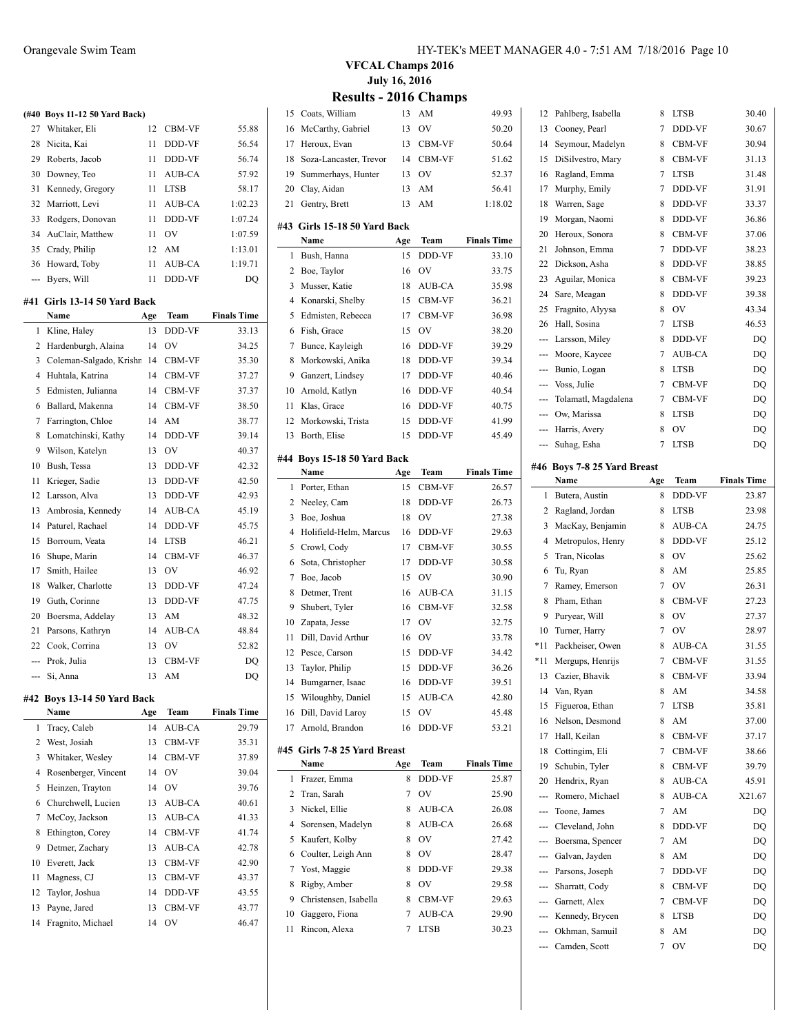|     | (#40 Boys 11-12 50 Yard Back) |     |               |                    |
|-----|-------------------------------|-----|---------------|--------------------|
|     | 27 Whitaker, Eli              | 12  | <b>CBM-VF</b> | 55.88              |
| 28  | Nicita, Kai                   | 11  | DDD-VF        | 56.54              |
| 29  | Roberts, Jacob                | 11  | DDD-VF        | 56.74              |
| 30  | Downey, Teo                   | 11  | AUB-CA        | 57.92              |
| 31  | Kennedy, Gregory              | 11  | <b>LTSB</b>   | 58.17              |
| 32  | Marriott, Levi                | 11  | AUB-CA        | 1:02.23            |
| 33  | Rodgers, Donovan              | 11  | DDD-VF        | 1:07.24            |
| 34  | AuClair, Matthew              | 11  | OV            | 1:07.59            |
| 35  | Crady, Philip                 | 12  | AM            | 1:13.01            |
| 36  | Howard, Toby                  | 11  | AUB-CA        | 1:19.71            |
|     | --- Byers, Will               | 11  | DDD-VF        | DQ                 |
| #41 | Girls 13-14 50 Yard Back      |     |               |                    |
|     | Name                          | Age | Team          | <b>Finals Time</b> |
| 1   | Kline, Haley                  | 13  | DDD-VF        | 33.13              |
| 2   | Hardenburgh, Alaina           | 14  | <b>OV</b>     | 34.25              |
| 3   | Coleman-Salgado, Krishr       | 14  | CBM-VF        | 35.30              |
| 4   | Huhtala, Katrina              | 14  | CBM-VF        | 37.27              |
| 5   | Edmisten, Julianna            | 14  | CBM-VF        | 37.37              |
| 6   | Ballard, Makenna              | 14  | CBM-VF        | 38.50              |
| 7   | Farrington, Chloe             | 14  | AM            | 38.77              |
| 8   | Lomatchinski, Kathy           | 14  | DDD-VF        | 39.14              |
| 9   | Wilson, Katelyn               | 13  | <b>OV</b>     | 40.37              |
| 10  | Bush, Tessa                   | 13  | DDD-VF        | 42.32              |
| 11  | Krieger, Sadie                | 13  | DDD-VF        | 42.50              |
| 12  | Larsson, Alva                 | 13  | DDD-VF        | 42.93              |
| 13  | Ambrosia, Kennedy             | 14  | AUB-CA        | 45.19              |
| 14  | Paturel, Rachael              | 14  | DDD-VF        | 45.75              |
| 15  | Borroum, Veata                | 14  | <b>LTSB</b>   | 46.21              |
| 16  | Shupe, Marin                  | 14  | CBM-VF        | 46.37              |
| 17  | Smith, Hailee                 | 13  | <b>OV</b>     | 46.92              |
| 18  | Walker, Charlotte             | 13  | DDD-VF        | 47.24              |
| 19  | Guth, Corinne                 | 13  | DDD-VF        | 47.75              |
| 20  | Boersma, Addelay              | 13  | AM            | 48.32              |
| 21  | Parsons, Kathryn              | 14  | AUB-CA        | 48.84              |
| 22  | Cook, Corrina                 | 13  | OV            | 52.82              |
|     | --- Prok, Julia               | 13  | CBM-VF        | DQ                 |
| --- | Si, Anna                      | 13  | AM            | DQ                 |
|     |                               |     |               |                    |

#### **#42 Boys 13-14 50 Yard Back**

 $\overline{a}$ 

|              | Name                 | Age | Team          | <b>Finals Time</b> |
|--------------|----------------------|-----|---------------|--------------------|
| $\mathbf{1}$ | Tracy, Caleb         | 14  | <b>AUB-CA</b> | 29.79              |
|              | 2 West, Josiah       | 13  | <b>CBM-VF</b> | 35.31              |
|              | 3 Whitaker, Wesley   | 14  | <b>CBM-VF</b> | 37.89              |
| 4            | Rosenberger, Vincent | 14  | <b>OV</b>     | 39.04              |
| 5.           | Heinzen, Trayton     | 14  | OV            | 39.76              |
|              | 6 Churchwell, Lucien | 13  | AUB-CA        | 40.61              |
| 7            | McCoy, Jackson       | 13  | <b>AUB-CA</b> | 41.33              |
| 8            | Ethington, Corey     | 14  | <b>CBM-VF</b> | 41.74              |
| 9            | Detmer, Zachary      | 13  | AUB-CA        | 42.78              |
| 10           | Everett, Jack        | 13  | CBM-VF        | 42.90              |
| 11           | Magness, CJ          | 13  | <b>CBM-VF</b> | 43.37              |
|              | 12 Taylor, Joshua    | 14  | DDD-VF        | 43.55              |
| 13           | Payne, Jared         | 13  | <b>CBM-VF</b> | 43.77              |
| 14           | Fragnito, Michael    | 14  | OV            | 46.47              |

#### **VFCAL Champs 2016 July 16, 2016 Results - 2016 Champs**

 $\overline{\phantom{a}}$ 

 $\overline{\phantom{a}}$ 

 $\overline{\phantom{a}}$ 

|                | ◡◡                            | 4v. | ◡.            |                    |
|----------------|-------------------------------|-----|---------------|--------------------|
| 15             | Coats, William                | 13  | AM            | 49.93              |
| 16             | McCarthy, Gabriel             | 13  | OV            | 50.20              |
| 17             | Heroux. Evan                  | 13  | CBM-VF        | 50.64              |
| 18             | Soza-Lancaster, Trevor        | 14  | CBM-VF        | 51.62              |
| 19             | Summerhays, Hunter            | 13  | OV            | 52.37              |
| 20             | Clay, Aidan                   | 13  | AM            | 56.41              |
| 21             | Gentry, Brett                 | 13  | AM            | 1:18.02            |
|                |                               |     |               |                    |
|                | #43  Girls 15-18 50 Yard Back |     |               |                    |
|                | Name                          | Age | Team          | <b>Finals Time</b> |
| 1              | Bush, Hanna                   | 15  | DDD-VF        | 33.10              |
| 2              | Boe, Taylor                   | 16  | OV            | 33.75              |
| 3              | Musser, Katie                 | 18  | AUB-CA        | 35.98              |
| $\overline{4}$ | Konarski, Shelby              | 15  | CBM-VF        | 36.21              |
| 5              | Edmisten, Rebecca             | 17  | CBM-VF        | 36.98              |
| 6              | Fish, Grace                   | 15  | OV            | 38.20              |
| 7              | Bunce, Kayleigh               | 16  | DDD-VF        | 39.29              |
| 8              | Morkowski, Anika              | 18  | DDD-VF        | 39.34              |
| 9              | Ganzert, Lindsey              | 17  | DDD-VF        | 40.46              |
| 10             | Arnold, Katlyn                | 16  | <b>DDD-VF</b> | 40.54              |
| 11             | Klas, Grace                   | 16  | DDD-VF        | 40.75              |
| 12             | Morkowski, Trista             | 15  | DDD-VF        | 41.99              |
| 13             | Borth, Elise                  | 15  | DDD-VF        | 45.49              |
|                |                               |     |               |                    |
| #44            | Boys 15-18 50 Yard Back       |     |               |                    |
|                | Name                          | Age | Team          | <b>Finals Time</b> |
| 1              | Porter, Ethan                 | 15  | CBM-VF        | 26.57              |
| 2              | Neeley, Cam                   | 18  | DDD-VF        | 26.73              |
| 3              | Boe, Joshua                   | 18  | OV            | 27.38              |
| $\overline{4}$ | Holifield-Helm, Marcus        | 16  | DDD-VF        | 29.63              |
| 5              | Crowl, Cody                   | 17  | CBM-VF        | 30.55              |
| 6              | Sota, Christopher             | 17  | DDD-VF        | 30.58              |
| 7              | Boe, Jacob                    | 15  | OV            | 30.90              |
| 8              | Detmer, Trent                 | 16  | AUB-CA        | 31.15              |
| 9              | Shubert, Tyler                | 16  | <b>CBM-VF</b> | 32.58              |
| 10             | Zapata, Jesse                 | 17  | OV            | 32.75              |
| 11             | Dill, David Arthur            | 16  | OV            | 33.78              |
| 12             | Pesce, Carson                 | 15  | DDD-VF        | 34.42              |
| 13             | Taylor, Philip                | 15  | DDD-VF        | 36.26              |
| 14             | Bumgarner, Isaac              | 16  | DDD-VF        | 39.51              |
| 15             | Wiloughby, Daniel             | 15  | AUB-CA        | 42.80              |
| 16             | Dill, David Laroy             | 15  | OV            | 45.48              |
| 17             | Arnold, Brandon               | 16  | DDD-VF        | 53.21              |
|                |                               |     |               |                    |
|                | #45 Girls 7-8 25 Yard Breast  |     |               |                    |
|                | Name                          | Age | Team          | <b>Finals Time</b> |
| 1              | Frazer, Emma                  | 8   | DDD-VF        | 25.87              |
| 2              | Tran, Sarah                   | 7   | OV            | 25.90              |
| 3              | Nickel, Ellie                 | 8   | AUB-CA        | 26.08              |
| 4              | Sorensen, Madelyn             | 8   | AUB-CA        | 26.68              |
| 5              | Kaufert, Kolby                | 8   | OV            | 27.42              |
| 6              | Coulter, Leigh Ann            | 8   | OV            | 28.47              |
| 7              | Yost, Maggie                  | 8   | DDD-VF        | 29.38              |
| 8              | Rigby, Amber                  | 8   | OV            | 29.58              |
| 9              | Christensen, Isabella         | 8   | CBM-VF        | 29.63              |
| 10             | Gaggero, Fiona                | 7   | AUB-CA        | 29.90              |
| 11             | Rincon, Alexa                 | 7   | LTSB          | 30.23              |
|                |                               |     |               |                    |

| 12  | Pahlberg, Isabella              | 8      | LTSB        | 30.40              |
|-----|---------------------------------|--------|-------------|--------------------|
| 13  | Cooney, Pearl                   | 7      | DDD-VF      | 30.67              |
| 14  | Seymour, Madelyn                | 8      | CBM-VF      | 30.94              |
| 15  | DiSilvestro, Mary               | 8      | CBM-VF      | 31.13              |
| 16  | Ragland, Emma                   | 7      | <b>LTSB</b> | 31.48              |
| 17  | Murphy, Emily                   | 7      | DDD-VF      | 31.91              |
| 18  | Warren, Sage                    | 8      | DDD-VF      | 33.37              |
| 19  | Morgan, Naomi                   | 8      | DDD-VF      | 36.86              |
| 20  | Heroux, Sonora                  | 8      | CBM-VF      | 37.06              |
| 21  | Johnson, Emma                   | 7      | DDD-VF      | 38.23              |
| 22  | Dickson, Asha                   | 8      | DDD-VF      | 38.85              |
| 23  | Aguilar, Monica                 | 8      | CBM-VF      | 39.23              |
| 24  | Sare, Meagan                    | 8      | DDD-VF      | 39.38              |
| 25  | Fragnito, Alyysa                | 8      | <b>OV</b>   | 43.34              |
| 26  | Hall, Sosina                    | 7      | <b>LTSB</b> | 46.53              |
| --- | Larsson, Miley                  | 8      | DDD-VF      | DQ                 |
| --- | Moore, Kaycee                   | 7      | AUB-CA      | DQ                 |
| --- | Bunio, Logan                    | 8      | <b>LTSB</b> | DQ                 |
| --- | Voss, Julie                     | 7      | CBM-VF      | DQ                 |
| --- | Tolamatl, Magdalena             | 7      | CBM-VF      | DQ                 |
| --- | Ow, Marissa                     | 8      | LTSB        | DQ                 |
| --- | Harris, Avery                   | 8      | OV          | DQ                 |
| --- | Suhag, Esha                     | 7      | <b>LTSB</b> | DQ                 |
|     | #46 Boys 7-8 25 Yard Breast     |        |             |                    |
|     | Name                            | Age    | Team        | <b>Finals Time</b> |
| 1   | Butera, Austin                  | 8      | DDD-VF      | 23.87              |
| 2   | Ragland, Jordan                 | 8      | LTSB        | 23.98              |
| 3   | MacKay, Benjamin                | 8      |             |                    |
|     |                                 |        | AUB-CA      | 24.75              |
| 4   | Metropulos, Henry               | 8      | DDD-VF      | 25.12              |
| 5   | Tran, Nicolas                   | 8      | OV          | 25.62              |
| 6   | Tu, Ryan                        | 8      | AM          | 25.85              |
| 7   | Ramey, Emerson                  | 7      | OV          | 26.31              |
| 8   | Pham, Ethan                     | 8      | CBM-VF      | 27.23              |
| 9   | Puryear, Will                   | 8      | OV          | 27.37              |
| 10  | Turner, Harry                   | 7      | <b>OV</b>   | 28.97              |
| *11 | Packheiser, Owen                | 8      | AUB-CA      | 31.55              |
| *11 | Mergups, Henrijs                | 7      | CBM-VF      | 31.55              |
| 13  | Cazier, Bhavik                  | 8      | CBM-VF      | 33.94              |
|     | 14 Van, Ryan                    |        | 8 AM        | 34.58              |
| 15  | Figueroa, Ethan                 | 7      | LTSB        | 35.81              |
| 16  | Nelson, Desmond                 | 8      | AM          | 37.00              |
| 17  | Hall, Keilan                    | 8      | CBM-VF      | 37.17              |
| 18  | Cottingim, Eli                  | 7      | CBM-VF      | 38.66              |
| 19  | Schubin, Tyler                  | 8      | CBM-VF      | 39.79              |
| 20  | Hendrix, Ryan                   | 8      | AUB-CA      | 45.91              |
|     | Romero, Michael                 | 8      | AUB-CA      | X21.67             |
|     | Toone, James                    | 7      | AM          | DQ                 |
| --- | Cleveland, John                 | 8      | DDD-VF      | DQ                 |
| --- | Boersma, Spencer                | 7      | AM          | DQ                 |
| --- | Galvan, Jayden                  | 8      | AM          | DQ                 |
| --- | Parsons, Joseph                 | 7      | DDD-VF      | DQ                 |
| --- | Sharratt, Cody                  | 8      | CBM-VF      | DQ                 |
| --- | Garnett, Alex                   | 7      | CBM-VF      | DQ                 |
| --- | --- Kennedy, Brycen             | 8      | LTSB        | DQ                 |
| --- | Okhman, Samuil<br>Camden, Scott | 8<br>7 | AM<br>ov    | DQ<br>DQ           |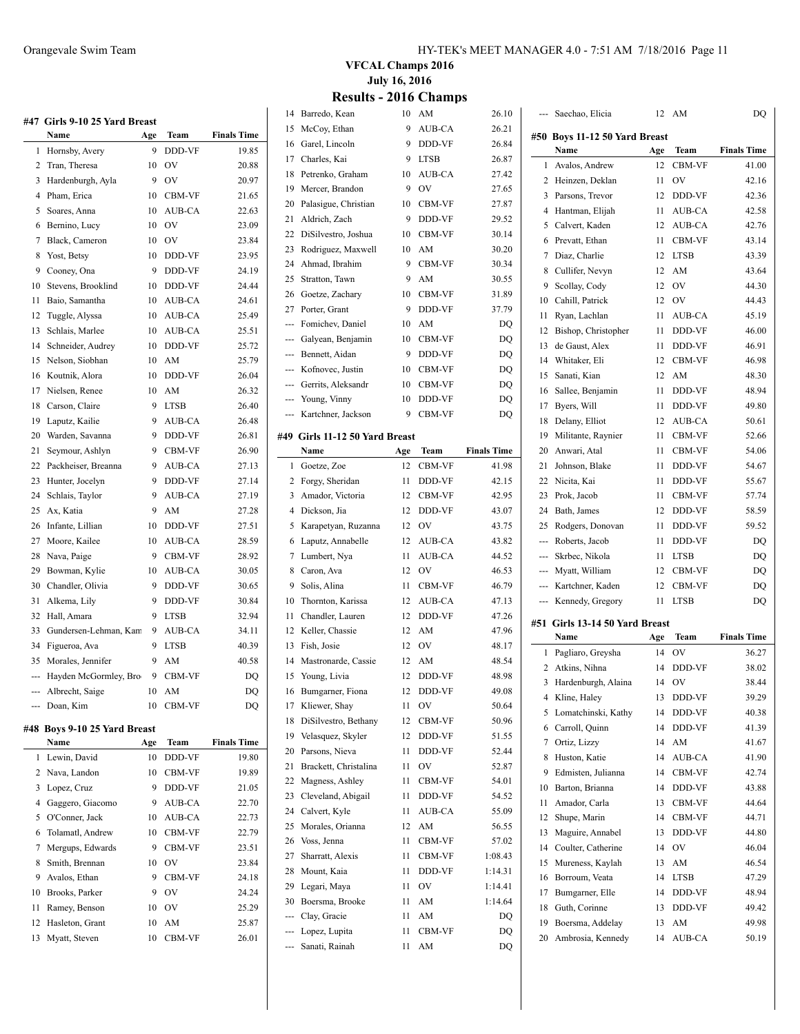|                | #47 Girls 9-10 25 Yard Breast |     |             |                    |
|----------------|-------------------------------|-----|-------------|--------------------|
|                | Name                          | Age | Team        | <b>Finals Time</b> |
| 1              | Hornsby, Avery                | 9   | DDD-VF      | 19.85              |
| $\overline{c}$ | Tran, Theresa                 | 10  | OV          | 20.88              |
| 3              | Hardenburgh, Ayla             | 9   | OV          | 20.97              |
| 4              | Pham, Erica                   | 10  | CBM-VF      | 21.65              |
| 5              | Soares, Anna                  | 10  | AUB-CA      | 22.63              |
| 6              | Bernino, Lucy                 | 10  | OV          | 23.09              |
|                | 7 Black, Cameron              | 10  | OV          | 23.84              |
| 8              | Yost, Betsy                   | 10  | DDD-VF      | 23.95              |
| 9              | Cooney, Ona                   | 9   | DDD-VF      | 24.19              |
| 10             | Stevens, Brooklind            | 10  | DDD-VF      | 24.44              |
| 11             | Baio, Samantha                | 10  | AUB-CA      | 24.61              |
| 12             | Tuggle, Alyssa                | 10  | AUB-CA      | 25.49              |
| 13             | Schlais, Marlee               | 10  | AUB-CA      | 25.51              |
| 14             | Schneider, Audrey             | 10  | DDD-VF      | 25.72              |
| 15             | Nelson, Siobhan               | 10  | AM          | 25.79              |
| 16             | Koutnik, Alora                | 10  | DDD-VF      | 26.04              |
| 17             | Nielsen, Renee                | 10  | AM          | 26.32              |
| 18             | Carson, Claire                | 9   | <b>LTSB</b> | 26.40              |
| 19             | Laputz, Kailie                | 9   | AUB-CA      | 26.48              |
| 20             | Warden, Savanna               | 9   | DDD-VF      | 26.81              |
| 21             | Seymour, Ashlyn               | 9   | CBM-VF      | 26.90              |
| 22             | Packheiser, Breanna           | 9   | AUB-CA      | 27.13              |
| 23             | Hunter, Jocelyn               | 9   | DDD-VF      | 27.14              |
| 24             | Schlais, Taylor               | 9   | AUB-CA      | 27.19              |
| 25             | Ax, Katia                     | 9   | AM          | 27.28              |
| 26             | Infante, Lillian              | 10  | DDD-VF      | 27.51              |
| 27             | Moore, Kailee                 | 10  | AUB-CA      | 28.59              |
| 28             | Nava, Paige                   | 9   | CBM-VF      | 28.92              |
| 29             | Bowman, Kylie                 | 10  | AUB-CA      | 30.05              |
| 30             | Chandler, Olivia              | 9   | DDD-VF      | 30.65              |
| 31             | Alkema, Lily                  | 9   | DDD-VF      | 30.84              |
| 32             | Hall, Amara                   | 9   | <b>LTSB</b> | 32.94              |
| 33             | Gundersen-Lehman, Kam         | 9   | AUB-CA      | 34.11              |
| 34             | Figueroa, Ava                 | 9   | <b>LTSB</b> | 40.39              |
| 35             | Morales, Jennifer             | 9   | AM          | 40.58              |
|                | --- Hayden McGormley, Bro     | 9   | CBM-VF      | DQ                 |
| ---            | Albrecht, Saige               | 10  | AM          | DQ                 |
|                | --- Doan, Kim                 | 10  | CBM-VF      | DQ                 |
|                | #48 Boys 9-10 25 Yard Breast  |     |             |                    |
|                | Name                          | Age | Team        | <b>Finals Time</b> |
| 1              | Lewin, David                  | 10  | DDD-VF      | 19.80              |
|                | 2. Nava Landon                |     | $10$ CRM VE | 10.90              |

|   | 1 LEWIII, DAVIU    |    | 19 DDD-YF      | 17.OU |
|---|--------------------|----|----------------|-------|
|   | 2 Nava, Landon     | 10 | <b>CBM-VF</b>  | 19.89 |
|   | 3 Lopez, Cruz      | 9  | <b>DDD-VF</b>  | 21.05 |
| 4 | Gaggero, Giacomo   | 9  | AUB-CA         | 22.70 |
|   | 5 O'Conner, Jack   | 10 | AUB-CA         | 22.73 |
|   | 6 Tolamatl, Andrew | 10 | <b>CBM-VF</b>  | 22.79 |
|   | 7 Mergups, Edwards | 9  | <b>CBM-VF</b>  | 23.51 |
| 8 | Smith, Brennan     | 10 | OV             | 23.84 |
| 9 | Avalos, Ethan      | 9  | <b>CBM-VF</b>  | 24.18 |
|   | 10 Brooks, Parker  | 9  | O <sub>V</sub> | 24.24 |
|   | 11 Ramey, Benson   | 10 | O <sub>V</sub> | 25.29 |
|   | 12 Hasleton, Grant | 10 | AM             | 25.87 |
|   | 13 Myatt, Steven   | 10 | <b>CBM-VF</b>  | 26.01 |

#### Orangevale Swim Team HY-TEK's MEET MANAGER 4.0 - 7:51 AM 7/18/2016 Page 11

#### **VFCAL Champs 2016 July 16, 2016 Res** 2016 CH

| <b>Results - 2016 Champs</b> |
|------------------------------|
|                              |

|                          | 14 Barredo, Kean               | 10  | AM                  | 26.10              |                | --- Saechao, Elicia        |
|--------------------------|--------------------------------|-----|---------------------|--------------------|----------------|----------------------------|
| 15                       | McCoy, Ethan                   | 9   | AUB-CA              | 26.21              |                |                            |
| 16                       | Garel, Lincoln                 | 9   | DDD-VF              | 26.84              |                | #50 Boys 11-12 50<br>Name  |
| 17                       | Charles, Kai                   | 9   | <b>LTSB</b>         | 26.87              | $\mathbf{1}$   | Avalos, Andrew             |
|                          | 18 Petrenko, Graham            | 10  | AUB-CA              | 27.42              |                | 2 Heinzen, Deklar          |
| 19                       | Mercer, Brandon                | 9   | $\overline{\rm OV}$ | 27.65              | 3              |                            |
|                          | 20 Palasigue, Christian        | 10  | CBM-VF              | 27.87              |                | Parsons, Trevor            |
| 21                       | Aldrich, Zach                  |     | 9 DDD-VF            | 29.52              | $\overline{4}$ | Hantman, Elijah            |
|                          | 22 DiSilvestro, Joshua         | 10  | <b>CBM-VF</b>       | 30.14              | 5.             | Calvert, Kaden             |
| 23                       | Rodriguez, Maxwell             | 10  | AM                  | 30.20              | 6              | Prevatt, Ethan             |
| 24                       | Ahmad, Ibrahim                 | 9   | CBM-VF              | 30.34              | 7              | Diaz, Charlie              |
| 25                       | Stratton, Tawn                 | 9   | AM                  | 30.55              | 8              | Cullifer, Nevyn            |
| 26                       | Goetze, Zachary                | 10  | CBM-VF              | 31.89              | 9.             | Scollay, Cody              |
| 27                       | Porter, Grant                  | 9   | DDD-VF              | 37.79              | 10             | Cahill, Patrick            |
| ---                      | Fomichev, Daniel               | 10  | AM                  | DQ                 | 11             | Ryan, Lachlan              |
| ---                      | Galyean, Benjamin              | 10  | CBM-VF              | DQ                 | 12             | Bishop, Christop           |
| ---                      | Bennett, Aidan                 | 9   | DDD-VF              | DQ                 | 13             | de Gaust, Alex             |
| ---                      | Kofnovec, Justin               | 10  | CBM-VF              | DQ                 | 14             | Whitaker, Eli              |
| $\overline{\phantom{a}}$ | Gerrits, Aleksandr             | 10  | CBM-VF              | DQ                 | 15             | Sanati, Kian               |
|                          |                                | 10  | DDD-VF              |                    | 16             | Sallee, Benjamii           |
|                          | --- Young, Vinny               | 9   |                     | DQ                 | 17             | Byers, Will                |
| $\overline{\phantom{a}}$ | Kartchner, Jackson             |     | CBM-VF              | DQ                 | 18             | Delany, Elliot             |
|                          | #49 Girls 11-12 50 Yard Breast |     |                     |                    | 19             | Militante, Rayni           |
|                          | Name                           | Age | Team                | <b>Finals Time</b> | 20             | Anwari, Atal               |
|                          | 1 Goetze, Zoe                  | 12  | <b>CBM-VF</b>       | 41.98              | 21             | Johnson, Blake             |
|                          | 2 Forgy, Sheridan              | 11  | DDD-VF              | 42.15              | 22             | Nicita, Kai                |
|                          | 3 Amador, Victoria             | 12  | CBM-VF              | 42.95              | 23             | Prok, Jacob                |
|                          | 4 Dickson, Jia                 | 12  | DDD-VF              | 43.07              | 24             | Bath, James                |
|                          | 5 Karapetyan, Ruzanna          | 12  | OV                  | 43.75              | 25             | Rodgers, Donov             |
|                          | 6 Laputz, Annabelle            | 12  | AUB-CA              | 43.82              | ---            | Roberts, Jacob             |
|                          | 7 Lumbert, Nya                 | 11  | AUB-CA              | 44.52              | ---            | Skrbec, Nikola             |
|                          | 8 Caron, Ava                   | 12  | OV                  | 46.53              |                | Myatt, William             |
| 9                        | Solis, Alina                   | 11  | CBM-VF              | 46.79              | $---$          | Kartchner, Kade            |
| 10                       | Thornton, Karissa              | 12  | AUB-CA              | 47.13              | ---            | Kennedy, Grego             |
| 11                       | Chandler, Lauren               | 12  | DDD-VF              | 47.26              |                |                            |
|                          | 12 Keller, Chassie             | 12  | AM                  | 47.96              |                | #51 Girls 13-14 50<br>Name |
| 13                       | Fish, Josie                    | 12  | OV                  | 48.17              | 1              | Pagliaro, Greysh           |
| 14                       | Mastronarde, Cassie            | 12  | AM                  | 48.54              |                |                            |
|                          | 15 Young, Livia                | 12  | DDD-VF              | 48.98              | 2              | Atkins, Nihna              |
| 16                       | Bumgarner, Fiona               | 12  | DDD-VF              | 49.08              | 3              | Hardenburgh, A             |
| 17                       | Kliewer, Shay                  | 11  | OV                  | 50.64              |                | 4 Kline, Haley             |
| 18                       | DiSilvestro, Bethany           | 12  | CBM-VF              | 50.96              | 5              | Lomatchinski, K            |
| 19                       | Velasquez, Skyler              | 12  | DDD-VF              | 51.55              | 6              | Carroll, Quinn             |
| 20                       | Parsons, Nieva                 | 11  | DDD-VF              | 52.44              | 7              | Ortiz, Lizzy               |
| 21                       | Brackett, Christalina          | 11  | OV                  | 52.87              | 8              | Huston, Katie              |
| 22                       | Magness, Ashley                | 11  | CBM-VF              | 54.01              | 9              | Edmisten, Julian           |
| 23                       | Cleveland, Abigail             | 11  | DDD-VF              | 54.52              | 10             | Barton, Brianna            |
| 24                       | Calvert, Kyle                  | 11  | AUB-CA              | 55.09              | 11             | Amador, Carla              |
| 25                       | Morales, Orianna               | 12  | AM                  | 56.55              | 12             | Shupe, Marin               |
| 26                       | Voss, Jenna                    | 11  | CBM-VF              | 57.02              | 13             | Maguire, Annab             |
| 27                       | Sharratt, Alexis               | 11  | CBM-VF              | 1:08.43            | 14             | Coulter, Catheri           |
| 28                       | Mount, Kaia                    | 11  | DDD-VF              | 1:14.31            | 15             | Mureness, Kayla            |
| 29                       | Legari, Maya                   | 11  | OV                  | 1:14.41            | 16             | Borroum, Veata             |
| 30                       | Boersma, Brooke                | 11  | AM                  | 1:14.64            | 17             | Bumgarner, Elle            |
|                          | Clay, Gracie                   | 11  | AM                  | DQ                 | 18             | Guth, Corinne              |
|                          | Lopez, Lupita                  | 11  | CBM-VF              |                    | 19             | Boersma, Addela            |
|                          | Sanati, Rainah                 | 11  | AM                  | DQ<br>DQ           | 20             | Ambrosia, Kenn             |
|                          |                                |     |                     |                    |                |                            |

|        | Saechao, Elicia                       | 12        | AM                     | DQ                 |  |  |  |
|--------|---------------------------------------|-----------|------------------------|--------------------|--|--|--|
|        | #50 Boys 11-12 50 Yard Breast         |           |                        |                    |  |  |  |
|        | Name                                  | Age       | Team                   | <b>Finals Time</b> |  |  |  |
| 1      | Avalos, Andrew                        | 12        | CBM-VF                 | 41.00              |  |  |  |
| 2      | Heinzen, Deklan                       | 11        | OV                     | 42.16              |  |  |  |
| 3      | Parsons, Trevor                       | 12        | DDD-VF                 | 42.36              |  |  |  |
| 4      | Hantman, Elijah                       | 11        | AUB-CA                 | 42.58              |  |  |  |
| 5      | Calvert, Kaden                        | 12        | AUB-CA                 | 42.76              |  |  |  |
| 6      | Prevatt, Ethan                        | 11        | CBM-VF                 | 43.14              |  |  |  |
| 7      | Diaz, Charlie                         | 12        | <b>LTSB</b>            | 43.39              |  |  |  |
| 8      | Cullifer, Nevyn                       | 12        | AM                     | 43.64              |  |  |  |
| 9      | Scollay, Cody                         | 12        | OV                     | 44.30              |  |  |  |
| 10     | Cahill, Patrick                       | 12        | OV                     | 44.43              |  |  |  |
| 11     | Ryan, Lachlan                         | 11        | AUB-CA                 | 45.19              |  |  |  |
| 12     | Bishop, Christopher                   | 11        | DDD-VF                 | 46.00              |  |  |  |
| 13     | de Gaust, Alex                        | 11        | DDD-VF                 | 46.91              |  |  |  |
| 14     | Whitaker, Eli                         | 12        | CBM-VF                 | 46.98              |  |  |  |
| 15     | Sanati, Kian                          | 12        | AM                     | 48.30              |  |  |  |
| 16     | Sallee, Benjamin                      | 11        | DDD-VF                 | 48.94              |  |  |  |
| 17     | Byers, Will                           | 11        | DDD-VF                 | 49.80              |  |  |  |
| 18     | Delany, Elliot                        | 12        | AUB-CA                 | 50.61              |  |  |  |
| 19     | Militante, Raynier                    | 11        | CBM-VF                 | 52.66              |  |  |  |
| 20     | Anwari, Atal                          | 11        | CBM-VF                 | 54.06              |  |  |  |
| 21     | Johnson, Blake                        | 11        | DDD-VF                 | 54.67              |  |  |  |
| 22     | Nicita, Kai                           | 11        | DDD-VF                 | 55.67              |  |  |  |
| 23     | Prok, Jacob                           | 11        | CBM-VF                 | 57.74              |  |  |  |
| 24     | Bath, James                           | 12        | DDD-VF                 | 58.59              |  |  |  |
| 25     | Rodgers, Donovan                      | 11        | DDD-VF                 | 59.52              |  |  |  |
| ---    | Roberts, Jacob                        | 11        | DDD-VF                 | DQ                 |  |  |  |
| ---    | Skrbec, Nikola                        | 11        | LTSB                   | DQ                 |  |  |  |
| ---    | Myatt, William                        | 12        | CBM-VF                 | DQ                 |  |  |  |
| ---    | Kartchner, Kaden                      | 12        | CBM-VF                 | DQ                 |  |  |  |
| ---    | Kennedy, Gregory                      | 11        | LTSB                   | DQ                 |  |  |  |
|        |                                       |           |                        |                    |  |  |  |
| #51    | Girls 13-14 50 Yard Breast            |           |                        |                    |  |  |  |
|        | Name                                  | Age<br>14 | Team<br>OV             | <b>Finals Time</b> |  |  |  |
| 1      | Pagliaro, Greysha<br>Atkins, Nihna    |           |                        | 36.27              |  |  |  |
| 2      |                                       | 14        | DDD-VF                 | 38.02              |  |  |  |
| 3      | Hardenburgh, Alaina<br>Kline, Haley   | 14        | ov<br>DDD-VF           | 38.44              |  |  |  |
| 4      |                                       | 13        |                        | 39.29              |  |  |  |
| 5      | Lomatchinski, Kathy<br>Carroll, Quinn | 14        | DDD-VF<br>DDD-VF       | 40.38              |  |  |  |
| 6<br>7 |                                       | 14        | AM                     | 41.39              |  |  |  |
|        | Ortiz, Lizzy<br>Huston, Katie         | 14        |                        | 41.67              |  |  |  |
| 8      |                                       | 14        | AUB-CA                 | 41.90              |  |  |  |
| 9      | Edmisten, Julianna                    | 14        | CBM-VF                 | 42.74              |  |  |  |
| 10     | Barton, Brianna                       | 14        | DDD-VF<br>CBM-VF       | 43.88              |  |  |  |
| 11     | Amador, Carla                         | 13        |                        | 44.64              |  |  |  |
| 12     | Shupe, Marin                          | 14        | CBM-VF                 | 44.71              |  |  |  |
| 13     | Maguire, Annabel                      | 13        | DDD-VF                 | 44.80              |  |  |  |
| 14     | Coulter, Catherine                    | 14        | OV                     | 46.04              |  |  |  |
| 15     | Mureness, Kaylah                      | 13        | $\mathbf{A}\mathbf{M}$ | 46.54              |  |  |  |
| 16     | Borroum, Veata                        | 14        | LTSB                   | 47.29              |  |  |  |
| 17     | Bumgarner, Elle                       | 14        | DDD-VF                 | 48.94              |  |  |  |
| 18     | Guth, Corinne                         | 13        | DDD-VF                 | 49.42              |  |  |  |
| 19     | Boersma, Addelay                      | 13        | AM                     | 49.98              |  |  |  |
| 20     | Ambrosia, Kennedy                     | 14        | AUB-CA                 | 50.19              |  |  |  |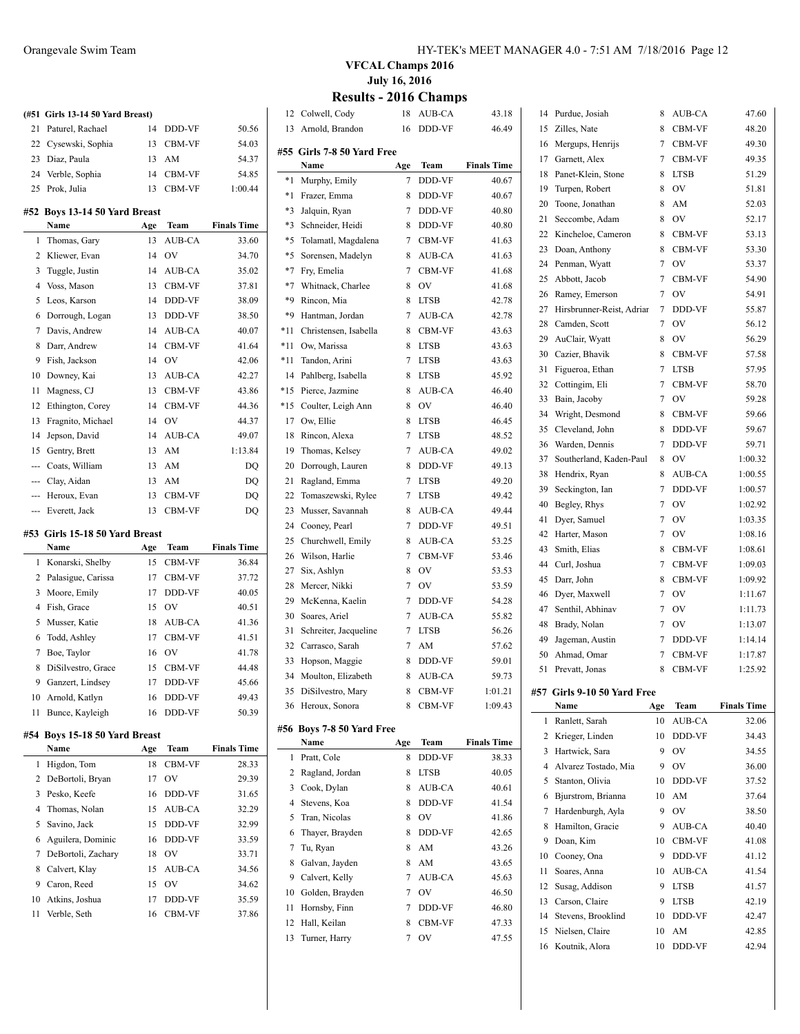|        | (#51 Girls 13-14 50 Yard Breast)        |           |               |                    |
|--------|-----------------------------------------|-----------|---------------|--------------------|
| 21     | Paturel, Rachael                        | 14        | DDD-VF        | 50.56              |
| 22     | Cysewski, Sophia                        | 13        | CBM-VF        | 54.03              |
| 23     | Diaz, Paula                             | 13        | AM            | 54.37              |
|        | 24 Verble, Sophia                       | 14        | CBM-VF        | 54.85              |
| 25     | Prok, Julia                             | 13        | CBM-VF        | 1:00.44            |
|        | #52 Boys 13-14 50 Yard Breast           |           |               |                    |
|        | Name                                    | Age       | Team          | <b>Finals Time</b> |
| 1      | Thomas, Gary                            | 13        | <b>AUB-CA</b> | 33.60              |
| 2      | Kliewer, Evan                           | 14        | OV            | 34.70              |
| 3      | Tuggle, Justin                          | 14        | AUB-CA        | 35.02              |
| 4      | Voss, Mason                             | 13        | CBM-VF        | 37.81              |
| 5      | Leos, Karson                            | 14        | DDD-VF        | 38.09              |
| 6      | Dorrough, Logan                         | 13        | DDD-VF        | 38.50              |
| 7      | Davis, Andrew                           | 14        | AUB-CA        | 40.07              |
| 8      | Darr, Andrew                            | 14        | <b>CBM-VF</b> | 41.64              |
| 9      | Fish, Jackson                           | 14        | <b>OV</b>     | 42.06              |
| 10     | Downey, Kai                             | 13        |               | 42.27              |
|        |                                         |           | AUB-CA        |                    |
| 11     | Magness, CJ                             | 13        | CBM-VF        | 43.86              |
| 12     | Ethington, Corey                        | 14        | CBM-VF        | 44.36              |
| 13     | Fragnito, Michael                       | 14        | <b>OV</b>     | 44.37              |
| 14     | Jepson, David                           | 14        | AUB-CA        | 49.07              |
| 15     | Gentry, Brett                           | 13        | AM            | 1:13.84            |
|        | --- Coats, William                      | 13        | AM            | DQ                 |
|        | --- Clay, Aidan                         | 13        | AM            | DQ                 |
| ---    | Heroux, Evan                            | 13        | CBM-VF        | DQ                 |
|        | --- Everett, Jack                       | 13        | CBM-VF        | DQ                 |
|        | #53 Girls 15-18 50 Yard Breast          |           |               |                    |
|        | Name                                    | Age       | Team          | <b>Finals Time</b> |
| 1      | Konarski, Shelby                        | 15        | CBM-VF        | 36.84              |
| 2      | Palasigue, Carissa                      | 17        | CBM-VF        | 37.72              |
| 3      | Moore, Emily                            | 17        | DDD-VF        | 40.05              |
| 4      | Fish, Grace                             | 15        | <b>OV</b>     | 40.51              |
| 5      | Musser, Katie                           | 18        | AUB-CA        | 41.36              |
| 6      | Todd, Ashley                            | 17        | <b>CBM-VF</b> | 41.51              |
| 7      | Boe, Taylor                             | 16        | OV            | 41.78              |
| 8      | DiSilvestro, Grace                      | 15        | <b>CBM-VF</b> | 44.48              |
| 9      | Ganzert, Lindsey                        | 17        | DDD-VF        | 45.66              |
| 10     | Arnold, Katlyn                          | 16        | DDD-VF        | 49.43              |
| 11     | Bunce, Kayleigh                         | 16        | DDD-VF        | 50.39              |
|        |                                         |           |               |                    |
| #54    | Boys 15-18 50 Yard Breast<br>Name       |           | Team          | <b>Finals Time</b> |
| 1      | Higdon, Tom                             | Age<br>18 | <b>CBM-VF</b> | 28.33              |
|        |                                         |           |               |                    |
| 2      | DeBortoli, Bryan                        | 17        | OV            | 29.39              |
| 3      | Pesko, Keefe                            | 16        | DDD-VF        | 31.65<br>32.29     |
| 4      | Thomas, Nolan                           | 15        | AUB-CA        |                    |
| 5      | Savino, Jack                            | 15        | DDD-VF        | 32.99              |
| 6<br>7 | Aguilera, Dominic<br>DeBortoli, Zachary | 16        | DDD-VF        | 33.59<br>33.71     |
|        |                                         | 18        | OV            |                    |

 Calvert, Klay 15 AUB-CA 34.56 Caron, Reed 15 OV 34.62 Atkins, Joshua 17 DDD-VF 35.59 Verble, Seth 16 CBM-VF 37.86

#### Orangevale Swim Team HY-TEK's MEET MANAGER 4.0 - 7:51 AM 7/18/2016 Page 12

**VFCAL Champs 2016 July 16, 2016**

## **Results - 2016 Champs**

 $\overline{\phantom{a}}$ 

| 12    | Colwell, Cody                | 18  | AUB-CA        | 43.18              |    | 14 Purdue, Josiah                   | 8       | AUB-CA        | 47.60              |
|-------|------------------------------|-----|---------------|--------------------|----|-------------------------------------|---------|---------------|--------------------|
| 13    | Arnold, Brandon              | 16  | DDD-VF        | 46.49              | 15 | Zilles, Nate                        | 8       | <b>CBM-VF</b> | 48.20              |
|       |                              |     |               |                    | 16 | Mergups, Henrijs                    | 7       | <b>CBM-VF</b> | 49.30              |
|       | #55   Girls 7-8 50 Yard Free |     |               |                    | 17 | Garnett, Alex                       | 7       | CBM-VF        | 49.35              |
|       | Name                         | Age | Team          | <b>Finals Time</b> | 18 | Panet-Klein, Stone                  | 8       | <b>LTSB</b>   | 51.29              |
|       | *1 Murphy, Emily             | 7   | DDD-VF        | 40.67              | 19 | Turpen, Robert                      | 8       | OV            | 51.81              |
| *1    | Frazer, Emma                 | 8   | DDD-VF        | 40.67              | 20 | Toone, Jonathan                     | 8       | AM            | 52.03              |
| *3    | Jalquin, Ryan                | 7   | DDD-VF        | 40.80              | 21 | Seccombe, Adam                      | 8       | OV            | 52.17              |
| *3    | Schneider, Heidi             | 8   | DDD-VF        | 40.80              | 22 | Kincheloe, Cameron                  | 8       | <b>CBM-VF</b> | 53.13              |
| *5    | Tolamatl, Magdalena          | 7   | CBM-VF        | 41.63              | 23 | Doan, Anthony                       | 8       | CBM-VF        | 53.30              |
| *5    | Sorensen, Madelyn            | 8   | AUB-CA        | 41.63              |    |                                     | 7       | OV            |                    |
| *7    | Fry, Emelia                  | 7   | CBM-VF        | 41.68              | 24 | Penman, Wyatt                       |         |               | 53.37              |
| *7    | Whitnack, Charlee            | 8   | OV            | 41.68              | 25 | Abbott, Jacob                       | 7       | <b>CBM-VF</b> | 54.90              |
| *9    | Rincon, Mia                  | 8   | <b>LTSB</b>   | 42.78              | 26 | Ramey, Emerson                      | 7       | OV            | 54.91              |
| *9    | Hantman, Jordan              | 7   | AUB-CA        | 42.78              | 27 | Hirsbrunner-Reist, Adriar           | 7       | DDD-VF        | 55.87              |
| *11   | Christensen, Isabella        | 8   | <b>CBM-VF</b> | 43.63              | 28 | Camden, Scott                       | 7       | OV            | 56.12              |
| *11   | Ow, Marissa                  | 8   | <b>LTSB</b>   | 43.63              | 29 | AuClair, Wyatt                      | 8       | OV            | 56.29              |
| *11   | Tandon, Arini                | 7   | <b>LTSB</b>   | 43.63              | 30 | Cazier, Bhavik                      | 8       | <b>CBM-VF</b> | 57.58              |
| 14    | Pahlberg, Isabella           | 8   | <b>LTSB</b>   | 45.92              | 31 | Figueroa, Ethan                     | 7       | <b>LTSB</b>   | 57.95              |
| $*15$ | Pierce, Jazmine              | 8   | AUB-CA        | 46.40              | 32 | Cottingim, Eli                      | 7       | <b>CBM-VF</b> | 58.70              |
| *15   | Coulter, Leigh Ann           | 8   | OV            | 46.40              | 33 | Bain, Jacoby                        | 7       | OV            | 59.28              |
| 17    | Ow, Ellie                    | 8   | <b>LTSB</b>   | 46.45              | 34 | Wright, Desmond                     | 8       | <b>CBM-VF</b> | 59.66              |
| 18    | Rincon, Alexa                | 7   | <b>LTSB</b>   | 48.52              | 35 | Cleveland, John                     | 8       | DDD-VF        | 59.67              |
| 19    | Thomas, Kelsey               | 7   | <b>AUB-CA</b> | 49.02              | 36 | Warden, Dennis                      | 7       | DDD-VF        | 59.71              |
| 20    | Dorrough, Lauren             | 8   | DDD-VF        | 49.13              | 37 | Southerland, Kaden-Paul             | 8       | OV            | 1:00.32            |
| 21    | Ragland, Emma                | 7   | <b>LTSB</b>   | 49.20              | 38 | Hendrix, Ryan                       | 8       | AUB-CA        | 1:00.55            |
| 22    | Tomaszewski, Rylee           | 7   | <b>LTSB</b>   | 49.42              | 39 | Seckington, Ian                     | 7       | DDD-VF        | 1:00.57            |
| 23    | Musser, Savannah             | 8   | AUB-CA        | 49.44              | 40 | Begley, Rhys                        | 7       | OV            | 1:02.92            |
| 24    | Cooney, Pearl                | 7   | DDD-VF        | 49.51              | 41 | Dyer, Samuel                        | 7       | OV            | 1:03.35            |
| 25    | Churchwell, Emily            | 8   | AUB-CA        | 53.25              | 42 | Harter, Mason                       | 7       | OV            | 1:08.16            |
| 26    | Wilson, Harlie               | 7   | <b>CBM-VF</b> | 53.46              | 43 | Smith, Elias                        | 8       | CBM-VF        | 1:08.61            |
| 27    | Six, Ashlyn                  | 8   | ov            | 53.53              | 44 | Curl, Joshua                        | 7       | CBM-VF        | 1:09.03            |
| 28    | Mercer, Nikki                | 7   | ov            | 53.59              | 45 | Darr, John                          | 8       | <b>CBM-VF</b> | 1:09.92            |
| 29    | McKenna, Kaelin              | 7   | DDD-VF        | 54.28              | 46 | Dyer, Maxwell                       | 7       | OV            | 1:11.67            |
| 30    | Soares, Ariel                | 7   | <b>AUB-CA</b> | 55.82              | 47 | Senthil, Abhinav                    | 7       | OV            | 1:11.73            |
| 31    | Schreiter, Jacqueline        | 7   | <b>LTSB</b>   | 56.26              | 48 | Brady, Nolan                        | 7       | OV            | 1:13.07            |
| 32    | Carrasco, Sarah              | 7   | AM            | 57.62              | 49 | Jageman, Austin                     | 7       | DDD-VF        | 1:14.14            |
| 33    | Hopson, Maggie               | 8   | DDD-VF        | 59.01              | 50 | Ahmad, Omar                         | 7       | CBM-VF        | 1:17.87            |
| 34    | Moulton, Elizabeth           | 8   | AUB-CA        | 59.73              |    | 51 Prevatt, Jonas                   | 8       | <b>CBM-VF</b> | 1:25.92            |
| 35    | DiSilvestro, Mary            | 8   | CBM-VF        | 1:01.21            |    |                                     |         |               |                    |
|       | 36 Heroux, Sonora            | 8   | CBM-VF        | 1:09.43            |    | #57 Girls 9-10 50 Yard Free<br>Name | Age     | Team          | <b>Finals Time</b> |
|       |                              |     |               |                    |    | 1 Ranlett, Sarah                    | 10      | AUB-CA        | 32.06              |
|       | #56 Boys 7-8 50 Yard Free    |     |               |                    |    | 2 Krieger, Linden                   | 10      | DDD-VF        | 34.43              |
|       | Name                         | Age | Team          | <b>Finals Time</b> | 3  | Hartwick, Sara                      | 9       | <b>OV</b>     | 34.55              |
|       | 1 Pratt, Cole                | 8   | DDD-VF        | 38.33              | 4  | Alvarez Tostado, Mia                | 9       | OV            | 36.00              |
| 2     | Ragland, Jordan              | 8   | <b>LTSB</b>   | 40.05              | 5  | Stanton, Olivia                     | 10      | DDD-VF        | 37.52              |
| 3     | Cook, Dylan                  | 8   | AUB-CA        | 40.61              |    | Bjurstrom, Brianna                  |         |               |                    |
| 4     | Stevens, Koa                 | 8   | DDD-VF        | 41.54              | 6  | 7 Hardenburgh, Ayla                 | 10<br>9 | AM<br>OV      | 37.64              |
| 5     | Tran, Nicolas                | 8   | OV            | 41.86              |    |                                     |         |               | 38.50              |
| 6     | Thayer, Brayden              | 8   | DDD-VF        | 42.65              | 8  | Hamilton, Gracie                    | 9       | AUB-CA        | 40.40              |
| 7     | Tu, Ryan                     | 8   | AM            | 43.26              | 9  | Doan, Kim                           | 10      | CBM-VF        | 41.08              |
| 8     | Galvan, Jayden               | 8   | AM            | 43.65              | 10 | Cooney, Ona                         | 9       | DDD-VF        | 41.12              |
| 9     | Calvert, Kelly               | 7   | AUB-CA        | 45.63              | 11 | Soares, Anna                        | 10      | AUB-CA        | 41.54              |
| 10    | Golden, Brayden              | 7   | OV            | 46.50              | 12 | Susag, Addison                      | 9       | <b>LTSB</b>   | 41.57              |
| 11    | Hornsby, Finn                | 7   | DDD-VF        | 46.80              |    | 13 Carson, Claire                   | 9       | <b>LTSB</b>   | 42.19              |
| 12    | Hall, Keilan                 | 8   | CBM-VF        | 47.33              | 14 | Stevens, Brooklind                  | 10      | DDD-VF        | 42.47              |
| 13    | Turner, Harry                | 7   | OV            | 47.55              | 15 | Nielsen, Claire                     | 10      | AM            | 42.85              |
|       |                              |     |               |                    |    | 16 Koutnik, Alora                   | 10      | DDD-VF        | 42.94              |
|       |                              |     |               |                    |    |                                     |         |               |                    |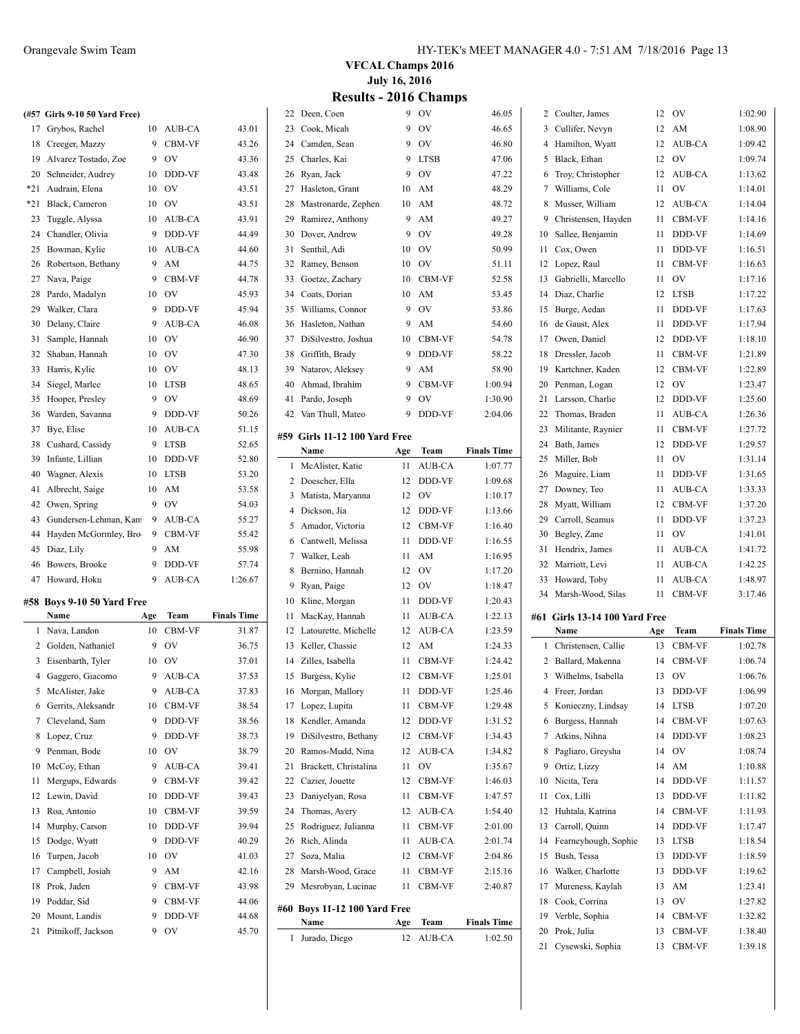|          | (#57 Girls 9-10 50 Yard Free)  |        |                  |                    |
|----------|--------------------------------|--------|------------------|--------------------|
| 17       | Grybos, Rachel                 | 10     | AUB-CA           | 43.01              |
| 18       | Creeger, Mazzy                 | 9      | CBM-VF           | 43.26              |
| 19       | Alvarez Tostado, Zoe           | 9      | OV               | 43.36              |
| 20       | Schneider, Audrey              | 10     | DDD-VF           | 43.48              |
| *21      | Audrain. Elena                 | 10     | OV               | 43.51              |
| *21      | Black, Cameron                 | 10     | OV               | 43.51              |
| 23       | Tuggle, Alyssa                 | 10     | AUB-CA           | 43.91              |
| 24       | Chandler, Olivia               | 9      | DDD-VF           | 44.49              |
| 25       | Bowman, Kylie                  | 10     | AUB-CA           | 44.60              |
| 26       | Robertson, Bethany             | 9      | AM               | 44.75              |
| 27       | Nava, Paige                    | 9      | CBM-VF           | 44.78              |
| 28       | Pardo, Madalyn                 | 10     | <b>OV</b>        | 45.93              |
| 29       | Walker, Clara                  | 9      | DDD-VF           | 45.94              |
| 30       | Delany, Claire                 | 9      | AUB-CA           | 46.08              |
| 31       | Sample, Hannah                 | 10     | <b>OV</b>        | 46.90              |
| 32       | Shaban, Hannah                 | 10     | OV               | 47.30              |
| 33       | Harris, Kylie                  | 10     | OV               | 48.13              |
| 34       | Siegel, Marlee                 | 10     | <b>LTSB</b>      | 48.65              |
| 35       | Hooper, Presley                | 9      | OV               | 48.69              |
| 36       | Warden, Savanna                | 9      | DDD-VF           | 50.26              |
| 37       | Bye, Elise                     | 10     | AUB-CA           | 51.15              |
| 38       | Cushard, Cassidy               | 9      | <b>LTSB</b>      | 52.65              |
| 39       | Infante, Lillian               | 10     | DDD-VF           | 52.80              |
| 40       | Wagner, Alexis                 | 10     | <b>LTSB</b>      | 53.20              |
| 41       | Albrecht, Saige                | 10     | AM               | 53.58              |
| 42       | Owen, Spring                   | 9      | OV               | 54.03              |
| 43       | Gundersen-Lehman, Kam          | 9      | AUB-CA           | 55.27              |
| 44       | Hayden McGormley, Bro          | 9      | CBM-VF           | 55.42              |
| 45       | Diaz, Lily                     | 9      | AM               | 55.98              |
| 46       | Bowers, Brooke                 | 9      | DDD-VF           | 57.74              |
| 47       | Howard, Hoku                   | 9      | AUB-CA           | 1:26.67            |
|          |                                |        |                  |                    |
| #58      | Boys 9-10 50 Yard Free<br>Name |        | <b>Team</b>      |                    |
|          |                                | Age    |                  | <b>Finals Time</b> |
| 1        | Nava, Landon                   | 10     | CBM-VF           | 31.87              |
|          | 2 Golden, Nathaniel            | 9      | OV               | 36.75              |
| 3        | Eisenbarth, Tyler              | 10     | OV               | 37.01              |
|          | 4 Gaggero, Giacomo             | 9      | AUB-CA           | 37.53              |
|          | 5 McAlister, Jake              |        | 9 AUB-CA         | 37.83              |
| 6        | Gerrits, Aleksandr             | 10     | CBM-VF           | 38.54              |
| 7        | Cleveland, Sam                 | 9      | DDD-VF           | 38.56              |
| 8        | Lopez, Cruz                    | 9      | DDD-VF           | 38.73              |
| 9        | Penman, Bode                   | 10     | OV               | 38.79              |
| 10       | McCoy, Ethan                   | 9      | AUB-CA           | 39.41              |
| 11       | Mergups, Edwards               | 9      | CBM-VF           | 39.42              |
| 12       | Lewin, David                   | 10     | DDD-VF           | 39.43              |
| 13       | Roa, Antonio                   | 10     | CBM-VF           | 39.59              |
| 14       | Murphy, Carson                 | 10     | DDD-VF           | 39.94              |
| 15       | Dodge, Wyatt                   | 9      | DDD-VF           | 40.29              |
| 16       | Turpen, Jacob                  | 10     | OV               | 41.03              |
| 17       |                                |        |                  |                    |
|          | Campbell, Josiah               | 9      | AM               | 42.16              |
| 18<br>19 | Prok, Jaden<br>Poddar, Sid     | 9<br>9 | CBM-VF<br>CBM-VF | 43.98<br>44.06     |

20 Mount, Landis 9 DDD-VF 44.68 Pitnikoff, Jackson 9 OV 45.70

**VFCAL Champs 2016 July 16, 2016 Results - 2016 Champs**

| 22             | Deen, Coen                            | 9        | OV               | 46.05              |
|----------------|---------------------------------------|----------|------------------|--------------------|
| 23             | Cook, Micah                           | 9        | OV               | 46.65              |
| 24             | Camden, Sean                          | 9        | OV               | 46.80              |
| 25             | Charles, Kai                          | 9        | <b>LTSB</b>      | 47.06              |
| 26             | Ryan, Jack                            | 9        | OV               | 47.22              |
| 27             | Hasleton, Grant                       | 10       | AM               | 48.29              |
| 28             | Mastronarde, Zephen                   | 10       | AM               | 48.72              |
| 29             | Ramirez, Anthony                      | 9        | AM               | 49.27              |
| 30             | Dover, Andrew                         | 9        | OV               | 49.28              |
| 31             | Senthil, Adi                          | 10       | OV               | 50.99              |
| 32             | Ramey, Benson                         | 10       | OV               | 51.11              |
| 33             | Goetze, Zachary                       | 10       | CBM-VF           | 52.58              |
| 34             | Coats, Dorian                         | 10       | AM               | 53.45              |
| 35             | Williams, Connor                      | 9        | OV               | 53.86              |
| 36             | Hasleton, Nathan                      | 9        | AM               | 54.60              |
| 37             | DiSilvestro, Joshua                   | 10       | CBM-VF           | 54.78              |
| 38             | Griffith, Brady                       | 9        | DDD-VF           | 58.22              |
| 39             | Natarov, Aleksey                      | 9        | AM               | 58.90              |
| 40             | Ahmad, Ibrahim                        | 9        | CBM-VF           | 1:00.94            |
| 41             | Pardo, Joseph                         | 9        | OV               | 1:30.90            |
| 42             | Van Thull, Mateo                      | 9        | DDD-VF           | 2:04.06            |
|                |                                       |          |                  |                    |
|                | #59 Girls 11-12 100 Yard Free         |          |                  |                    |
|                | Name                                  | Age      | Team             | <b>Finals Time</b> |
| 1              | McAlister, Katie                      | 11       | AUB-CA           | 1:07.77            |
| 2              | Doescher, Ella                        | 12       | DDD-VF           | 1:09.68            |
| 3              | Matista, Maryanna                     | 12       | OV               | 1:10.17            |
| $\overline{4}$ | Dickson, Jia                          | 12       | DDD-VF           | 1:13.66            |
| 5<br>6         | Amador, Victoria<br>Cantwell, Melissa | 12<br>11 | CBM-VF<br>DDD-VF | 1:16.40<br>1:16.55 |
| 7              | Walker, Leah                          | 11       | AM               | 1:16.95            |
| 8              | Bernino, Hannah                       | 12       | OV               | 1:17.20            |
| 9              | Ryan, Paige                           | 12       | OV               | 1:18.47            |
| 10             | Kline, Morgan                         | 11       | DDD-VF           | 1:20.43            |
| 11             | MacKay, Hannah                        | 11       | AUB-CA           | 1:22.13            |
| 12             | Latourette, Michelle                  | 12       | AUB-CA           | 1:23.59            |
| 13             | Keller, Chassie                       | 12       | AM               | 1:24.33            |
| 14             | Zilles, Isabella                      | 11       | CBM-VF           | 1:24.42            |
| 15             | Burgess, Kylie                        | 12       | CBM-VF           | 1:25.01            |
|                | 16 Morgan, Mallory                    |          | 11 DDD-VF        | 1:25.46            |
| 17             | Lopez, Lupita                         | 11       | CBM-VF           | 1:29.48            |
| 18             | Kendler, Amanda                       | 12       | DDD-VF           | 1:31.52            |
| 19             | DiSilvestro, Bethany                  | 12       | CBM-VF           | 1:34.43            |
| 20             | Ramos-Mudd, Nina                      | 12       | AUB-CA           | 1:34.82            |
| 21             | Brackett, Christalina                 | 11       | OV               | 1:35.67            |
| 22             | Cazier, Jouette                       | 12       | CBM-VF           | 1:46.03            |
| 23             | Daniyelyan, Rosa                      | 11       | CBM-VF           | 1:47.57            |
| 24             | Thomas, Avery                         | 12       | AUB-CA           | 1:54.40            |
| 25             | Rodriguez, Julianna                   | 11       | CBM-VF           | 2:01.00            |
| 26             | Rich, Alinda                          | 11       | AUB-CA           | 2:01.74            |
| 27             | Soza, Malia                           | 12       | CBM-VF           | 2:04.86            |
| 28             | Marsh-Wood, Grace                     | 11       | CBM-VF           | 2:15.16            |
| 29             | Mesrobyan, Lucinae                    | 11       | CBM-VF           | 2:40.87            |
|                |                                       |          |                  |                    |
| #60            | <b>Boys 11-12 100 Yard Free</b>       |          |                  |                    |
|                | Name                                  | Age      | Team             | <b>Finals Time</b> |
| 1              | Jurado, Diego                         | 12       | AUB-CA           | 1:02.50            |

| 2        | Coulter, James                           | 12       | OV               | 1:02.90            |
|----------|------------------------------------------|----------|------------------|--------------------|
| 3        | Cullifer, Nevyn                          | 12       | AM               | 1:08.90            |
| 4        | Hamilton, Wyatt                          | 12       | AUB-CA           | 1:09.42            |
| 5        | Black, Ethan                             | 12       | OV               | 1:09.74            |
| 6        | Troy, Christopher                        | 12       | AUB-CA           | 1:13.62            |
| 7        | Williams, Cole                           | 11       | OV               | 1:14.01            |
| 8        | Musser, William                          | 12       | AUB-CA           | 1:14.04            |
| 9        | Christensen, Hayden                      | 11       | CBM-VF           | 1:14.16            |
| 10       | Sallee, Benjamin                         | 11       | DDD-VF           | 1:14.69            |
| 11       | Cox, Owen                                | 11       | DDD-VF           | 1:16.51            |
| 12       | Lopez, Raul                              | 11       | CBM-VF           | 1:16.63            |
| 13       | Gabrielli, Marcello                      | 11       | OV               | 1:17.16            |
| 14       | Diaz, Charlie                            | 12       | <b>LTSB</b>      | 1:17.22            |
| 15       | Burge, Aedan                             | 11       | DDD-VF           | 1:17.63            |
| 16       | de Gaust, Alex                           | 11       | DDD-VF           | 1:17.94            |
| 17       | Owen, Daniel                             | 12       | DDD-VF           | 1:18.10            |
| 18       | Dressler, Jacob                          | 11       | CBM-VF           | 1:21.89            |
| 19       | Kartchner, Kaden                         | 12       | CBM-VF           | 1:22.89            |
| 20       | Penman, Logan                            | 12       | OV               | 1:23.47            |
| 21       |                                          | 12       | DDD-VF           |                    |
|          | Larsson, Charlie                         |          |                  | 1:25.60            |
| 22       | Thomas, Braden                           | 11       | AUB-CA           | 1:26.36            |
| 23       | Militante, Raynier                       | 11       | CBM-VF           | 1:27.72            |
| 24       | Bath, James                              | 12       | DDD-VF           | 1:29.57            |
| 25       | Miller, Bob                              | 11       | OV               | 1:31.14            |
| 26       | Maguire, Liam                            | 11       | DDD-VF           | 1:31.65            |
| 27       | Downey, Teo                              | 11       | AUB-CA           | 1:33.33            |
| 28       | Myatt, William                           | 12       | CBM-VF           | 1:37.20            |
| 29       | Carroll, Seamus                          | 11       | DDD-VF           | 1:37.23            |
| 30       | Begley, Zane                             | 11       | OV               | 1:41.01            |
|          |                                          |          |                  |                    |
| 31       | Hendrix, James                           | 11       | AUB-CA           | 1:41.72            |
| 32       | Marriott, Levi                           | 11       | AUB-CA           | 1:42.25            |
| 33       | Howard, Toby                             | 11       | AUB-CA           | 1:48.97            |
| 34       | Marsh-Wood, Silas                        | 11       | CBM-VF           | 3:17.46            |
|          |                                          |          |                  |                    |
| #61      | <b>Girls 13-14 100 Yard Free</b><br>Name | Age      | Team             | <b>Finals Time</b> |
| 1        | Christensen, Callie                      | 13       | CBM-VF           | 1:02.78            |
| 2        | Ballard, Makenna                         | 14       | CBM-VF           | 1:06.74            |
| 3        | Wilhelms, Isabella                       | 13       | OV               | 1:06.76            |
| 4        | Freer, Jordan                            | 13       | DDD-VF           | 1:06.99            |
| 5        | Konieczny, Lindsay                       | 14       | LTSB             | 1:07.20            |
| 6        | Burgess, Hannah                          | 14       | CBM-VF           | 1:07.63            |
| 7        | Atkins, Nihna                            | 14       | DDD-VF           | 1:08.23            |
| 8        |                                          | 14       | OV               |                    |
| 9        | Pagliaro, Greysha                        | 14       | AM               | 1:08.74            |
|          | Ortiz, Lizzy                             | 14       |                  | 1:10.88            |
| 10       | Nicita, Tera                             |          | DDD-VF           | 1:11.57            |
| 11       | Cox. Lilli                               | 13       | DDD-VF           | 1:11.82            |
| 12       | Huhtala, Katrina                         | 14       | CBM-VF           | 1:11.93            |
| 13       | Carroll, Quinn                           | 14       | DDD-VF           | 1:17.47            |
| 14       | Fearneyhough, Sophie                     | 13       | <b>LTSB</b>      | 1:18.54            |
| 15       | Bush, Tessa                              | 13       | DDD-VF           | 1:18.59            |
| 16       | Walker, Charlotte                        | 13       | DDD-VF           | 1:19.62            |
| 17       | Mureness, Kaylah                         | 13       | AM               | 1:23.41            |
| 18       | Cook, Corrina                            | 13       | OV               | 1:27.82            |
| 19       | Verble, Sophia                           | 14       | CBM-VF           | 1:32.82            |
| 20<br>21 | Prok, Julia<br>Cysewski, Sophia          | 13<br>13 | CBM-VF<br>CBM-VF | 1:38.40<br>1:39.18 |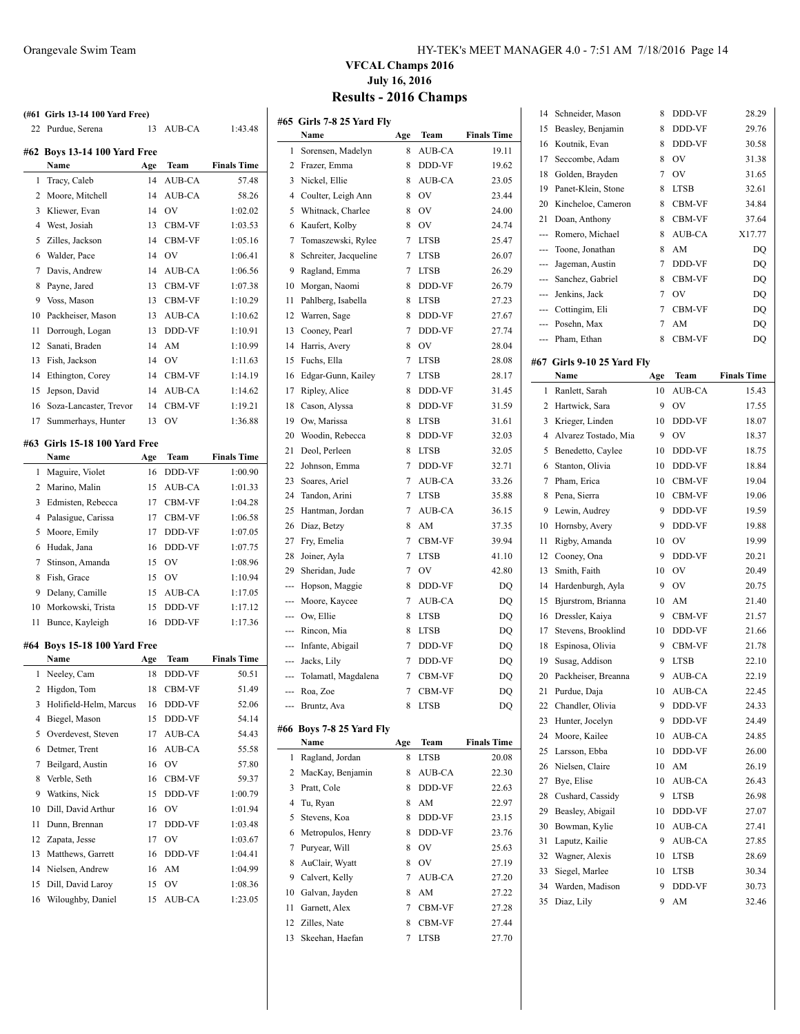| 22 | (#61 Girls 13-14 100 Yard Free)<br>Purdue, Serena | 13  | AUB-CA        | 1:43.48            | #65    |
|----|---------------------------------------------------|-----|---------------|--------------------|--------|
|    |                                                   |     |               |                    |        |
|    | #62 Boys 13-14 100 Yard Free<br>Name              | Age | Team          | <b>Finals Time</b> | 1<br>2 |
| 1  | Tracy, Caleb                                      | 14  | <b>AUB-CA</b> | 57.48              | 3      |
| 2  | Moore, Mitchell                                   | 14  | AUB-CA        | 58.26              | 4      |
| 3  | Kliewer, Evan                                     | 14  | OV            | 1:02.02            | 5      |
| 4  | West, Josiah                                      | 13  | CBM-VF        | 1:03.53            | 6      |
| 5  | Zilles, Jackson                                   | 14  | <b>CBM-VF</b> | 1:05.16            | 7      |
| 6  | Walder, Pace                                      | 14  | <b>OV</b>     | 1:06.41            | 8      |
| 7  | Davis, Andrew                                     | 14  | AUB-CA        | 1:06.56            | 9      |
| 8  | Payne, Jared                                      | 13  | CBM-VF        | 1:07.38            | 10     |
| 9  | Voss, Mason                                       | 13  | CBM-VF        | 1:10.29            | 11     |
| 10 | Packheiser, Mason                                 | 13  | AUB-CA        | 1:10.62            | 12     |
| 11 | Dorrough, Logan                                   | 13  | DDD-VF        | 1:10.91            | 13     |
| 12 | Sanati, Braden                                    | 14  | AM            | 1:10.99            | 14     |
| 13 | Fish, Jackson                                     | 14  | <b>OV</b>     | 1:11.63            | 15     |
| 14 | Ethington, Corey                                  | 14  | CBM-VF        | 1:14.19            | 16     |
| 15 | Jepson, David                                     | 14  | AUB-CA        | 1:14.62            | 17     |
| 16 | Soza-Lancaster, Trevor                            | 14  | CBM-VF        | 1:19.21            | 18     |
| 17 | Summerhays, Hunter                                | 13  | OV            | 1:36.88            | 19     |
|    |                                                   |     |               |                    | 20     |
|    | #63 Girls 15-18 100 Yard Free                     |     |               |                    | 21     |
|    | Name                                              | Age | Team          | <b>Finals Time</b> | 22     |
| 1  | Maguire, Violet                                   | 16  | DDD-VF        | 1:00.90            | 23     |
| 2  | Marino, Malin                                     | 15  | AUB-CA        | 1:01.33            | 24     |
| 3  | Edmisten, Rebecca                                 | 17  | CBM-VF        | 1:04.28            | 25     |
| 4  | Palasigue, Carissa                                | 17  | CBM-VF        | 1:06.58            | 26     |
| 5  | Moore, Emily                                      | 17  | DDD-VF        | 1:07.05            | 27     |
| 6  | Hudak, Jana                                       | 16  | DDD-VF        | 1:07.75            | 28     |
| 7  | Stinson, Amanda                                   | 15  | OV            | 1:08.96            | 29     |
| 8  | Fish, Grace                                       | 15  | OV            | 1:10.94            |        |
| 9  | Delany, Camille                                   | 15  | AUB-CA        | 1:17.05            |        |
| 10 | Morkowski, Trista                                 | 15  | DDD-VF        | 1:17.12            |        |
| 11 | Bunce, Kayleigh                                   | 16  | DDD-VF        | 1:17.36            |        |
|    | #64 Boys 15-18 100 Yard Free                      |     |               |                    |        |
|    | Name                                              | Age | Team          | <b>Finals Time</b> |        |
| 1  | Neeley, Cam                                       | 18  | DDD-VF        | 50.51              |        |
| 2  | Higdon, Tom                                       | 18  | CBM-VF        | 51.49              |        |
| 3  | Holifield-Helm, Marcus                            | 16  | DDD-VF        | 52.06              |        |
| 4  | Biegel, Mason                                     | 15  | DDD-VF        | 54.14              |        |
| 5  | Overdevest, Steven                                | 17  | AUB-CA        | 54.43              | #66    |
| 6  | Detmer, Trent                                     | 16  | AUB-CA        | 55.58              |        |
| 7  | Beilgard, Austin                                  | 16  | OV            | 57.80              |        |
| 8  | Verble, Seth                                      | 16  | CBM-VF        | 59.37              |        |
| 9  | Watkins, Nick                                     | 15  | DDD-VF        | 1:00.79            |        |
| 10 | Dill, David Arthur                                | 16  | OV            | 1:01.94            |        |
| 11 | Dunn, Brennan                                     | 17  | DDD-VF        | 1:03.48            |        |
| 12 | Zapata, Jesse                                     | 17  | OV            | 1:03.67            |        |
| 13 | Matthews, Garrett                                 | 16  | DDD-VF        | 1:04.41            |        |
| 14 | Nielsen, Andrew                                   | 16  | AM            | 1:04.99            |        |
| 15 | Dill, David Laroy                                 | 15  | OV            | 1:08.36            |        |
| 16 | Wiloughby, Daniel                                 | 15  | AUB-CA        | 1:23.05            | 10     |
|    |                                                   |     |               |                    |        |

## **VFCAL Champs 2016 July 16, 2016 Results - 2016 Champs**

|                           | #65 Girls 7-8 25 Yard Fly |                |             |                    |
|---------------------------|---------------------------|----------------|-------------|--------------------|
|                           | Name                      | Age            | Team        | <b>Finals Time</b> |
| 1                         | Sorensen, Madelyn         | 8              | AUB-CA      | 19.11              |
| 2                         | Frazer, Emma              | 8              | DDD-VF      | 19.62              |
| 3                         | Nickel, Ellie             | 8              | AUB-CA      | 23.05              |
| 4                         | Coulter, Leigh Ann        | 8              | <b>OV</b>   | 23.44              |
| 5                         | Whitnack, Charlee         | 8              | OV          | 24.00              |
| 6                         | Kaufert, Kolby            | 8              | <b>OV</b>   | 24.74              |
| 7                         | Tomaszewski, Rylee        | 7              | <b>LTSB</b> | 25.47              |
| 8                         | Schreiter, Jacqueline     | 7              | <b>LTSB</b> | 26.07              |
| 9                         | Ragland, Emma             | 7              | <b>LTSB</b> | 26.29              |
| 10                        | Morgan, Naomi             | 8              | DDD-VF      | 26.79              |
| 11                        | Pahlberg, Isabella        | 8              | <b>LTSB</b> | 27.23              |
| 12                        | Warren, Sage              | 8              | DDD-VF      | 27.67              |
| 13                        | Cooney, Pearl             | 7              | DDD-VF      | 27.74              |
| 14                        | Harris, Avery             | 8              | OV          | 28.04              |
| 15                        | Fuchs, Ella               | 7              | <b>LTSB</b> | 28.08              |
| 16                        | Edgar-Gunn, Kailey        | 7              | <b>LTSB</b> | 28.17              |
| 17                        | Ripley, Alice             | 8              | DDD-VF      | 31.45              |
| 18                        | Cason, Alyssa             | 8              | DDD-VF      | 31.59              |
| 19                        | Ow, Marissa               | 8              | <b>LTSB</b> | 31.61              |
| 20                        | Woodin, Rebecca           | 8              | DDD-VF      | 32.03              |
| 21                        | Deol, Perleen             | 8              | <b>LTSB</b> | 32.05              |
| 22                        | Johnson, Emma             | 7              | DDD-VF      | 32.71              |
| 23                        | Soares, Ariel             | 7              | AUB-CA      | 33.26              |
| 24                        | Tandon, Arini             | $\overline{7}$ | <b>LTSB</b> | 35.88              |
| 25                        | Hantman, Jordan           | 7              | AUB-CA      | 36.15              |
| 26                        | Diaz, Betzy               | 8              | AM          | 37.35              |
| 27                        | Fry, Emelia               | 7              | CBM-VF      | 39.94              |
| 28                        | Joiner, Ayla              | 7              | <b>LTSB</b> | 41.10              |
| 29                        | Sheridan, Jude            | 7              | <b>OV</b>   | 42.80              |
| ---                       | Hopson, Maggie            | 8              | DDD-VF      | DQ                 |
| ---                       | Moore, Kaycee             | 7              | AUB-CA      | DQ                 |
| ---                       | Ow, Ellie                 | 8              | <b>LTSB</b> | DQ                 |
| $\qquad \qquad -\qquad -$ | Rincon, Mia               | 8              | <b>LTSB</b> | DQ                 |
| ---                       | Infante, Abigail          | 7              | DDD-VF      | DQ                 |
| ---                       | Jacks, Lily               | 7              | DDD-VF      | DQ                 |
| ---                       | Tolamatl, Magdalena       | 7              | CBM-VF      | DQ                 |
| ---                       | Roa, Zoe                  | 7              | CBM-VF      | DQ                 |
|                           | Bruntz, Ava               | 8              | LTSB        | DQ                 |
|                           |                           |                |             |                    |
|                           | #66 Boys 7-8 25 Yard Fly  |                |             |                    |
|                           | Name                      | Age            | Team        | <b>Finals Time</b> |
| 1                         | Ragland, Jordan           | 8              | <b>LTSB</b> | 20.08              |
| 2                         | MacKay, Benjamin          | 8              | AUB-CA      | 22.30              |
| 3                         | Pratt, Cole               | 8              | DDD-VF      | 22.63              |
| 4                         | Tu, Ryan                  | 8              | AM          | 22.97              |
| 5                         | Stevens, Koa              | 8              | DDD-VF      | 23.15              |
| 6                         | Metropulos, Henry         | 8              | DDD-VF      | 23.76              |
| 7                         | Puryear, Will             | 8              | OV          | 25.63              |
| 8                         | AuClair, Wyatt            | 8              | OV          | 27.19              |
| 9                         | Calvert, Kelly            | 7              | AUB-CA      | 27.20              |
| 10                        | Galvan, Jayden            | 8              | AM          | 27.22              |
| 11                        | Garnett, Alex             | 7              | CBM-VF      | 27.28              |
| 12                        | Zilles, Nate              | 8              | CBM-VF      | 27.44              |
| 13                        | Skeehan, Haefan           | 7              | <b>LTSB</b> | 27.70              |

| 14            | Schneider, Mason           | 8   | DDD-VF      | 28.29              |
|---------------|----------------------------|-----|-------------|--------------------|
| 15            | Beasley, Benjamin          | 8   | DDD-VF      | 29.76              |
| 16            | Koutnik, Evan              | 8   | DDD-VF      | 30.58              |
| 17            | Seccombe, Adam             | 8   | OV          | 31.38              |
| 18            | Golden, Brayden            | 7   | OV          | 31.65              |
| 19            | Panet-Klein, Stone         | 8   | <b>LTSB</b> | 32.61              |
| 20            | Kincheloe, Cameron         | 8   | CBM-VF      | 34.84              |
| 21            | Doan, Anthony              | 8   | CBM-VF      | 37.64              |
| ---           | Romero, Michael            | 8   | AUB-CA      | X17.77             |
|               | --- Toone, Jonathan        | 8   | AM          | DQ                 |
| ---           | Jageman, Austin            | 7   | DDD-VF      | DO                 |
| $\frac{1}{2}$ | Sanchez, Gabriel           | 8   | CBM-VF      | DQ                 |
|               | --- Jenkins, Jack          | 7   | OV          | DQ                 |
|               | --- Cottingim, Eli         | 7   | CBM-VF      | DQ                 |
|               | --- Posehn, Max            | 7   | AM          | DQ                 |
| ---           | Pham, Ethan                | 8   | CBM-VF      | DQ                 |
|               |                            |     |             |                    |
|               | #67 Girls 9-10 25 Yard Fly |     |             |                    |
|               | Name                       | Age | Team        | <b>Finals Time</b> |
| 1             | Ranlett, Sarah             | 10  | AUB-CA      | 15.43              |
| 2             | Hartwick, Sara             | 9   | OV          | 17.55              |
| 3             | Krieger, Linden            | 10  | DDD-VF      | 18.07              |
| 4             | Alvarez Tostado, Mia       | 9   | OV          | 18.37              |
| 5             | Benedetto, Caylee          | 10  | DDD-VF      | 18.75              |
| 6             | Stanton, Olivia            | 10  | DDD-VF      | 18.84              |
| 7             | Pham, Erica                | 10  | CBM-VF      | 19.04              |
| 8             | Pena, Sierra               | 10  | CBM-VF      | 19.06              |
| 9             | Lewin, Audrey              | 9   | DDD-VF      | 19.59              |
| 10            | Hornsby, Avery             | 9   | DDD-VF      | 19.88              |
| 11            | Rigby, Amanda              | 10  | OV          | 19.99              |
| 12            | Cooney, Ona                | 9   | DDD-VF      | 20.21              |
| 13            | Smith, Faith               | 10  | OV          | 20.49              |
| 14            | Hardenburgh, Ayla          | 9   | OV          | 20.75              |
| 15            | Bjurstrom, Brianna         | 10  | AM          | 21.40              |
| 16            | Dressler, Kaiya            | 9   | CBM-VF      | 21.57              |
| 17            | Stevens, Brooklind         | 10  | DDD-VF      | 21.66              |
| 18            | Espinosa, Olivia           | 9   | CBM-VF      | 21.78              |
| 19            | Susag, Addison             | 9   | LTSB        | 22.10              |
| 20            | Packheiser, Breanna        | 9   | AUB-CA      | 22.19              |
| 21            | Purdue, Daja               | 10  | AUB-CA      | 22.45              |
| 22            | Chandler, Olivia           | 9   | DDD-VF      | 24.33              |
| 23            | Hunter, Jocelyn            | 9   | DDD-VF      | 24.49              |
| 24            | Moore, Kailee              | 10  | AUB-CA      | 24.85              |
| 25            | Larsson, Ebba              | 10  | DDD-VF      | 26.00              |
| 26            | Nielsen, Claire            | 10  | AM          | 26.19              |
| 27            | Bye, Elise                 | 10  | AUB-CA      | 26.43              |
| 28            | Cushard, Cassidy           | 9   | LTSB        | 26.98              |
| 29            | Beasley, Abigail           | 10  | DDD-VF      | 27.07              |
| 30            | Bowman, Kylie              | 10  | AUB-CA      | 27.41              |
| 31            | Laputz, Kailie             | 9   | AUB-CA      | 27.85              |
| 32            | Wagner, Alexis             | 10  | <b>LTSB</b> | 28.69              |
| 33            | Siegel, Marlee             | 10  | LTSB        | 30.34              |
| 34            | Warden, Madison            | 9   | DDD-VF      | 30.73              |
| 35            | Diaz, Lily                 | 9   | AM          | 32.46              |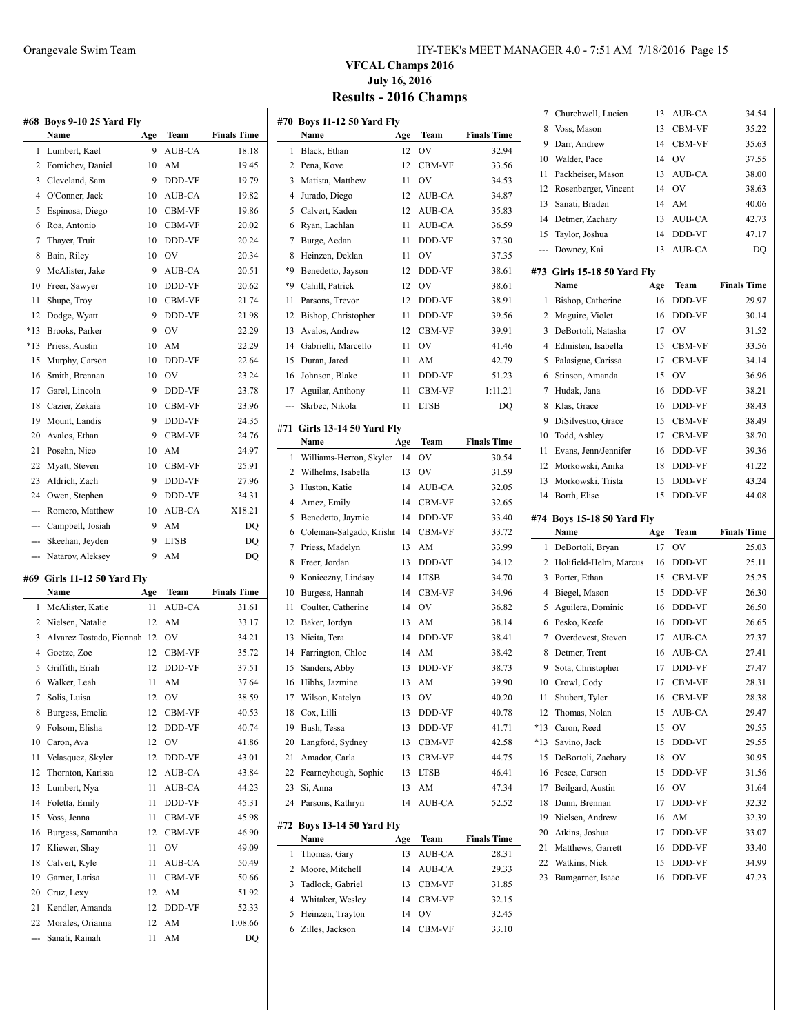**#68 Boys 9-10 25 Yard Fly**

**#69 Girls 11-12 50 Yard Fly**

| HY-TEK's MEET MANAGER 4.0 - 7:51 AM 7/18/2016 Page 15 |  |  |
|-------------------------------------------------------|--|--|
|                                                       |  |  |

### **VFCAL Champs 2016 July 16, 2016 Results - 2016 Champs**

|        | 468 Boys 9-10 25 Yard Fly             |          |                |                             | #70 Boy  |             |
|--------|---------------------------------------|----------|----------------|-----------------------------|----------|-------------|
| 1      | Name<br>Lumbert, Kael                 | Age<br>9 | Team<br>AUB-CA | <b>Finals Time</b><br>18.18 | 1        | Nan<br>Blac |
|        |                                       |          | AM             |                             | 2        | Pena        |
| 2<br>3 | Fomichev, Daniel<br>Cleveland, Sam    | 10<br>9  | DDD-VF         | 19.45<br>19.79              | 3        | Mat         |
| 4      | O'Conner, Jack                        | 10       |                | 19.82                       | 4        | Jura        |
|        |                                       |          | AUB-CA         |                             | 5        |             |
| 5      | Espinosa, Diego                       | 10       | CBM-VF         | 19.86                       | 6        | Calv        |
| 6      | Roa, Antonio                          | 10       | CBM-VF         | 20.02                       | 7        | Rya         |
| 7      | Thayer, Truit                         | 10       | DDD-VF         | 20.24                       |          | Burg        |
| 8      | Bain, Riley                           | 10       | <b>OV</b>      | 20.34                       | 8<br>*9  | Hein        |
| 9      | McAlister, Jake                       | 9        | AUB-CA         | 20.51                       |          | Ben         |
| 10     | Freer, Sawyer                         | 10       | DDD-VF         | 20.62                       | $*9$     | Cah         |
| 11     | Shupe, Troy                           | 10       | CBM-VF         | 21.74                       | 11       | Pars        |
| 12     | Dodge, Wyatt                          | 9        | DDD-VF         | 21.98                       | 12       | Bish        |
| *13    | Brooks, Parker                        | 9        | OV             | 22.29                       | 13       | Ava         |
| *13    | Priess, Austin                        | 10       | AM             | 22.29                       | 14       | Gab         |
| 15     | Murphy, Carson                        | 10       | DDD-VF         | 22.64                       | 15       | Dur         |
| 16     | Smith, Brennan                        | 10       | OV             | 23.24                       | 16       | Johr        |
| 17     | Garel, Lincoln                        | 9        | DDD-VF         | 23.78                       | 17       | Agu         |
| 18     | Cazier, Zekaia                        | 10       | CBM-VF         | 23.96                       |          | Skrb        |
| 19     | Mount, Landis                         | 9        | DDD-VF         | 24.35                       | #71 Girl |             |
| 20     | Avalos, Ethan                         | 9        | CBM-VF         | 24.76                       |          | Nan         |
| 21     | Posehn, Nico                          | 10       | AM             | 24.97                       | 1        | Will        |
| 22     | Myatt, Steven                         | 10       | CBM-VF         | 25.91                       | 2        | Will        |
| 23     | Aldrich, Zach                         | 9        | DDD-VF         | 27.96                       | 3        | Hus         |
|        | 24 Owen, Stephen                      | 9        | DDD-VF         | 34.31                       | 4        | Arn         |
| ---    | Romero, Matthew                       | 10       | AUB-CA         | X18.21                      | 5        | Ben         |
|        | --- Campbell, Josiah                  | 9        | AM             | DQ                          | 6        | Col         |
|        | --- Skeehan, Jeyden                   | 9        | <b>LTSB</b>    | DQ                          | 7        | Prie        |
| ---    | Natarov, Aleksey                      | 9        | AM             | DQ                          | 8        | Free        |
|        |                                       |          |                |                             | 9        | Kon         |
|        | 469   Girls 11-12 50 Yard Fly<br>Name | Age      | Team           | <b>Finals Time</b>          | 10       | Burg        |
| 1      | McAlister, Katie                      | 11       | AUB-CA         | 31.61                       | 11       | Cou         |
| 2      | Nielsen, Natalie                      | 12       | AM             | 33.17                       | 12       | Bak         |
|        |                                       |          | OV             |                             |          |             |
| 3      | Alvarez Tostado, Fionnah 12           |          | CBM-VF         | 34.21                       | 13<br>14 | Nici        |
|        | 4 Goetze, Zoe                         | 12       |                | 35.72                       |          | Farr        |
| 5      | Griffith, Eriah                       | 12       | DDD-VF         | 37.51                       | 15       | San         |
| 6      | Walker, Leah                          | 11       | AM             | 37.64                       | 16       | Hibl        |
| 7      | Solis, Luisa                          |          | 12 OV          | 38.59                       | 17       | Wil:        |
| 8      | Burgess, Emelia                       | 12       | CBM-VF         | 40.53                       | 18       | Cox         |
| 9      | Folsom, Elisha                        | 12       | DDD-VF         | 40.74                       | 19       | <b>Bus</b>  |
| 10     | Caron, Ava                            | 12       | OV             | 41.86                       | 20       | Lan         |
| 11     | Velasquez, Skyler                     | 12       | DDD-VF         | 43.01                       | 21       | Am          |
| 12     | Thornton, Karissa                     | 12       | AUB-CA         | 43.84                       | 22       | Fear        |
| 13     | Lumbert, Nya                          | 11       | AUB-CA         | 44.23                       | 23       | Si, /       |
| 14     | Foletta, Emily                        | 11       | DDD-VF         | 45.31                       | 24       | Pars        |
| 15     | Voss, Jenna                           | 11       | CBM-VF         | 45.98                       | #72 Boy  |             |
| 16     | Burgess, Samantha                     | 12       | CBM-VF         | 46.90                       |          | Nan         |
| 17     | Kliewer, Shay                         | 11       | OV             | 49.09                       | 1        | Tho         |
| 18     | Calvert, Kyle                         | 11       | AUB-CA         | 50.49                       | 2        | Moo         |
| 19     | Garner, Larisa                        | 11       | CBM-VF         | 50.66                       | 3        | Tadl        |
| 20     | Cruz, Lexy                            | 12       | AM             | 51.92                       | 4        | Whi         |
| 21     | Kendler, Amanda                       | 12       | DDD-VF         | 52.33                       | 5        | Heir        |
| 22     | Morales, Orianna                      | 12       | AM             | 1:08.66                     |          | 7:11        |

--- Sanati, Rainah 11 AM DQ

|     | #70 Boys 11-12 50 Yard Fly            |           |              |                    |
|-----|---------------------------------------|-----------|--------------|--------------------|
|     | Name                                  | Age       | Team         | <b>Finals Time</b> |
| 1   | Black, Ethan                          | 12        | OV           | 32.94              |
| 2   | Pena, Kove                            | 12        | CBM-VF       | 33.56              |
| 3   | Matista, Matthew                      | 11        | OV           | 34.53              |
| 4   | Jurado, Diego                         | 12        | AUB-CA       | 34.87              |
| 5   | Calvert, Kaden                        | 12        | AUB-CA       | 35.83              |
| 6   | Ryan, Lachlan                         | 11        | AUB-CA       | 36.59              |
| 7   | Burge, Aedan                          | 11        | DDD-VF       | 37.30              |
| 8   | Heinzen, Deklan                       | 11        | OV           | 37.35              |
| *9  | Benedetto, Jayson                     | 12        | DDD-VF       | 38.61              |
| *9  | Cahill, Patrick                       | 12        | OV           | 38.61              |
| 11  | Parsons, Trevor                       | 12        | DDD-VF       | 38.91              |
| 12  | Bishop, Christopher                   | 11        | DDD-VF       | 39.56              |
| 13  | Avalos, Andrew                        | 12        | CBM-VF       | 39.91              |
| 14  | Gabrielli, Marcello                   | 11        | OV           | 41.46              |
| 15  | Duran, Jared                          | 11        | AM           | 42.79              |
| 16  | Johnson, Blake                        | 11        | DDD-VF       | 51.23              |
| 17  | Aguilar, Anthony                      | 11        | CBM-VF       | 1:11.21            |
| --- | Skrbec, Nikola                        | 11        | LTSB         | DQ                 |
|     |                                       |           |              |                    |
| #71 | <b>Girls 13-14 50 Yard Fly</b>        |           |              |                    |
|     | Name                                  | Age       | Team         | <b>Finals Time</b> |
| 1   | Williams-Herron, Skyler               | 14        | OV           | 30.54              |
| 2   | Wilhelms, Isabella                    | 13        | OV           | 31.59              |
| 3   | Huston, Katie                         | 14        | AUB-CA       | 32.05              |
| 4   | Arnez, Emily                          | 14        | CBM-VF       | 32.65              |
| 5   | Benedetto, Jaymie                     | 14        | DDD-VF       | 33.40              |
| 6   | Coleman-Salgado, Krishn               | -14       | CBM-VF       | 33.72              |
| 7   | Priess, Madelyn                       | 13        | AM           | 33.99              |
| 8   | Freer, Jordan                         | 13        | DDD-VF       | 34.12              |
| 9   | Konieczny, Lindsay                    | 14        | LTSB         | 34.70              |
| 10  | Burgess, Hannah                       | 14        | CBM-VF       | 34.96              |
| 11  | Coulter, Catherine                    | 14        | OV           | 36.82              |
| 12  | Baker, Jordyn                         | 13        | AM           | 38.14              |
| 13  | Nicita, Tera                          | 14        | DDD-VF       | 38.41              |
| 14  | Farrington, Chloe                     | 14        | AM           | 38.42              |
| 15  | Sanders, Abby                         | 13        | DDD-VF       | 38.73              |
| 16  | Hibbs, Jazmine                        | 13        | AM           | 39.90              |
| 17  | Wilson, Katelyn                       |           | 13 OV        | 40.20              |
| 18  | Cox, Lilli                            | 13        | DDD-VF       | 40.78              |
| 19  | Bush, Tessa                           | 13        | DDD-VF       | 41.71              |
| 20  | Langford, Sydney                      | 13        | CBM-VF       | 42.58              |
| 21  | Amador, Carla                         | 13        | CBM-VF       | 44.75              |
| 22  | Fearneyhough, Sophie                  | 13        | LTSB         | 46.41              |
| 23  | Si, Anna                              | 13        | AM           | 47.34              |
| 24  | Parsons, Kathryn                      | 14        | AUB-CA       | 52.52              |
|     |                                       |           |              |                    |
| #72 | <b>Boys 13-14 50 Yard Fly</b><br>Name |           | Team         | <b>Finals Time</b> |
| 1   | Thomas, Gary                          | Age<br>13 | AUB-CA       | 28.31              |
| 2   |                                       | 14        |              |                    |
| 3   | Moore, Mitchell<br>Tadlock, Gabriel   |           | AUB-CA       | 29.33              |
| 4   |                                       | 13<br>14  | CBM-VF       | 31.85              |
| 5   | Whitaker, Wesley                      |           | CBM-VF       | 32.15              |
|     |                                       |           |              |                    |
| 6   | Heinzen, Trayton<br>Zilles, Jackson   | 14<br>14  | OV<br>CBM-VF | 32.45<br>33.10     |

| 7        | Churchwell, Lucien                  | 13       | AUB-CA           | 34.54              |
|----------|-------------------------------------|----------|------------------|--------------------|
| 8        | Voss, Mason                         | 13       | CBM-VF           | 35.22              |
| 9        | Darr, Andrew                        | 14       | CBM-VF           | 35.63              |
| 10       | Walder, Pace                        | 14       | <b>OV</b>        | 37.55              |
| 11       | Packheiser, Mason                   | 13       | AUB-CA           | 38.00              |
| 12       | Rosenberger, Vincent                | 14       | OV               | 38.63              |
| 13       | Sanati, Braden                      | 14       | AM               | 40.06              |
| 14       | Detmer, Zachary                     | 13       | AUB-CA           | 42.73              |
| 15       | Taylor, Joshua                      | 14       | DDD-VF           | 47.17              |
| ---      | Downey, Kai                         | 13       | AUB-CA           | DQ                 |
|          |                                     |          |                  |                    |
|          | #73 Girls 15-18 50 Yard Fly<br>Name | Age      | Team             | <b>Finals Time</b> |
| 1        | Bishop, Catherine                   | 16       | DDD-VF           | 29.97              |
| 2        | Maguire, Violet                     | 16       | DDD-VF           | 30.14              |
| 3        | DeBortoli, Natasha                  | 17       | <b>OV</b>        | 31.52              |
| 4        | Edmisten, Isabella                  | 15       | CBM-VF           | 33.56              |
| 5        | Palasigue, Carissa                  | 17       | CBM-VF           | 34.14              |
| 6        | Stinson, Amanda                     | 15       | $\hbox{OV}$      | 36.96              |
| 7        | Hudak, Jana                         | 16       | DDD-VF           | 38.21              |
| 8        | Klas, Grace                         | 16       | DDD-VF           | 38.43              |
| 9        | DiSilvestro, Grace                  | 15       | CBM-VF           | 38.49              |
| 10       | Todd, Ashley                        | 17       | CBM-VF           | 38.70              |
| 11       | Evans, Jenn/Jennifer                | 16       | DDD-VF           | 39.36              |
| 12       | Morkowski, Anika                    | 18       | DDD-VF           | 41.22              |
| 13       |                                     | 15       |                  | 43.24              |
| 14       | Morkowski, Trista<br>Borth, Elise   | 15       | DDD-VF<br>DDD-VF | 44.08              |
|          |                                     |          |                  |                    |
|          |                                     |          |                  |                    |
|          | #74 Boys 15-18 50 Yard Fly          |          |                  |                    |
|          | Name                                | Age      | Team             | <b>Finals Time</b> |
| 1        | DeBortoli, Bryan                    | 17       | OV               | 25.03              |
| 2        | Holifield-Helm, Marcus              | 16       | DDD-VF           | 25.11              |
| 3        | Porter, Ethan                       | 15       | CBM-VF           | 25.25              |
| 4        | Biegel, Mason                       | 15       | DDD-VF           | 26.30              |
| 5        | Aguilera, Dominic                   | 16       | DDD-VF           | 26.50              |
| 6        | Pesko, Keefe                        | 16       | DDD-VF           | 26.65              |
| 7        | Overdevest, Steven                  | 17       | AUB-CA           | 27.37              |
| 8        | Detmer, Trent                       | 16       | AUB-CA           | 27.41              |
| 9        | Sota, Christopher                   | 17       | DDD-VF           | 27.47              |
| 10       | Crowl, Cody                         | 17       | CBM-VF           | 28.31              |
| П        | Shubert, Tyler                      | 16       | CBM-VF           | 28.38              |
| 12       | Thomas, Nolan                       | 15       | AUB-CA           | 29.47              |
| *13      | Caron, Reed                         | 15       | OV               | 29.55              |
| $*13$    | Savino, Jack                        | 15       | DDD-VF           | 29.55              |
| 15       | DeBortoli, Zachary                  | 18       | OV               | 30.95              |
| 16       | Pesce, Carson                       | 15       | DDD-VF           | 31.56              |
| 17       | Beilgard, Austin                    | 16       | OV               | 31.64              |
| 18       | Dunn, Brennan                       | 17       | DDD-VF           | 32.32              |
| 19       | Nielsen, Andrew                     | 16       | AM               | 32.39              |
| 20       | Atkins, Joshua                      | 17       | DDD-VF           | 33.07              |
| 21       | Matthews, Garrett                   | 16       | DDD-VF           | 33.40              |
| 22<br>23 | Watkins, Nick<br>Bumgarner, Isaac   | 15<br>16 | DDD-VF<br>DDD-VF | 34.99<br>47.23     |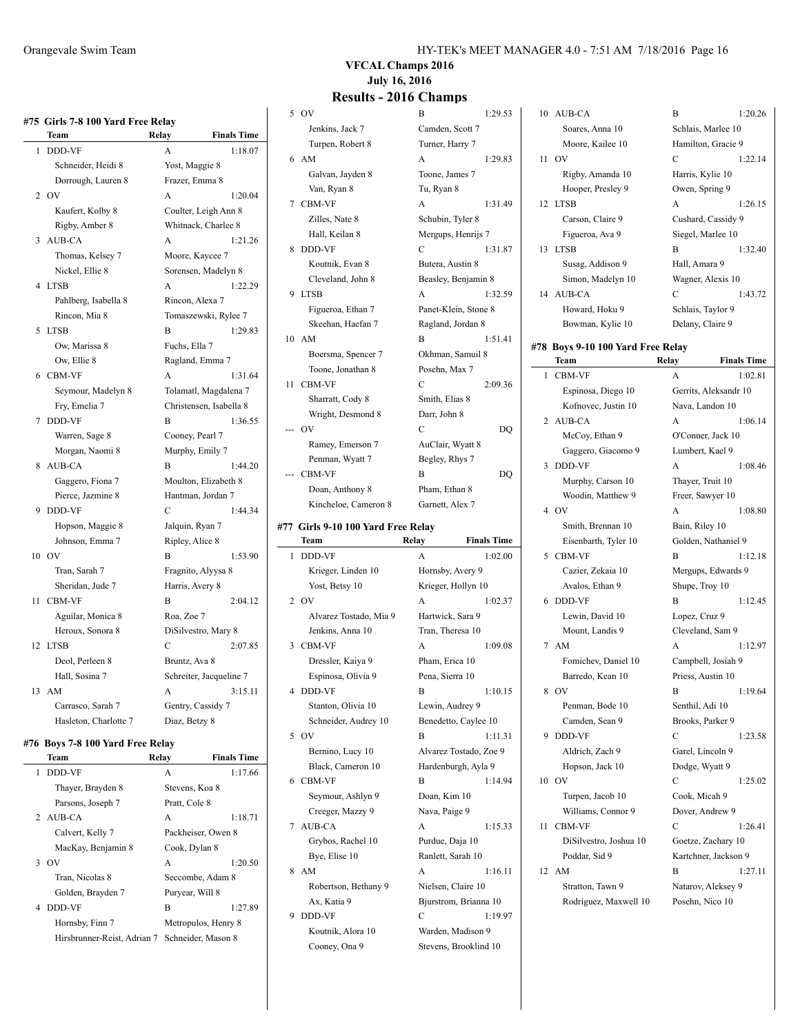|                | #75 Girls 7-8 100 Yard Free Relay |                 |                         |  |  |
|----------------|-----------------------------------|-----------------|-------------------------|--|--|
|                | Team                              | Relay           | <b>Finals Time</b>      |  |  |
| 1              | DDD-VF                            | A               | 1:18.07                 |  |  |
|                | Schneider, Heidi 8                | Yost, Maggie 8  |                         |  |  |
|                | Dorrough, Lauren 8                | Frazer, Emma 8  |                         |  |  |
| $\overline{c}$ | OV                                | A               | 1:20.04                 |  |  |
|                | Kaufert, Kolby 8                  |                 | Coulter, Leigh Ann 8    |  |  |
|                | Rigby, Amber 8                    |                 | Whitnack, Charlee 8     |  |  |
| 3              | <b>AUB-CA</b>                     | A               | 1:21.26                 |  |  |
|                | Thomas, Kelsey 7                  | Moore, Kaycee 7 |                         |  |  |
|                | Nickel, Ellie 8                   |                 | Sorensen, Madelyn 8     |  |  |
| 4              | <b>LTSB</b>                       | A               | 1:22.29                 |  |  |
|                | Pahlberg, Isabella 8              | Rincon, Alexa 7 |                         |  |  |
|                | Rincon, Mia 8                     |                 | Tomaszewski, Rylee 7    |  |  |
| 5              | <b>LTSB</b>                       | B               | 1:29.83                 |  |  |
|                | Ow, Marissa 8                     | Fuchs, Ella 7   |                         |  |  |
|                | Ow, Ellie 8                       |                 | Ragland, Emma 7         |  |  |
| 6              | <b>CBM-VF</b>                     | А               | 1:31.64                 |  |  |
|                | Seymour, Madelyn 8                |                 | Tolamatl, Magdalena 7   |  |  |
|                | Fry, Emelia 7                     |                 | Christensen, Isabella 8 |  |  |
| 7              | <b>DDD-VF</b>                     | B               | 1:36.55                 |  |  |
|                | Warren, Sage 8                    | Cooney, Pearl 7 |                         |  |  |
|                | Morgan, Naomi 8                   | Murphy, Emily 7 |                         |  |  |
| 8              | <b>AUB-CA</b>                     | B               | 1:44.20                 |  |  |
|                | Gaggero, Fiona 7                  |                 | Moulton, Elizabeth 8    |  |  |
|                | Pierce, Jazmine 8                 |                 | Hantman, Jordan 7       |  |  |
| 9              | DDD-VF                            | C               | 1:44.34                 |  |  |
|                | Hopson, Maggie 8                  | Jalquin, Ryan 7 |                         |  |  |
|                | Johnson, Emma 7                   | Ripley, Alice 8 |                         |  |  |
| 10             | OV                                | В               | 1:53.90                 |  |  |
|                | Tran, Sarah 7                     |                 | Fragnito, Alyysa 8      |  |  |
|                | Sheridan, Jude 7                  | Harris, Avery 8 |                         |  |  |
| 11             | <b>CBM-VF</b>                     | B               | 2:04.12                 |  |  |
|                | Aguilar, Monica 8                 | Roa, Zoe 7      |                         |  |  |
|                | Heroux, Sonora 8                  |                 | DiSilvestro, Mary 8     |  |  |
| 12             | <b>LTSB</b>                       | C               | 2:07.85                 |  |  |
|                | Deol, Perleen 8                   | Bruntz, Ava 8   |                         |  |  |
|                | Hall, Sosina 7                    |                 | Schreiter, Jacqueline 7 |  |  |
| 13             | AM                                | A               | 3:15.11                 |  |  |
|                | Carrasco, Sarah 7                 |                 | Gentry, Cassidy 7       |  |  |
|                | Hasleton, Charlotte 7             | Diaz, Betzy 8   |                         |  |  |

#### **#76 Boys 7-8 100 Yard Free Relay**

 $\overline{a}$ 

| Team                        | Relay           | <b>Finals Time</b>  |
|-----------------------------|-----------------|---------------------|
| DDD-VF<br>1                 | A               | 1:17.66             |
| Thayer, Brayden 8           | Stevens, Koa 8  |                     |
| Parsons, Joseph 7           | Pratt, Cole 8   |                     |
| 2 AUB-CA                    | A               | 1:18.71             |
| Calvert, Kelly 7            |                 | Packheiser, Owen 8  |
| MacKay, Benjamin 8          | Cook, Dylan 8   |                     |
| 3.0V                        | A               | 1:20.50             |
| Tran, Nicolas 8             |                 | Seccombe, Adam 8    |
| Golden, Brayden 7           | Puryear, Will 8 |                     |
| DDD-VF<br>4                 | B               | 1:27.89             |
| Hornsby, Finn 7             |                 | Metropulos, Henry 8 |
| Hirsbrunner-Reist, Adrian 7 |                 | Schneider, Mason 8  |

#### Orangevale Swim Team HY-TEK's MEET MANAGER 4.0 - 7:51 AM 7/18/2016 Page 16

## **VFCAL Champs 2016 July 16, 2016**

| 5 OV                               | B                                          | 1:29.53            | 10 AUB-CA                         | B                  | 1:20.26               |
|------------------------------------|--------------------------------------------|--------------------|-----------------------------------|--------------------|-----------------------|
| Jenkins, Jack 7                    | Camden, Scott 7                            |                    | Soares, Anna 10                   | Schlais, Marlee 10 |                       |
| Turpen, Robert 8                   | Turner, Harry 7                            |                    | Moore, Kailee 10                  |                    | Hamilton, Gracie 9    |
| 6 AM                               | A                                          | 1:29.83            | 11 OV                             | $\mathbf C$        | 1:22.14               |
| Galvan, Jayden 8                   | Toone, James 7                             |                    | Rigby, Amanda 10                  | Harris, Kylie 10   |                       |
| Van, Ryan 8                        | Tu, Ryan 8                                 |                    | Hooper, Presley 9                 | Owen, Spring 9     |                       |
| 7 CBM-VF                           | A                                          | 1:31.49            | 12 LTSB                           | A                  | 1:26.15               |
| Zilles, Nate 8                     | Schubin, Tyler 8                           |                    | Carson, Claire 9                  |                    | Cushard, Cassidy 9    |
| Hall, Keilan 8                     | Mergups, Henrijs 7                         |                    | Figueroa, Ava 9                   | Siegel, Marlee 10  |                       |
| 8 DDD-VF                           | C                                          | 1:31.87            |                                   | B                  | 1:32.40               |
|                                    |                                            |                    | 13 LTSB                           |                    |                       |
| Koutnik, Evan 8                    | Butera, Austin 8                           |                    | Susag, Addison 9                  | Hall, Amara 9      |                       |
| Cleveland, John 8                  | Beasley, Benjamin 8                        |                    | Simon, Madelyn 10                 | Wagner, Alexis 10  |                       |
| 9 LTSB                             | A                                          | 1:32.59            | 14 AUB-CA                         | C                  | 1:43.72               |
| Figueroa, Ethan 7                  | Panet-Klein, Stone 8                       |                    | Howard, Hoku 9                    | Schlais, Taylor 9  |                       |
| Skeehan, Haefan 7                  | Ragland, Jordan 8                          |                    | Bowman, Kylie 10                  | Delany, Claire 9   |                       |
| 10 AM                              | B                                          | 1:51.41            | #78 Boys 9-10 100 Yard Free Relay |                    |                       |
| Boersma, Spencer 7                 | Okhman, Samuil 8                           |                    | Team                              | Relay              | <b>Finals Time</b>    |
| Toone, Jonathan 8                  | Posehn, Max 7                              |                    | 1 CBM-VF                          | А                  | 1:02.81               |
| 11 CBM-VF                          | C                                          | 2:09.36            |                                   |                    |                       |
| Sharratt, Cody 8                   | Smith, Elias 8                             |                    | Espinosa, Diego 10                |                    | Gerrits, Aleksandr 10 |
| Wright, Desmond 8                  | Darr, John 8                               |                    | Kofnovec, Justin 10               | Nava, Landon 10    |                       |
| $-$ OV                             | C                                          | DQ                 | 2 AUB-CA                          | А                  | 1:06.14               |
| Ramey, Emerson 7                   | AuClair, Wyatt 8                           |                    | McCoy, Ethan 9                    | O'Conner, Jack 10  |                       |
| Penman, Wyatt 7                    | Begley, Rhys 7                             |                    | Gaggero, Giacomo 9                | Lumbert, Kael 9    |                       |
| CBM-VF                             | B                                          | DQ                 | 3 DDD-VF                          | A                  | 1:08.46               |
|                                    | Pham, Ethan 8                              |                    | Murphy, Carson 10                 | Thayer, Truit 10   |                       |
| Doan, Anthony 8                    |                                            |                    | Woodin, Matthew 9                 | Freer, Sawyer 10   |                       |
| Kincheloe, Cameron 8               | Garnett, Alex 7                            |                    | 4 OV                              | A                  | 1:08.80               |
| #77 Girls 9-10 100 Yard Free Relay |                                            |                    | Smith, Brennan 10                 | Bain, Riley 10     |                       |
| Team                               | Relay                                      | <b>Finals Time</b> | Eisenbarth, Tyler 10              |                    | Golden, Nathaniel 9   |
| 1 DDD-VF                           | A                                          | 1:02.00            | 5 CBM-VF                          | B                  | 1:12.18               |
| Krieger, Linden 10                 | Hornsby, Avery 9                           |                    | Cazier, Zekaia 10                 |                    | Mergups, Edwards 9    |
| Yost, Betsy 10                     | Krieger, Hollyn 10                         |                    | Avalos, Ethan 9                   | Shupe, Troy 10     |                       |
|                                    |                                            | 1:02.37            | 6 DDD-VF                          | B                  | 1:12.45               |
| 2 OV                               | A                                          |                    |                                   |                    |                       |
|                                    |                                            |                    |                                   |                    |                       |
| Alvarez Tostado, Mia 9             | Hartwick, Sara 9                           |                    | Lewin, David 10                   | Lopez, Cruz 9      |                       |
| Jenkins, Anna 10                   | Tran, Theresa 10                           |                    | Mount, Landis 9                   | Cleveland, Sam 9   |                       |
| 3 CBM-VF                           | A                                          | 1:09.08            | 7 AM                              | A                  | 1:12.97               |
| Dressler, Kaiya 9                  | Pham, Erica 10                             |                    | Fomichev, Daniel 10               |                    | Campbell, Josiah 9    |
| Espinosa, Olivia 9                 | Pena, Sierra 10                            |                    | Barredo, Kean 10                  | Priess, Austin 10  |                       |
| 4 DDD-VF                           | B                                          | 1:10.15            | 8 OV                              | В                  | 1:19.64               |
| Stanton, Olivia 10                 | Lewin, Audrey 9                            |                    | Penman, Bode 10                   | Senthil, Adi 10    |                       |
| Schneider, Audrey 10               | Benedetto, Caylee 10                       |                    | Camden, Sean 9                    | Brooks, Parker 9   |                       |
| 5 OV                               | B                                          | 1:11.31            | 9 DDD-VF                          | С                  | 1:23.58               |
| Bernino, Lucy 10                   | Alvarez Tostado, Zoe 9                     |                    | Aldrich, Zach 9                   | Garel, Lincoln 9   |                       |
| Black, Cameron 10                  | Hardenburgh, Ayla 9                        |                    | Hopson, Jack 10                   | Dodge, Wyatt 9     |                       |
| 6 CBM-VF                           | B                                          | 1:14.94            | 10 OV                             | С                  | 1:25.02               |
| Seymour, Ashlyn 9                  | Doan, Kim 10                               |                    | Turpen, Jacob 10                  | Cook, Micah 9      |                       |
| Creeger, Mazzy 9                   | Nava, Paige 9                              |                    | Williams, Connor 9                | Dover, Andrew 9    |                       |
| 7 AUB-CA                           | A                                          | 1:15.33            | 11 CBM-VF                         | C                  | 1:26.41               |
| Grybos, Rachel 10                  | Purdue, Daja 10                            |                    | DiSilvestro, Joshua 10            |                    | Goetze, Zachary 10    |
| Bye, Elise 10                      |                                            |                    | Poddar, Sid 9                     |                    | Kartchner, Jackson 9  |
|                                    | Ranlett, Sarah 10                          |                    |                                   | B                  |                       |
| 8 AM                               | A                                          | 1:16.11            | 12 AM                             |                    | 1:27.11               |
| Robertson, Bethany 9               | Nielsen, Claire 10                         |                    | Stratton, Tawn 9                  |                    | Natarov, Aleksey 9    |
| Ax, Katia 9                        | Bjurstrom, Brianna 10                      |                    | Rodriguez, Maxwell 10             | Posehn, Nico 10    |                       |
| 9 DDD-VF                           | C                                          | 1:19.97            |                                   |                    |                       |
| Koutnik, Alora 10<br>Cooney, Ona 9 | Warden, Madison 9<br>Stevens, Brooklind 10 |                    |                                   |                    |                       |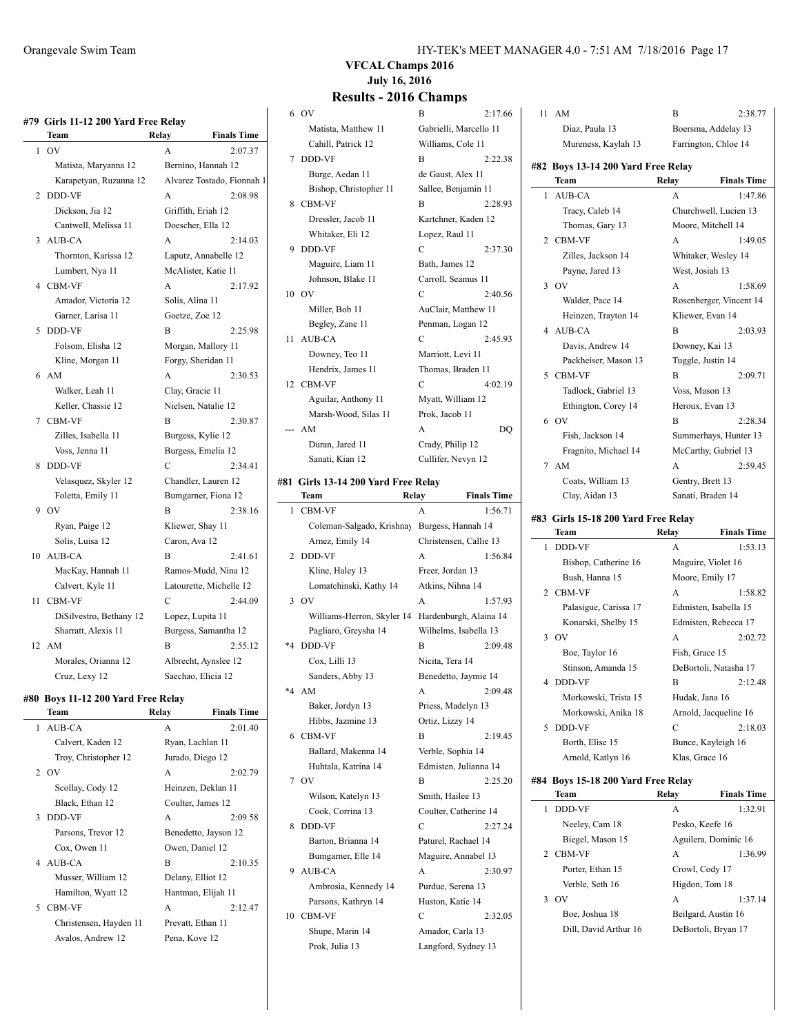|                | #79 Girls 11-12 200 Yard Free Relay |                     |                            |
|----------------|-------------------------------------|---------------------|----------------------------|
|                | Team                                | Relay               | <b>Finals Time</b>         |
| 1              | OV                                  | A                   | 2:07.37                    |
|                | Matista, Maryanna 12                | Bernino, Hannah 12  |                            |
|                | Karapetyan, Ruzanna 12              |                     | Alvarez Tostado, Fionnah 1 |
| $\overline{c}$ | <b>DDD-VF</b>                       | A                   | 2:08.98                    |
|                | Dickson, Jia 12                     | Griffith, Eriah 12  |                            |
|                | Cantwell, Melissa 11                | Doescher, Ella 12   |                            |
| 3              | AUB-CA                              | A                   | 2:14.03                    |
|                | Thornton, Karissa 12                |                     | Laputz, Annabelle 12       |
|                | Lumbert, Nya 11                     | McAlister, Katie 11 |                            |
|                | 4 CBM-VF                            | A                   | 2:17.92                    |
|                | Amador, Victoria 12                 | Solis, Alina 11     |                            |
|                | Garner, Larisa 11                   | Goetze, Zoe 12      |                            |
| 5              | <b>DDD-VF</b>                       | B                   | 2:25.98                    |
|                | Folsom, Elisha 12                   | Morgan, Mallory 11  |                            |
|                | Kline, Morgan 11                    | Forgy, Sheridan 11  |                            |
| 6              | AM                                  | A                   | 2:30.53                    |
|                | Walker, Leah 11                     | Clay, Gracie 11     |                            |
|                | Keller, Chassie 12                  | Nielsen, Natalie 12 |                            |
| 7              | <b>CBM-VF</b>                       | B                   | 2:30.87                    |
|                | Zilles, Isabella 11                 | Burgess, Kylie 12   |                            |
|                | Voss, Jenna 11                      | Burgess, Emelia 12  |                            |
| 8              | <b>DDD-VF</b>                       | C                   | 2:34.41                    |
|                | Velasquez, Skyler 12                | Chandler, Lauren 12 |                            |
|                | Foletta, Emily 11                   |                     | Bumgarner, Fiona 12        |
| 9              | OV                                  | В                   | 2:38.16                    |
|                | Ryan, Paige 12                      | Kliewer, Shay 11    |                            |
|                | Solis, Luisa 12                     | Caron, Ava 12       |                            |
| 10             | <b>AUB-CA</b>                       | В                   | 2:41.61                    |
|                | MacKay, Hannah 11                   |                     | Ramos-Mudd, Nina 12        |
|                | Calvert, Kyle 11                    |                     | Latourette, Michelle 12    |
| 11             | <b>CBM-VF</b>                       | C                   | 2:44.09                    |
|                | DiSilvestro, Bethany 12             | Lopez, Lupita 11    |                            |
|                | Sharratt, Alexis 11                 |                     | Burgess, Samantha 12       |
| 12             | AM                                  | B                   | 2:55.12                    |
|                | Morales, Orianna 12                 |                     | Albrecht, Aynslee 12       |
|                | Cruz, Lexy 12                       | Saechao, Elicia 12  |                            |

# **#80 Boys 11-12 200 Yard Free Relay**

|               | Team                   | Relay             | <b>Finals Time</b>   |
|---------------|------------------------|-------------------|----------------------|
|               | 1 AUB-CA               | A                 | 2:01.40              |
|               | Calvert, Kaden 12      | Ryan, Lachlan 11  |                      |
|               | Troy, Christopher 12   | Jurado, Diego 12  |                      |
|               | 2 OV                   | A                 | 2:02.79              |
|               | Scollay, Cody 12       |                   | Heinzen, Deklan 11   |
|               | Black, Ethan 12        |                   | Coulter, James 12    |
| $\mathcal{F}$ | <b>DDD-VF</b>          | A                 | 2:09.58              |
|               | Parsons, Trevor 12     |                   | Benedetto, Jayson 12 |
|               | Cox, Owen 11           | Owen, Daniel 12   |                      |
|               | 4 AUB-CA               | B                 | 2:10.35              |
|               | Musser, William 12     | Delany, Elliot 12 |                      |
|               | Hamilton, Wyatt 12     |                   | Hantman, Elijah 11   |
| 5.            | <b>CBM-VF</b>          | A                 | 2:12.47              |
|               | Christensen, Hayden 11 | Prevatt, Ethan 11 |                      |
|               | Avalos, Andrew 12      | Pena, Kove 12     |                      |
|               |                        |                   |                      |

## **VFCAL Champs 2016 July 16, 2016**

| 6 OV<br>Matista, Matthew 11<br>Cahill, Patrick 12                                                             | B<br>Gabrielli, Marcello 11<br>Williams, Cole 11                  | 2:17.66 | 11 AM<br>Diaz, Paula 13<br>Mureness, Kaylah 13                      | B<br>Boersma, Addelay 13<br>Farrington, Chloe 14   | 2:38.77                                     |
|---------------------------------------------------------------------------------------------------------------|-------------------------------------------------------------------|---------|---------------------------------------------------------------------|----------------------------------------------------|---------------------------------------------|
| 7 DDD-VF<br>Burge, Aedan 11                                                                                   | B<br>de Gaust, Alex 11                                            | 2:22.38 | #82 Boys 13-14 200 Yard Free Relay<br>Team                          | Relay                                              | <b>Finals Time</b>                          |
| Bishop, Christopher 11<br>8 CBM-VF<br>Dressler, Jacob 11<br>Whitaker, Eli 12                                  | Sallee, Benjamin 11<br>B<br>Kartchner, Kaden 12<br>Lopez, Raul 11 | 2:28.93 | 1 AUB-CA<br>Tracy, Caleb 14<br>Thomas, Gary 13<br>2 CBM-VF          | A<br>Moore, Mitchell 14<br>A                       | 1:47.86<br>Churchwell, Lucien 13<br>1:49.05 |
| 9 DDD-VF<br>Maguire, Liam 11<br>Johnson, Blake 11                                                             | С<br>Bath, James 12<br>Carroll, Seamus 11                         | 2:37.30 | Zilles, Jackson 14<br>Payne, Jared 13<br>3 OV                       | Whitaker, Wesley 14<br>West, Josiah 13<br>A        | 1:58.69                                     |
| 10 OV<br>Miller, Bob 11<br>Begley, Zane 11                                                                    | С<br>AuClair, Matthew 11<br>Penman, Logan 12                      | 2:40.56 | Walder, Pace 14<br>Heinzen, Trayton 14                              | Kliewer, Evan 14                                   | Rosenberger, Vincent 14                     |
| 11 AUB-CA<br>Downey, Teo 11<br>Hendrix, James 11                                                              | С<br>Marriott, Levi 11<br>Thomas, Braden 11                       | 2:45.93 | 4 AUB-CA<br>Davis, Andrew 14<br>Packheiser, Mason 13<br>5 CBM-VF    | B<br>Downey, Kai 13<br>Tuggle, Justin 14<br>B      | 2:03.93<br>2:09.71                          |
| 12 CBM-VF<br>Aguilar, Anthony 11<br>Marsh-Wood, Silas 11                                                      | С<br>Myatt, William 12<br>Prok, Jacob 11                          | 4:02.19 | Tadlock, Gabriel 13<br>Ethington, Corey 14<br>6 OV                  | Voss, Mason 13<br>Heroux, Evan 13<br>B             | 2:28.34                                     |
| --- AM<br>Duran, Jared 11<br>Sanati, Kian 12                                                                  | A<br>Crady, Philip 12<br>Cullifer, Nevyn 12                       | DQ      | Fish, Jackson 14<br>Fragnito, Michael 14<br>7 AM                    | McCarthy, Gabriel 13<br>A                          | Summerhays, Hunter 13<br>2:59.45            |
| #81 Girls 13-14 200 Yard Free Relay<br>Team<br>Relay                                                          | <b>Finals Time</b>                                                |         | Coats, William 13<br>Clay, Aidan 13                                 | Gentry, Brett 13<br>Sanati, Braden 14              |                                             |
| 1 CBM-VF<br>Coleman-Salgado, Krishnay Burgess, Hannah 14<br>Arnez, Emily 14                                   | A<br>Christensen, Callie 13                                       | 1:56.71 | #83 Girls 15-18 200 Yard Free Relay<br>Team                         | Relay                                              | <b>Finals Time</b>                          |
| 2 DDD-VF<br>Kline, Haley 13                                                                                   | A<br>Freer, Jordan 13                                             | 1:56.84 | 1 DDD-VF<br>Bishop, Catherine 16<br>Bush, Hanna 15                  | A<br>Maguire, Violet 16<br>Moore, Emily 17         | 1:53.13                                     |
| Lomatchinski, Kathy 14<br>$3$ OV<br>Williams-Herron, Skyler 14 Hardenburgh, Alaina 14<br>Pagliaro, Greysha 14 | Atkins, Nihna 14<br>A<br>Wilhelms, Isabella 13                    | 1:57.93 | 2 CBM-VF<br>Palasigue, Carissa 17<br>Konarski, Shelby 15            | A<br>Edmisten, Isabella 15<br>Edmisten, Rebecca 17 | 1:58.82                                     |
| *4 DDD-VF<br>Cox, Lilli 13<br>Sanders, Abby 13                                                                | B<br>Nicita, Tera 14<br>Benedetto, Jaymie 14                      | 2:09.48 | 3 OV<br>Boe, Taylor 16<br>Stinson, Amanda 15                        | A<br>Fish, Grace 15<br>DeBortoli, Natasha 17       | 2:02.72                                     |
| *4 AM<br>Baker, Jordyn 13<br>Hibbs, Jazmine 13                                                                | Priess, Madelyn 13<br>Ortiz, Lizzy 14                             | 2:09.48 | 4 DDD-VF<br>Morkowski, Trista 15<br>Morkowski, Anika 18<br>5 DDD-VF | B<br>Hudak, Jana 16<br>Arnold, Jacqueline 16<br>C  | 2:12.48<br>2:18.03                          |
| 6 CBM-VF<br>Ballard, Makenna 14<br>Huhtala, Katrina 14                                                        | B<br>Verble, Sophia 14<br>Edmisten, Julianna 14                   | 2:19.45 | Borth, Elise 15<br>Arnold, Katlyn 16                                | Bunce, Kayleigh 16<br>Klas, Grace 16               |                                             |
| 7 OV<br>Wilson, Katelyn 13                                                                                    | B<br>Smith, Hailee 13                                             | 2:25.20 | #84 Boys 15-18 200 Yard Free Relay<br>Team<br>1 DDD-VF              | Relay<br>A                                         | <b>Finals Time</b><br>1:32.91               |
| Cook, Corrina 13<br>8 DDD-VF<br>Barton, Brianna 14                                                            | Coulter, Catherine 14<br>С<br>Paturel, Rachael 14                 | 2:27.24 | Neeley, Cam 18<br>Biegel, Mason 15<br>2 CBM-VF                      | Pesko, Keefe 16<br>Aguilera, Dominic 16<br>A       | 1:36.99                                     |
| Bumgarner, Elle 14<br>9 AUB-CA<br>Ambrosia, Kennedy 14                                                        | Maguire, Annabel 13<br>A<br>Purdue, Serena 13                     | 2:30.97 | Porter, Ethan 15<br>Verble, Seth 16                                 | Crowl, Cody 17<br>Higdon, Tom 18                   |                                             |
| Parsons, Kathryn 14<br>10 CBM-VF<br>Shupe, Marin 14<br>Prok, Julia 13                                         | Huston, Katie 14<br>С<br>Amador, Carla 13<br>Langford, Sydney 13  | 2:32.05 | $3$ OV<br>Boe, Joshua 18<br>Dill, David Arthur 16                   | A<br>Beilgard, Austin 16<br>DeBortoli, Bryan 17    | 1:37.14                                     |